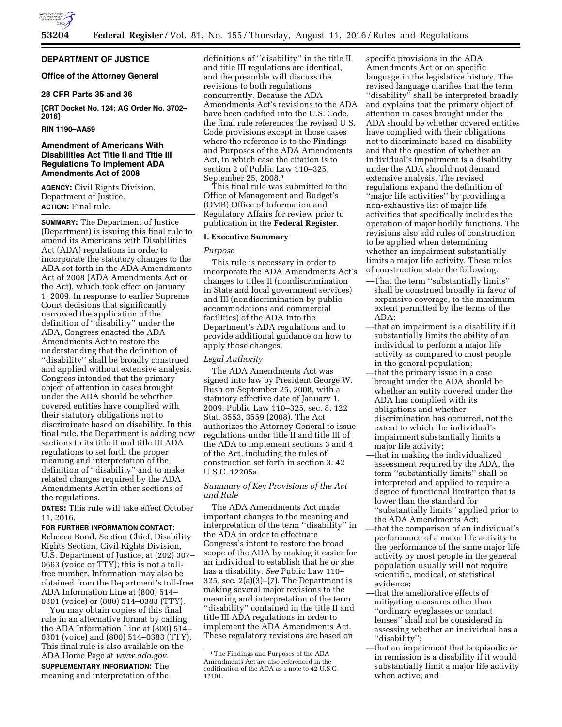

## **DEPARTMENT OF JUSTICE**

## **Office of the Attorney General**

### **28 CFR Parts 35 and 36**

**[CRT Docket No. 124; AG Order No. 3702– 2016]** 

## **RIN 1190–AA59**

## **Amendment of Americans With Disabilities Act Title II and Title III Regulations To Implement ADA Amendments Act of 2008**

**AGENCY:** Civil Rights Division, Department of Justice. **ACTION:** Final rule.

**SUMMARY:** The Department of Justice (Department) is issuing this final rule to amend its Americans with Disabilities Act (ADA) regulations in order to incorporate the statutory changes to the ADA set forth in the ADA Amendments Act of 2008 (ADA Amendments Act or the Act), which took effect on January 1, 2009. In response to earlier Supreme Court decisions that significantly narrowed the application of the definition of ''disability'' under the ADA, Congress enacted the ADA Amendments Act to restore the understanding that the definition of ''disability'' shall be broadly construed and applied without extensive analysis. Congress intended that the primary object of attention in cases brought under the ADA should be whether covered entities have complied with their statutory obligations not to discriminate based on disability. In this final rule, the Department is adding new sections to its title II and title III ADA regulations to set forth the proper meaning and interpretation of the definition of ''disability'' and to make related changes required by the ADA Amendments Act in other sections of the regulations.

**DATES:** This rule will take effect October 11, 2016.

**FOR FURTHER INFORMATION CONTACT:**  Rebecca Bond, Section Chief, Disability Rights Section, Civil Rights Division, U.S. Department of Justice, at (202) 307– 0663 (voice or TTY); this is not a tollfree number. Information may also be obtained from the Department's toll-free ADA Information Line at (800) 514– 0301 (voice) or (800) 514–0383 (TTY).

You may obtain copies of this final rule in an alternative format by calling the ADA Information Line at (800) 514– 0301 (voice) and (800) 514–0383 (TTY). This final rule is also available on the ADA Home Page at *[www.ada.gov.](http://www.ada.gov)*  **SUPPLEMENTARY INFORMATION:** The meaning and interpretation of the

definitions of ''disability'' in the title II and title III regulations are identical, and the preamble will discuss the revisions to both regulations concurrently. Because the ADA Amendments Act's revisions to the ADA have been codified into the U.S. Code, the final rule references the revised U.S. Code provisions except in those cases where the reference is to the Findings and Purposes of the ADA Amendments Act, in which case the citation is to section 2 of Public Law 110–325, September 25, 2008.1

This final rule was submitted to the Office of Management and Budget's (OMB) Office of Information and Regulatory Affairs for review prior to publication in the **Federal Register**.

### **I. Executive Summary**

## *Purpose*

This rule is necessary in order to incorporate the ADA Amendments Act's changes to titles II (nondiscrimination in State and local government services) and III (nondiscrimination by public accommodations and commercial facilities) of the ADA into the Department's ADA regulations and to provide additional guidance on how to apply those changes.

### *Legal Authority*

The ADA Amendments Act was signed into law by President George W. Bush on September 25, 2008, with a statutory effective date of January 1, 2009. Public Law 110–325, sec. 8, 122 Stat. 3553, 3559 (2008). The Act authorizes the Attorney General to issue regulations under title II and title III of the ADA to implement sections 3 and 4 of the Act, including the rules of construction set forth in section 3. 42 U.S.C. 12205a.

### *Summary of Key Provisions of the Act and Rule*

The ADA Amendments Act made important changes to the meaning and interpretation of the term ''disability'' in the ADA in order to effectuate Congress's intent to restore the broad scope of the ADA by making it easier for an individual to establish that he or she has a disability. *See* Public Law 110– 325, sec.  $2(a)(3)$ – $(7)$ . The Department is making several major revisions to the meaning and interpretation of the term ''disability'' contained in the title II and title III ADA regulations in order to implement the ADA Amendments Act. These regulatory revisions are based on

specific provisions in the ADA Amendments Act or on specific language in the legislative history. The revised language clarifies that the term ''disability'' shall be interpreted broadly and explains that the primary object of attention in cases brought under the ADA should be whether covered entities have complied with their obligations not to discriminate based on disability and that the question of whether an individual's impairment is a disability under the ADA should not demand extensive analysis. The revised regulations expand the definition of ''major life activities'' by providing a non-exhaustive list of major life activities that specifically includes the operation of major bodily functions. The revisions also add rules of construction to be applied when determining whether an impairment substantially limits a major life activity. These rules of construction state the following:

- —That the term ''substantially limits'' shall be construed broadly in favor of expansive coverage, to the maximum extent permitted by the terms of the ADA;
- —that an impairment is a disability if it substantially limits the ability of an individual to perform a major life activity as compared to most people in the general population;
- —that the primary issue in a case brought under the ADA should be whether an entity covered under the ADA has complied with its obligations and whether discrimination has occurred, not the extent to which the individual's impairment substantially limits a major life activity;
- —that in making the individualized assessment required by the ADA, the term ''substantially limits'' shall be interpreted and applied to require a degree of functional limitation that is lower than the standard for ''substantially limits'' applied prior to
- the ADA Amendments Act; —that the comparison of an individual's performance of a major life activity to the performance of the same major life activity by most people in the general population usually will not require scientific, medical, or statistical evidence;
- —that the ameliorative effects of mitigating measures other than ''ordinary eyeglasses or contact lenses'' shall not be considered in assessing whether an individual has a ''disability'';
- —that an impairment that is episodic or in remission is a disability if it would substantially limit a major life activity when active; and

<sup>1</sup>The Findings and Purposes of the ADA Amendments Act are also referenced in the codification of the ADA as a note to 42 U.S.C. 12101.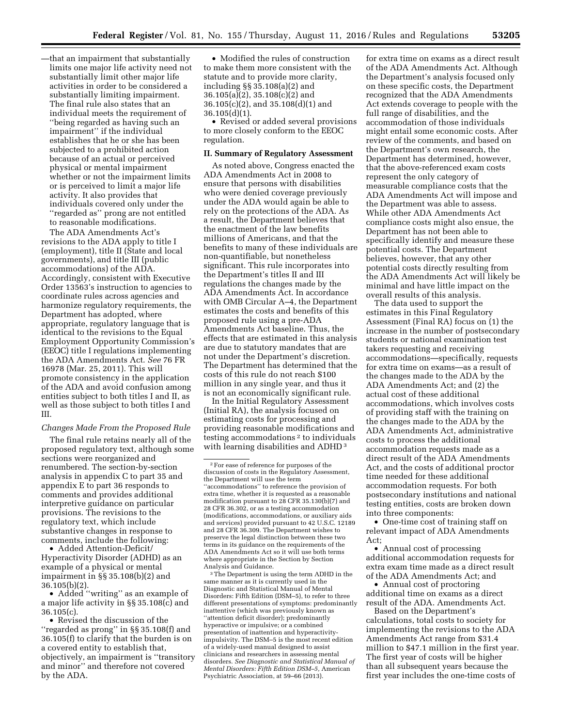—that an impairment that substantially limits one major life activity need not substantially limit other major life activities in order to be considered a substantially limiting impairment. The final rule also states that an individual meets the requirement of ''being regarded as having such an impairment'' if the individual establishes that he or she has been subjected to a prohibited action because of an actual or perceived physical or mental impairment whether or not the impairment limits or is perceived to limit a major life activity. It also provides that individuals covered only under the ''regarded as'' prong are not entitled to reasonable modifications.

The ADA Amendments Act's revisions to the ADA apply to title I (employment), title II (State and local governments), and title III (public accommodations) of the ADA. Accordingly, consistent with Executive Order 13563's instruction to agencies to coordinate rules across agencies and harmonize regulatory requirements, the Department has adopted, where appropriate, regulatory language that is identical to the revisions to the Equal Employment Opportunity Commission's (EEOC) title I regulations implementing the ADA Amendments Act. *See* 76 FR 16978 (Mar. 25, 2011). This will promote consistency in the application of the ADA and avoid confusion among entities subject to both titles I and II, as well as those subject to both titles I and III.

#### *Changes Made From the Proposed Rule*

The final rule retains nearly all of the proposed regulatory text, although some sections were reorganized and renumbered. The section-by-section analysis in appendix C to part 35 and appendix E to part 36 responds to comments and provides additional interpretive guidance on particular provisions. The revisions to the regulatory text, which include substantive changes in response to comments, include the following:

• Added Attention-Deficit/ Hyperactivity Disorder (ADHD) as an example of a physical or mental impairment in §§ 35.108(b)(2) and 36.105(b)(2).

• Added ''writing'' as an example of a major life activity in §§ 35.108(c) and 36.105(c).

• Revised the discussion of the ''regarded as prong'' in §§ 35.108(f) and 36.105(f) to clarify that the burden is on a covered entity to establish that, objectively, an impairment is ''transitory and minor'' and therefore not covered by the ADA.

• Modified the rules of construction to make them more consistent with the statute and to provide more clarity, including §§ 35.108(a)(2) and  $36.105(a)(2)$ ,  $35.108(c)(2)$  and 36.105(c)(2), and 35.108(d)(1) and 36.105(d)(1).

• Revised or added several provisions to more closely conform to the EEOC regulation.

#### **II. Summary of Regulatory Assessment**

As noted above, Congress enacted the ADA Amendments Act in 2008 to ensure that persons with disabilities who were denied coverage previously under the ADA would again be able to rely on the protections of the ADA. As a result, the Department believes that the enactment of the law benefits millions of Americans, and that the benefits to many of these individuals are non-quantifiable, but nonetheless significant. This rule incorporates into the Department's titles II and III regulations the changes made by the ADA Amendments Act. In accordance with OMB Circular A–4, the Department estimates the costs and benefits of this proposed rule using a pre-ADA Amendments Act baseline. Thus, the effects that are estimated in this analysis are due to statutory mandates that are not under the Department's discretion. The Department has determined that the costs of this rule do not reach \$100 million in any single year, and thus it is not an economically significant rule.

In the Initial Regulatory Assessment (Initial RA), the analysis focused on estimating costs for processing and providing reasonable modifications and testing accommodations 2 to individuals with learning disabilities and ADHD<sup>3</sup>

3The Department is using the term ADHD in the same manner as it is currently used in the Diagnostic and Statistical Manual of Mental Disorders: Fifth Edition (DSM–5), to refer to three different presentations of symptoms: predominantly inattentive (which was previously known as ''attention deficit disorder); predominantly hyperactive or impulsive; or a combined presentation of inattention and hyperactivityimpulsivity. The DSM–5 is the most recent edition of a widely-used manual designed to assist clinicians and researchers in assessing mental disorders. *See Diagnostic and Statistical Manual of Mental Disorders: Fifth Edition DSM–5,* American Psychiatric Association, at 59–66 (2013).

for extra time on exams as a direct result of the ADA Amendments Act. Although the Department's analysis focused only on these specific costs, the Department recognized that the ADA Amendments Act extends coverage to people with the full range of disabilities, and the accommodation of those individuals might entail some economic costs. After review of the comments, and based on the Department's own research, the Department has determined, however, that the above-referenced exam costs represent the only category of measurable compliance costs that the ADA Amendments Act will impose and the Department was able to assess. While other ADA Amendments Act compliance costs might also ensue, the Department has not been able to specifically identify and measure these potential costs. The Department believes, however, that any other potential costs directly resulting from the ADA Amendments Act will likely be minimal and have little impact on the overall results of this analysis.

The data used to support the estimates in this Final Regulatory Assessment (Final RA) focus on (1) the increase in the number of postsecondary students or national examination test takers requesting and receiving accommodations—specifically, requests for extra time on exams—as a result of the changes made to the ADA by the ADA Amendments Act; and (2) the actual cost of these additional accommodations, which involves costs of providing staff with the training on the changes made to the ADA by the ADA Amendments Act, administrative costs to process the additional accommodation requests made as a direct result of the ADA Amendments Act, and the costs of additional proctor time needed for these additional accommodation requests. For both postsecondary institutions and national testing entities, costs are broken down into three components:

• One-time cost of training staff on relevant impact of ADA Amendments Act;

• Annual cost of processing additional accommodation requests for extra exam time made as a direct result of the ADA Amendments Act; and

• Annual cost of proctoring additional time on exams as a direct result of the ADA. Amendments Act.

Based on the Department's calculations, total costs to society for implementing the revisions to the ADA Amendments Act range from \$31.4 million to \$47.1 million in the first year. The first year of costs will be higher than all subsequent years because the first year includes the one-time costs of

<sup>2</sup>For ease of reference for purposes of the discussion of costs in the Regulatory Assessment, the Department will use the term ''accommodations'' to reference the provision of extra time, whether it is requested as a reasonable modification pursuant to  $2\overline{8}$  CFR 35.130(b)(7) and 28 CFR 36.302, or as a testing accommodation (modifications, accommodations, or auxiliary aids and services) provided pursuant to 42 U.S.C. 12189 and 28 CFR 36.309. The Department wishes to preserve the legal distinction between these two terms in its guidance on the requirements of the ADA Amendments Act so it will use both terms where appropriate in the Section by Section Analysis and Guidance.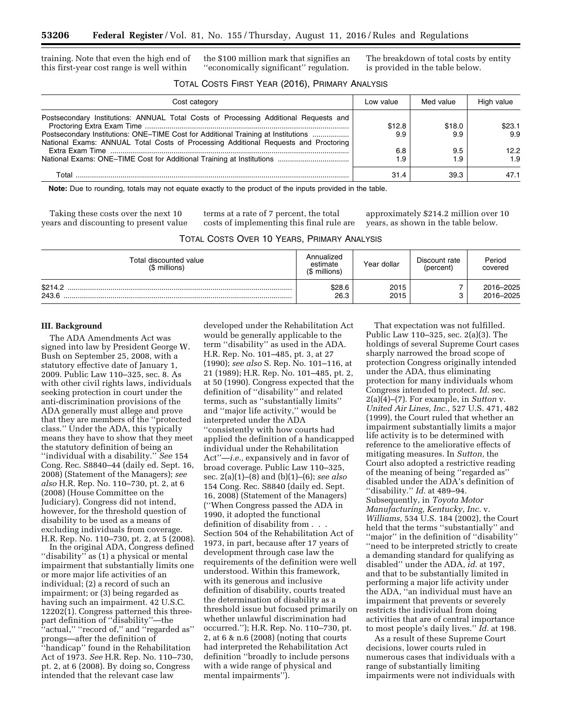training. Note that even the high end of this first-year cost range is well within

the \$100 million mark that signifies an ''economically significant'' regulation.

The breakdown of total costs by entity is provided in the table below.

## TOTAL COSTS FIRST YEAR (2016), PRIMARY ANALYSIS

| Cost category                                                                                                                                                                                                                                                    | Low value                   | Med value                   | High value                   |
|------------------------------------------------------------------------------------------------------------------------------------------------------------------------------------------------------------------------------------------------------------------|-----------------------------|-----------------------------|------------------------------|
| Postsecondary Institutions: ANNUAL Total Costs of Processing Additional Requests and<br>Postsecondary Institutions: ONE-TIME Cost for Additional Training at Institutions<br>National Exams: ANNUAL Total Costs of Processing Additional Requests and Proctoring | \$12.8<br>9.9<br>6.8<br>1.9 | \$18.0<br>9.9<br>9.5<br>1.9 | \$23.1<br>9.9<br>12.2<br>1.9 |
| Total                                                                                                                                                                                                                                                            | 31.4                        | 39.3                        | 47.1                         |

**Note:** Due to rounding, totals may not equate exactly to the product of the inputs provided in the table.

Taking these costs over the next 10 years and discounting to present value terms at a rate of 7 percent, the total costs of implementing this final rule are

approximately \$214.2 million over 10 years, as shown in the table below.

TOTAL COSTS OVER 10 YEARS, PRIMARY ANALYSIS

| Total discounted value<br>(\$ millions) | Annualized<br>estimate<br>(\$ millions) | Year dollar  | Discount rate<br>(percent) | Period<br>covered      |
|-----------------------------------------|-----------------------------------------|--------------|----------------------------|------------------------|
| \$214.2<br>243.6                        | \$28.6<br>26.3                          | 2015<br>2015 |                            | 2016-2025<br>2016-2025 |

### **III. Background**

The ADA Amendments Act was signed into law by President George W. Bush on September 25, 2008, with a statutory effective date of January 1, 2009. Public Law 110–325, sec. 8. As with other civil rights laws, individuals seeking protection in court under the anti-discrimination provisions of the ADA generally must allege and prove that they are members of the ''protected class.'' Under the ADA, this typically means they have to show that they meet the statutory definition of being an ''individual with a disability.'' *See* 154 Cong. Rec. S8840–44 (daily ed. Sept. 16, 2008) (Statement of the Managers); *see also* H.R. Rep. No. 110–730, pt. 2, at 6 (2008) (House Committee on the Judiciary). Congress did not intend, however, for the threshold question of disability to be used as a means of excluding individuals from coverage. H.R. Rep. No. 110–730, pt. 2, at 5 (2008).

In the original ADA, Congress defined ''disability'' as (1) a physical or mental impairment that substantially limits one or more major life activities of an individual; (2) a record of such an impairment; or (3) being regarded as having such an impairment. 42 U.S.C. 12202(1). Congress patterned this threepart definition of ''disability''—the ''actual,'' ''record of,'' and ''regarded as'' prongs—after the definition of ''handicap'' found in the Rehabilitation Act of 1973. *See* H.R. Rep. No. 110–730, pt. 2, at 6 (2008). By doing so, Congress intended that the relevant case law

developed under the Rehabilitation Act would be generally applicable to the term ''disability'' as used in the ADA. H.R. Rep. No. 101–485, pt. 3, at 27 (1990); *see also* S. Rep. No. 101–116, at 21 (1989); H.R. Rep. No. 101–485, pt. 2, at 50 (1990). Congress expected that the definition of ''disability'' and related terms, such as ''substantially limits'' and ''major life activity,'' would be interpreted under the ADA ''consistently with how courts had applied the definition of a handicapped individual under the Rehabilitation Act''—*i.e.,* expansively and in favor of broad coverage. Public Law 110–325, sec. 2(a)(1)–(8) and (b)(1)–(6); *see also*  154 Cong. Rec. S8840 (daily ed. Sept. 16, 2008) (Statement of the Managers) (''When Congress passed the ADA in 1990, it adopted the functional definition of disability from . . . Section 504 of the Rehabilitation Act of 1973, in part, because after 17 years of development through case law the requirements of the definition were well understood. Within this framework, with its generous and inclusive definition of disability, courts treated the determination of disability as a threshold issue but focused primarily on whether unlawful discrimination had occurred.''); H.R. Rep. No. 110–730, pt. 2, at 6 & n.6 (2008) (noting that courts had interpreted the Rehabilitation Act definition ''broadly to include persons with a wide range of physical and mental impairments'').

That expectation was not fulfilled. Public Law 110–325, sec. 2(a)(3). The holdings of several Supreme Court cases sharply narrowed the broad scope of protection Congress originally intended under the ADA, thus eliminating protection for many individuals whom Congress intended to protect. *Id.* sec. 2(a)(4)–(7). For example, in *Sutton* v. *United Air Lines, Inc.,* 527 U.S. 471, 482 (1999), the Court ruled that whether an impairment substantially limits a major life activity is to be determined with reference to the ameliorative effects of mitigating measures. In *Sutton,* the Court also adopted a restrictive reading of the meaning of being ''regarded as'' disabled under the ADA's definition of ''disability.'' *Id.* at 489–94. Subsequently, in *Toyota Motor Manufacturing, Kentucky, Inc.* v. *Williams,* 534 U.S. 184 (2002), the Court held that the terms ''substantially'' and ''major'' in the definition of ''disability'' ''need to be interpreted strictly to create a demanding standard for qualifying as disabled'' under the ADA, *id.* at 197, and that to be substantially limited in performing a major life activity under the ADA, "an individual must have an impairment that prevents or severely restricts the individual from doing activities that are of central importance to most people's daily lives.'' *Id.* at 198.

As a result of these Supreme Court decisions, lower courts ruled in numerous cases that individuals with a range of substantially limiting impairments were not individuals with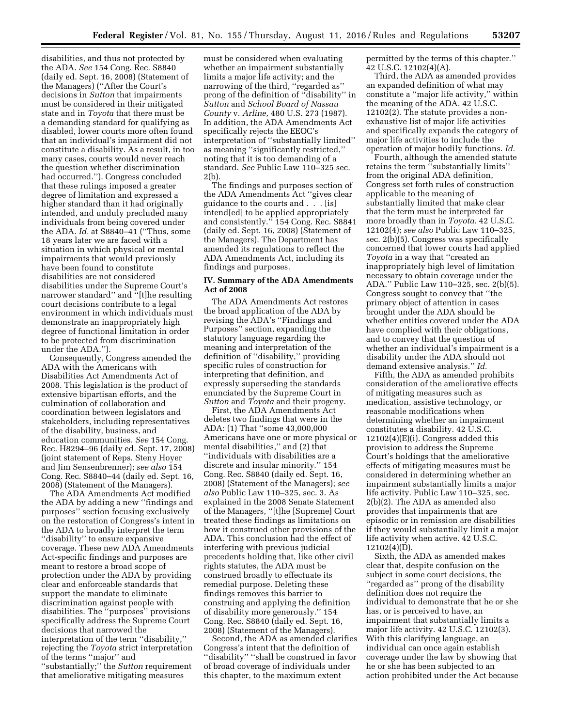disabilities, and thus not protected by the ADA. *See* 154 Cong. Rec. S8840 (daily ed. Sept. 16, 2008) (Statement of the Managers) (''After the Court's decisions in *Sutton* that impairments must be considered in their mitigated state and in *Toyota* that there must be a demanding standard for qualifying as disabled, lower courts more often found that an individual's impairment did not constitute a disability. As a result, in too many cases, courts would never reach the question whether discrimination had occurred.''). Congress concluded that these rulings imposed a greater degree of limitation and expressed a higher standard than it had originally intended, and unduly precluded many individuals from being covered under the ADA. *Id.* at S8840–41 (''Thus, some 18 years later we are faced with a situation in which physical or mental impairments that would previously have been found to constitute disabilities are not considered disabilities under the Supreme Court's narrower standard'' and ''[t]he resulting court decisions contribute to a legal environment in which individuals must demonstrate an inappropriately high degree of functional limitation in order to be protected from discrimination under the ADA.'').

Consequently, Congress amended the ADA with the Americans with Disabilities Act Amendments Act of 2008. This legislation is the product of extensive bipartisan efforts, and the culmination of collaboration and coordination between legislators and stakeholders, including representatives of the disability, business, and education communities. *See* 154 Cong. Rec. H8294–96 (daily ed. Sept. 17, 2008) (joint statement of Reps. Steny Hoyer and Jim Sensenbrenner); *see also* 154 Cong. Rec. S8840–44 (daily ed. Sept. 16, 2008) (Statement of the Managers).

The ADA Amendments Act modified the ADA by adding a new ''findings and purposes'' section focusing exclusively on the restoration of Congress's intent in the ADA to broadly interpret the term ''disability'' to ensure expansive coverage. These new ADA Amendments Act-specific findings and purposes are meant to restore a broad scope of protection under the ADA by providing clear and enforceable standards that support the mandate to eliminate discrimination against people with disabilities. The ''purposes'' provisions specifically address the Supreme Court decisions that narrowed the interpretation of the term ''disability,'' rejecting the *Toyota* strict interpretation of the terms ''major'' and ''substantially;'' the *Sutton* requirement that ameliorative mitigating measures

must be considered when evaluating whether an impairment substantially limits a major life activity; and the narrowing of the third, ''regarded as'' prong of the definition of ''disability'' in *Sutton* and *School Board of Nassau County* v. *Arline,* 480 U.S. 273 (1987). In addition, the ADA Amendments Act specifically rejects the EEOC's interpretation of ''substantially limited'' as meaning ''significantly restricted,'' noting that it is too demanding of a standard. *See* Public Law 110–325 sec. 2(b).

The findings and purposes section of the ADA Amendments Act ''gives clear guidance to the courts and . . . [is] intend[ed] to be applied appropriately and consistently.'' 154 Cong. Rec. S8841 (daily ed. Sept. 16, 2008) (Statement of the Managers). The Department has amended its regulations to reflect the ADA Amendments Act, including its findings and purposes.

## **IV. Summary of the ADA Amendments Act of 2008**

The ADA Amendments Act restores the broad application of the ADA by revising the ADA's ''Findings and Purposes'' section, expanding the statutory language regarding the meaning and interpretation of the definition of ''disability,'' providing specific rules of construction for interpreting that definition, and expressly superseding the standards enunciated by the Supreme Court in *Sutton* and *Toyota* and their progeny.

First, the ADA Amendments Act deletes two findings that were in the ADA: (1) That ''some 43,000,000 Americans have one or more physical or mental disabilities,'' and (2) that ''individuals with disabilities are a discrete and insular minority.'' 154 Cong. Rec. S8840 (daily ed. Sept. 16, 2008) (Statement of the Managers); *see also* Public Law 110–325, sec. 3. As explained in the 2008 Senate Statement of the Managers, ''[t]he [Supreme] Court treated these findings as limitations on how it construed other provisions of the ADA. This conclusion had the effect of interfering with previous judicial precedents holding that, like other civil rights statutes, the ADA must be construed broadly to effectuate its remedial purpose. Deleting these findings removes this barrier to construing and applying the definition of disability more generously.'' 154 Cong. Rec. S8840 (daily ed. Sept. 16, 2008) (Statement of the Managers).

Second, the ADA as amended clarifies Congress's intent that the definition of ''disability'' ''shall be construed in favor of broad coverage of individuals under this chapter, to the maximum extent

permitted by the terms of this chapter.'' 42 U.S.C. 12102(4)(A).

Third, the ADA as amended provides an expanded definition of what may constitute a ''major life activity,'' within the meaning of the ADA. 42 U.S.C. 12102(2). The statute provides a nonexhaustive list of major life activities and specifically expands the category of major life activities to include the operation of major bodily functions. *Id.* 

Fourth, although the amended statute retains the term ''substantially limits'' from the original ADA definition, Congress set forth rules of construction applicable to the meaning of substantially limited that make clear that the term must be interpreted far more broadly than in *Toyota.* 42 U.S.C. 12102(4); *see also* Public Law 110–325, sec. 2(b)(5). Congress was specifically concerned that lower courts had applied *Toyota* in a way that ''created an inappropriately high level of limitation necessary to obtain coverage under the ADA.'' Public Law 110–325, sec. 2(b)(5). Congress sought to convey that ''the primary object of attention in cases brought under the ADA should be whether entities covered under the ADA have complied with their obligations, and to convey that the question of whether an individual's impairment is a disability under the ADA should not demand extensive analysis.'' *Id.* 

Fifth, the ADA as amended prohibits consideration of the ameliorative effects of mitigating measures such as medication, assistive technology, or reasonable modifications when determining whether an impairment constitutes a disability. 42 U.S.C.  $12102(4)$ (E)(i). Congress added this provision to address the Supreme Court's holdings that the ameliorative effects of mitigating measures must be considered in determining whether an impairment substantially limits a major life activity. Public Law 110–325, sec. 2(b)(2). The ADA as amended also provides that impairments that are episodic or in remission are disabilities if they would substantially limit a major life activity when active. 42 U.S.C. 12102(4)(D).

Sixth, the ADA as amended makes clear that, despite confusion on the subject in some court decisions, the ''regarded as'' prong of the disability definition does not require the individual to demonstrate that he or she has, or is perceived to have, an impairment that substantially limits a major life activity. 42 U.S.C. 12102(3). With this clarifying language, an individual can once again establish coverage under the law by showing that he or she has been subjected to an action prohibited under the Act because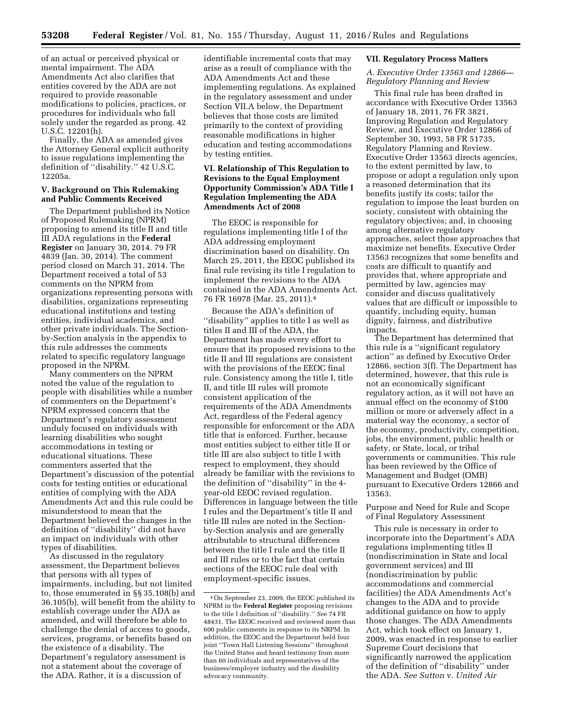of an actual or perceived physical or mental impairment. The ADA Amendments Act also clarifies that entities covered by the ADA are not required to provide reasonable modifications to policies, practices, or procedures for individuals who fall solely under the regarded as prong. 42 U.S.C. 12201(h).

Finally, the ADA as amended gives the Attorney General explicit authority to issue regulations implementing the definition of ''disability.'' 42 U.S.C. 12205a.

### **V. Background on This Rulemaking and Public Comments Received**

The Department published its Notice of Proposed Rulemaking (NPRM) proposing to amend its title II and title III ADA regulations in the **Federal Register** on January 30, 2014. 79 FR 4839 (Jan. 30, 2014). The comment period closed on March 31, 2014. The Department received a total of 53 comments on the NPRM from organizations representing persons with disabilities, organizations representing educational institutions and testing entities, individual academics, and other private individuals. The Sectionby-Section analysis in the appendix to this rule addresses the comments related to specific regulatory language proposed in the NPRM.

Many commenters on the NPRM noted the value of the regulation to people with disabilities while a number of commenters on the Department's NPRM expressed concern that the Department's regulatory assessment unduly focused on individuals with learning disabilities who sought accommodations in testing or educational situations. These commenters asserted that the Department's discussion of the potential costs for testing entities or educational entities of complying with the ADA Amendments Act and this rule could be misunderstood to mean that the Department believed the changes in the definition of ''disability'' did not have an impact on individuals with other types of disabilities.

As discussed in the regulatory assessment, the Department believes that persons with all types of impairments, including, but not limited to, those enumerated in §§ 35.108(b) and 36.105(b), will benefit from the ability to establish coverage under the ADA as amended, and will therefore be able to challenge the denial of access to goods, services, programs, or benefits based on the existence of a disability. The Department's regulatory assessment is not a statement about the coverage of the ADA. Rather, it is a discussion of

identifiable incremental costs that may arise as a result of compliance with the ADA Amendments Act and these implementing regulations. As explained in the regulatory assessment and under Section VII.A below, the Department believes that those costs are limited primarily to the context of providing reasonable modifications in higher education and testing accommodations by testing entities.

## **VI. Relationship of This Regulation to Revisions to the Equal Employment Opportunity Commission's ADA Title I Regulation Implementing the ADA Amendments Act of 2008**

The EEOC is responsible for regulations implementing title I of the ADA addressing employment discrimination based on disability. On March 25, 2011, the EEOC published its final rule revising its title I regulation to implement the revisions to the ADA contained in the ADA Amendments Act. 76 FR 16978 (Mar. 25, 2011).4

Because the ADA's definition of ''disability'' applies to title I as well as titles II and III of the ADA, the Department has made every effort to ensure that its proposed revisions to the title II and III regulations are consistent with the provisions of the EEOC final rule. Consistency among the title I, title II, and title III rules will promote consistent application of the requirements of the ADA Amendments Act, regardless of the Federal agency responsible for enforcement or the ADA title that is enforced. Further, because most entities subject to either title II or title III are also subject to title I with respect to employment, they should already be familiar with the revisions to the definition of ''disability'' in the 4 year-old EEOC revised regulation. Differences in language between the title I rules and the Department's title II and title III rules are noted in the Sectionby-Section analysis and are generally attributable to structural differences between the title I rule and the title II and III rules or to the fact that certain sections of the EEOC rule deal with employment-specific issues.

#### **VII. Regulatory Process Matters**

### *A. Executive Order 13563 and 12866— Regulatory Planning and Review*

This final rule has been drafted in accordance with Executive Order 13563 of January 18, 2011, 76 FR 3821, Improving Regulation and Regulatory Review, and Executive Order 12866 of September 30, 1993, 58 FR 51735, Regulatory Planning and Review. Executive Order 13563 directs agencies, to the extent permitted by law, to propose or adopt a regulation only upon a reasoned determination that its benefits justify its costs; tailor the regulation to impose the least burden on society, consistent with obtaining the regulatory objectives; and, in choosing among alternative regulatory approaches, select those approaches that maximize net benefits. Executive Order 13563 recognizes that some benefits and costs are difficult to quantify and provides that, where appropriate and permitted by law, agencies may consider and discuss qualitatively values that are difficult or impossible to quantify, including equity, human dignity, fairness, and distributive impacts.

The Department has determined that this rule is a ''significant regulatory action'' as defined by Executive Order 12866, section 3(f). The Department has determined, however, that this rule is not an economically significant regulatory action, as it will not have an annual effect on the economy of \$100 million or more or adversely affect in a material way the economy, a sector of the economy, productivity, competition, jobs, the environment, public health or safety, or State, local, or tribal governments or communities. This rule has been reviewed by the Office of Management and Budget (OMB) pursuant to Executive Orders 12866 and 13563.

Purpose and Need for Rule and Scope of Final Regulatory Assessment

This rule is necessary in order to incorporate into the Department's ADA regulations implementing titles II (nondiscrimination in State and local government services) and III (nondiscrimination by public accommodations and commercial facilities) the ADA Amendments Act's changes to the ADA and to provide additional guidance on how to apply those changes. The ADA Amendments Act, which took effect on January 1, 2009, was enacted in response to earlier Supreme Court decisions that significantly narrowed the application of the definition of ''disability'' under the ADA. *See Sutton* v. *United Air* 

<sup>4</sup>On September 23, 2009, the EEOC published its NPRM in the **Federal Register** proposing revisions to the title I definition of ''disability.'' *See* 74 FR 48431. The EEOC received and reviewed more than 600 public comments in response to its NRPM. In addition, the EEOC and the Department held four joint ''Town Hall Listening Sessions'' throughout the United States and heard testimony from more than 60 individuals and representatives of the business/employer industry and the disability advocacy community.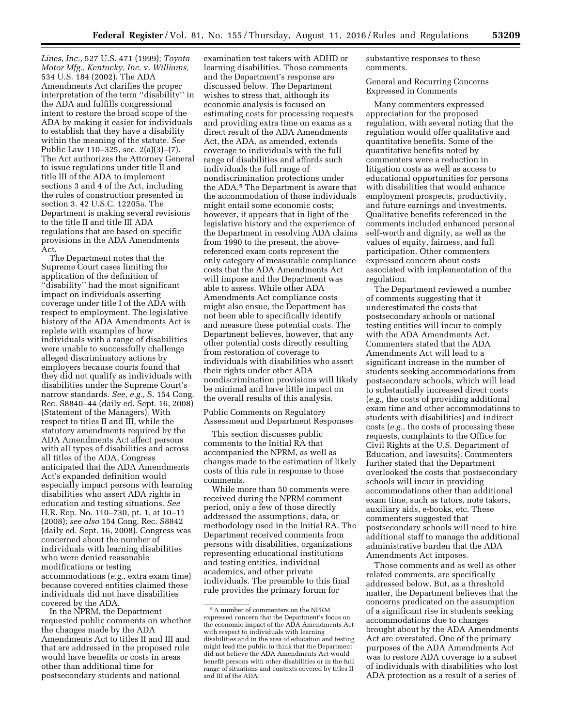*Lines, Inc.,* 527 U.S. 471 (1999); *Toyota Motor Mfg., Kentucky, Inc.* v. *Williams,*  534 U.S. 184 (2002). The ADA Amendments Act clarifies the proper interpretation of the term ''disability'' in the ADA and fulfills congressional intent to restore the broad scope of the ADA by making it easier for individuals to establish that they have a disability within the meaning of the statute. *See*  Public Law 110–325, sec. 2(a)(3)–(7). The Act authorizes the Attorney General to issue regulations under title II and title III of the ADA to implement sections 3 and 4 of the Act, including the rules of construction presented in section 3. 42 U.S.C. 12205a. The Department is making several revisions to the title II and title III ADA regulations that are based on specific provisions in the ADA Amendments Act.

The Department notes that the Supreme Court cases limiting the application of the definition of ''disability'' had the most significant impact on individuals asserting coverage under title I of the ADA with respect to employment. The legislative history of the ADA Amendments Act is replete with examples of how individuals with a range of disabilities were unable to successfully challenge alleged discriminatory actions by employers because courts found that they did not qualify as individuals with disabilities under the Supreme Court's narrow standards. *See, e.g.,* S. 154 Cong. Rec. S8840–44 (daily ed. Sept. 16, 2008) (Statement of the Managers). With respect to titles II and III, while the statutory amendments required by the ADA Amendments Act affect persons with all types of disabilities and across all titles of the ADA, Congress anticipated that the ADA Amendments Act's expanded definition would especially impact persons with learning disabilities who assert ADA rights in education and testing situations. *See*  H.R. Rep. No. 110–730, pt. 1, at 10–11 (2008); *see also* 154 Cong. Rec. S8842 (daily ed. Sept. 16, 2008). Congress was concerned about the number of individuals with learning disabilities who were denied reasonable modifications or testing accommodations (*e.g.,* extra exam time) because covered entities claimed these individuals did not have disabilities covered by the ADA.

In the NPRM, the Department requested public comments on whether the changes made by the ADA Amendments Act to titles II and III and that are addressed in the proposed rule would have benefits or costs in areas other than additional time for postsecondary students and national

examination test takers with ADHD or learning disabilities. Those comments and the Department's response are discussed below. The Department wishes to stress that, although its economic analysis is focused on estimating costs for processing requests and providing extra time on exams as a direct result of the ADA Amendments Act, the ADA, as amended, extends coverage to individuals with the full range of disabilities and affords such individuals the full range of nondiscrimination protections under the ADA.5 The Department is aware that the accommodation of those individuals might entail some economic costs; however, it appears that in light of the legislative history and the experience of the Department in resolving ADA claims from 1990 to the present, the abovereferenced exam costs represent the only category of measurable compliance costs that the ADA Amendments Act will impose and the Department was able to assess. While other ADA Amendments Act compliance costs might also ensue, the Department has not been able to specifically identify and measure these potential costs. The Department believes, however, that any other potential costs directly resulting from restoration of coverage to individuals with disabilities who assert their rights under other ADA nondiscrimination provisions will likely be minimal and have little impact on the overall results of this analysis.

Public Comments on Regulatory Assessment and Department Responses

This section discusses public comments to the Initial RA that accompanied the NPRM, as well as changes made to the estimation of likely costs of this rule in response to those comments.

While more than 50 comments were received during the NPRM comment period, only a few of those directly addressed the assumptions, data, or methodology used in the Initial RA. The Department received comments from persons with disabilities, organizations representing educational institutions and testing entities, individual academics, and other private individuals. The preamble to this final rule provides the primary forum for

substantive responses to these comments.

General and Recurring Concerns Expressed in Comments

Many commenters expressed appreciation for the proposed regulation, with several noting that the regulation would offer qualitative and quantitative benefits. Some of the quantitative benefits noted by commenters were a reduction in litigation costs as well as access to educational opportunities for persons with disabilities that would enhance employment prospects, productivity, and future earnings and investments. Qualitative benefits referenced in the comments included enhanced personal self-worth and dignity, as well as the values of equity, fairness, and full participation. Other commenters expressed concern about costs associated with implementation of the regulation.

The Department reviewed a number of comments suggesting that it underestimated the costs that postsecondary schools or national testing entities will incur to comply with the ADA Amendments Act. Commenters stated that the ADA Amendments Act will lead to a significant increase in the number of students seeking accommodations from postsecondary schools, which will lead to substantially increased direct costs (*e.g.,* the costs of providing additional exam time and other accommodations to students with disabilities) and indirect costs (*e.g.,* the costs of processing these requests, complaints to the Office for Civil Rights at the U.S. Department of Education, and lawsuits). Commenters further stated that the Department overlooked the costs that postsecondary schools will incur in providing accommodations other than additional exam time, such as tutors, note takers, auxiliary aids, e-books, etc. These commenters suggested that postsecondary schools will need to hire additional staff to manage the additional administrative burden that the ADA Amendments Act imposes.

Those comments and as well as other related comments, are specifically addressed below. But, as a threshold matter, the Department believes that the concerns predicated on the assumption of a significant rise in students seeking accommodations due to changes brought about by the ADA Amendments Act are overstated. One of the primary purposes of the ADA Amendments Act was to restore ADA coverage to a subset of individuals with disabilities who lost ADA protection as a result of a series of

<sup>5</sup>A number of commenters on the NPRM expressed concern that the Department's focus on the economic impact of the ADA Amendments Act with respect to individuals with learning disabilities and in the area of education and testing might lead the public to think that the Department did not believe the ADA Amendments Act would benefit persons with other disabilities or in the full range of situations and contexts covered by titles II and III of the ADA.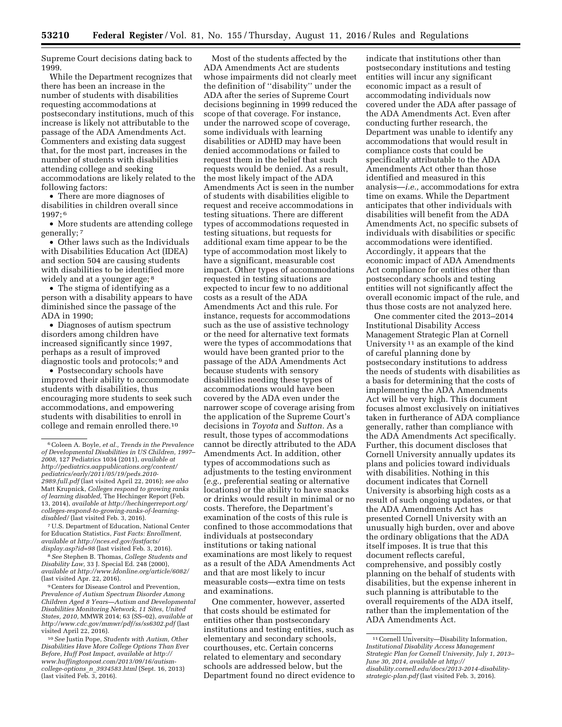Supreme Court decisions dating back to 1999.

While the Department recognizes that there has been an increase in the number of students with disabilities requesting accommodations at postsecondary institutions, much of this increase is likely not attributable to the passage of the ADA Amendments Act. Commenters and existing data suggest that, for the most part, increases in the number of students with disabilities attending college and seeking accommodations are likely related to the following factors:

• There are more diagnoses of disabilities in children overall since 1997; 6

• More students are attending college generally; 7

• Other laws such as the Individuals with Disabilities Education Act (IDEA) and section 504 are causing students with disabilities to be identified more widely and at a younger age; 8

• The stigma of identifying as a person with a disability appears to have diminished since the passage of the ADA in 1990;

• Diagnoses of autism spectrum disorders among children have increased significantly since 1997, perhaps as a result of improved diagnostic tools and protocols; 9 and

• Postsecondary schools have improved their ability to accommodate students with disabilities, thus encouraging more students to seek such accommodations, and empowering students with disabilities to enroll in college and remain enrolled there.10

7U.S. Department of Education, National Center for Education Statistics, *Fast Facts: Enrollment, available at [http://nces.ed.gov/fastfacts/](http://nces.ed.gov/fastfacts/display.asp?id=98) [display.asp?id=98](http://nces.ed.gov/fastfacts/display.asp?id=98)* (last visited Feb. 3, 2016).

8*See* Stephen B. Thomas, *College Students and Disability Law,* 33 J. Special Ed. 248 (2000), *available at<http://www.ldonline.org/article/6082/>* (last visited Apr. 22, 2016).

9Centers for Disease Control and Prevention, *Prevalence of Autism Spectrum Disorder Among Children Aged 8 Years—Autism and Developmental Disabilities Monitoring Network, 11 Sites, United States, 2010,* MMWR 2014; 63 (SS–02), *available at <http://www.cdc.gov/mmwr/pdf/ss/ss6302.pdf>*(last visited April 22, 2016).

10*See* Justin Pope, *Students with Autism, Other Disabilities Have More College Options Than Ever Before, Huff Post Impact, available at [http://](http://www.huffingtonpost.com/2013/09/16/autism-college-options_n_3934583.html) [www.huffingtonpost.com/2013/09/16/autism](http://www.huffingtonpost.com/2013/09/16/autism-college-options_n_3934583.html)[college-options](http://www.huffingtonpost.com/2013/09/16/autism-college-options_n_3934583.html)*\_*n*\_*3934583.html* (Sept. 16, 2013) (last visited Feb.  $3$ , 2016).

Most of the students affected by the ADA Amendments Act are students whose impairments did not clearly meet the definition of ''disability'' under the ADA after the series of Supreme Court decisions beginning in 1999 reduced the scope of that coverage. For instance, under the narrowed scope of coverage, some individuals with learning disabilities or ADHD may have been denied accommodations or failed to request them in the belief that such requests would be denied. As a result, the most likely impact of the ADA Amendments Act is seen in the number of students with disabilities eligible to request and receive accommodations in testing situations. There are different types of accommodations requested in testing situations, but requests for additional exam time appear to be the type of accommodation most likely to have a significant, measurable cost impact. Other types of accommodations requested in testing situations are expected to incur few to no additional costs as a result of the ADA Amendments Act and this rule. For instance, requests for accommodations such as the use of assistive technology or the need for alternative text formats were the types of accommodations that would have been granted prior to the passage of the ADA Amendments Act because students with sensory disabilities needing these types of accommodations would have been covered by the ADA even under the narrower scope of coverage arising from the application of the Supreme Court's decisions in *Toyota* and *Sutton.* As a result, those types of accommodations cannot be directly attributed to the ADA Amendments Act. In addition, other types of accommodations such as adjustments to the testing environment (*e.g.,* preferential seating or alternative locations) or the ability to have snacks or drinks would result in minimal or no costs. Therefore, the Department's examination of the costs of this rule is confined to those accommodations that individuals at postsecondary institutions or taking national examinations are most likely to request as a result of the ADA Amendments Act and that are most likely to incur measurable costs—extra time on tests and examinations.

One commenter, however, asserted that costs should be estimated for entities other than postsecondary institutions and testing entities, such as elementary and secondary schools, courthouses, etc. Certain concerns related to elementary and secondary schools are addressed below, but the Department found no direct evidence to

indicate that institutions other than postsecondary institutions and testing entities will incur any significant economic impact as a result of accommodating individuals now covered under the ADA after passage of the ADA Amendments Act. Even after conducting further research, the Department was unable to identify any accommodations that would result in compliance costs that could be specifically attributable to the ADA Amendments Act other than those identified and measured in this analysis—*i.e.,* accommodations for extra time on exams. While the Department anticipates that other individuals with disabilities will benefit from the ADA Amendments Act, no specific subsets of individuals with disabilities or specific accommodations were identified. Accordingly, it appears that the economic impact of ADA Amendments Act compliance for entities other than postsecondary schools and testing entities will not significantly affect the overall economic impact of the rule, and thus those costs are not analyzed here.

One commenter cited the 2013–2014 Institutional Disability Access Management Strategic Plan at Cornell University 11 as an example of the kind of careful planning done by postsecondary institutions to address the needs of students with disabilities as a basis for determining that the costs of implementing the ADA Amendments Act will be very high. This document focuses almost exclusively on initiatives taken in furtherance of ADA compliance generally, rather than compliance with the ADA Amendments Act specifically. Further, this document discloses that Cornell University annually updates its plans and policies toward individuals with disabilities. Nothing in this document indicates that Cornell University is absorbing high costs as a result of such ongoing updates, or that the ADA Amendments Act has presented Cornell University with an unusually high burden, over and above the ordinary obligations that the ADA itself imposes. It is true that this document reflects careful, comprehensive, and possibly costly planning on the behalf of students with disabilities, but the expense inherent in such planning is attributable to the overall requirements of the ADA itself, rather than the implementation of the ADA Amendments Act.

<sup>6</sup>Coleen A. Boyle, *et al., Trends in the Prevalence of Developmental Disabilities in US Children, 1997*– *2008,* 127 Pediatrics 1034 (2011), *available at [http://pediatrics.aappublications.org/content/](http://pediatrics.aappublications.org/content/pediatrics/early/2011/05/19/peds.2010-2989.full.pdf) [pediatrics/early/2011/05/19/peds.2010-](http://pediatrics.aappublications.org/content/pediatrics/early/2011/05/19/peds.2010-2989.full.pdf)  [2989.full.pdf](http://pediatrics.aappublications.org/content/pediatrics/early/2011/05/19/peds.2010-2989.full.pdf)* (last visited April 22, 2016); *see also*  Matt Krupnick, *Colleges respond to growing ranks of learning disabled,* The Hechinger Report (Feb. 13, 2014), *available at [http://hechingerreport.org/](http://hechingerreport.org/colleges-respond-to-growing-ranks-of-learning-disabled/) [colleges-respond-to-growing-ranks-of-learning](http://hechingerreport.org/colleges-respond-to-growing-ranks-of-learning-disabled/)[disabled/](http://hechingerreport.org/colleges-respond-to-growing-ranks-of-learning-disabled/)* (last visited Feb. 3, 2016).

<sup>11</sup>Cornell University—Disability Information, *Institutional Disability Access Management Strategic Plan for Cornell University, July 1, 2013*– *June 30, 2014, available at [http://](http://disability.cornell.edu/docs/2013-2014-disability-strategic-plan.pdf) [disability.cornell.edu/docs/2013-2014-disability](http://disability.cornell.edu/docs/2013-2014-disability-strategic-plan.pdf)[strategic-plan.pdf](http://disability.cornell.edu/docs/2013-2014-disability-strategic-plan.pdf)* (last visited Feb. 3, 2016).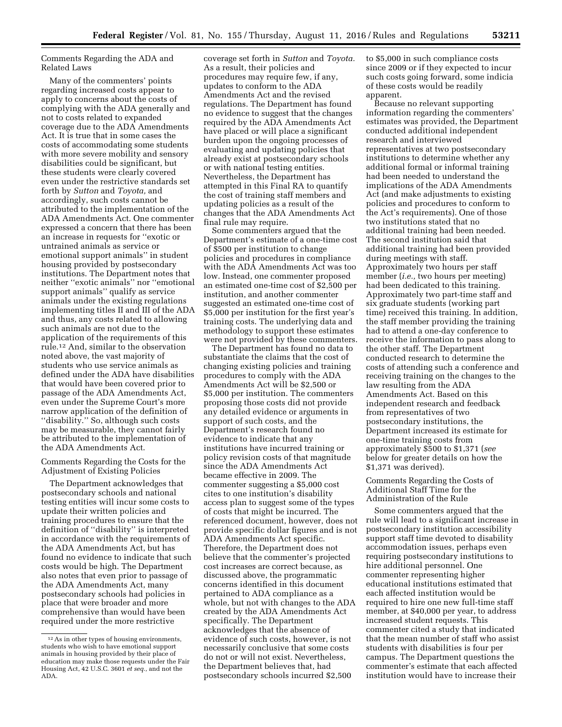Comments Regarding the ADA and Related Laws

Many of the commenters' points regarding increased costs appear to apply to concerns about the costs of complying with the ADA generally and not to costs related to expanded coverage due to the ADA Amendments Act. It is true that in some cases the costs of accommodating some students with more severe mobility and sensory disabilities could be significant, but these students were clearly covered even under the restrictive standards set forth by *Sutton* and *Toyota,* and accordingly, such costs cannot be attributed to the implementation of the ADA Amendments Act. One commenter expressed a concern that there has been an increase in requests for ''exotic or untrained animals as service or emotional support animals'' in student housing provided by postsecondary institutions. The Department notes that neither ''exotic animals'' nor ''emotional support animals'' qualify as service animals under the existing regulations implementing titles II and III of the ADA and thus, any costs related to allowing such animals are not due to the application of the requirements of this rule.12 And, similar to the observation noted above, the vast majority of students who use service animals as defined under the ADA have disabilities that would have been covered prior to passage of the ADA Amendments Act, even under the Supreme Court's more narrow application of the definition of ''disability.'' So, although such costs may be measurable, they cannot fairly be attributed to the implementation of the ADA Amendments Act.

Comments Regarding the Costs for the Adjustment of Existing Policies

The Department acknowledges that postsecondary schools and national testing entities will incur some costs to update their written policies and training procedures to ensure that the definition of ''disability'' is interpreted in accordance with the requirements of the ADA Amendments Act, but has found no evidence to indicate that such costs would be high. The Department also notes that even prior to passage of the ADA Amendments Act, many postsecondary schools had policies in place that were broader and more comprehensive than would have been required under the more restrictive

coverage set forth in *Sutton* and *Toyota.*  As a result, their policies and procedures may require few, if any, updates to conform to the ADA Amendments Act and the revised regulations. The Department has found no evidence to suggest that the changes required by the ADA Amendments Act have placed or will place a significant burden upon the ongoing processes of evaluating and updating policies that already exist at postsecondary schools or with national testing entities. Nevertheless, the Department has attempted in this Final RA to quantify the cost of training staff members and updating policies as a result of the changes that the ADA Amendments Act final rule may require.

Some commenters argued that the Department's estimate of a one-time cost of \$500 per institution to change policies and procedures in compliance with the ADA Amendments Act was too low. Instead, one commenter proposed an estimated one-time cost of \$2,500 per institution, and another commenter suggested an estimated one-time cost of \$5,000 per institution for the first year's training costs. The underlying data and methodology to support these estimates were not provided by these commenters.

The Department has found no data to substantiate the claims that the cost of changing existing policies and training procedures to comply with the ADA Amendments Act will be \$2,500 or \$5,000 per institution. The commenters proposing those costs did not provide any detailed evidence or arguments in support of such costs, and the Department's research found no evidence to indicate that any institutions have incurred training or policy revision costs of that magnitude since the ADA Amendments Act became effective in 2009. The commenter suggesting a \$5,000 cost cites to one institution's disability access plan to suggest some of the types of costs that might be incurred. The referenced document, however, does not provide specific dollar figures and is not ADA Amendments Act specific. Therefore, the Department does not believe that the commenter's projected cost increases are correct because, as discussed above, the programmatic concerns identified in this document pertained to ADA compliance as a whole, but not with changes to the ADA created by the ADA Amendments Act specifically. The Department acknowledges that the absence of evidence of such costs, however, is not necessarily conclusive that some costs do not or will not exist. Nevertheless, the Department believes that, had postsecondary schools incurred \$2,500

to \$5,000 in such compliance costs since 2009 or if they expected to incur such costs going forward, some indicia of these costs would be readily apparent.

Because no relevant supporting information regarding the commenters' estimates was provided, the Department conducted additional independent research and interviewed representatives at two postsecondary institutions to determine whether any additional formal or informal training had been needed to understand the implications of the ADA Amendments Act (and make adjustments to existing policies and procedures to conform to the Act's requirements). One of those two institutions stated that no additional training had been needed. The second institution said that additional training had been provided during meetings with staff. Approximately two hours per staff member (*i.e.,* two hours per meeting) had been dedicated to this training. Approximately two part-time staff and six graduate students (working part time) received this training. In addition, the staff member providing the training had to attend a one-day conference to receive the information to pass along to the other staff. The Department conducted research to determine the costs of attending such a conference and receiving training on the changes to the law resulting from the ADA Amendments Act. Based on this independent research and feedback from representatives of two postsecondary institutions, the Department increased its estimate for one-time training costs from approximately \$500 to \$1,371 (*see*  below for greater details on how the \$1,371 was derived).

#### Comments Regarding the Costs of Additional Staff Time for the Administration of the Rule

Some commenters argued that the rule will lead to a significant increase in postsecondary institution accessibility support staff time devoted to disability accommodation issues, perhaps even requiring postsecondary institutions to hire additional personnel. One commenter representing higher educational institutions estimated that each affected institution would be required to hire one new full-time staff member, at \$40,000 per year, to address increased student requests. This commenter cited a study that indicated that the mean number of staff who assist students with disabilities is four per campus. The Department questions the commenter's estimate that each affected institution would have to increase their

<sup>12</sup>As in other types of housing environments, students who wish to have emotional support animals in housing provided by their place of education may make those requests under the Fair Housing Act, 42 U.S.C. 3601 *et seq.,* and not the ADA.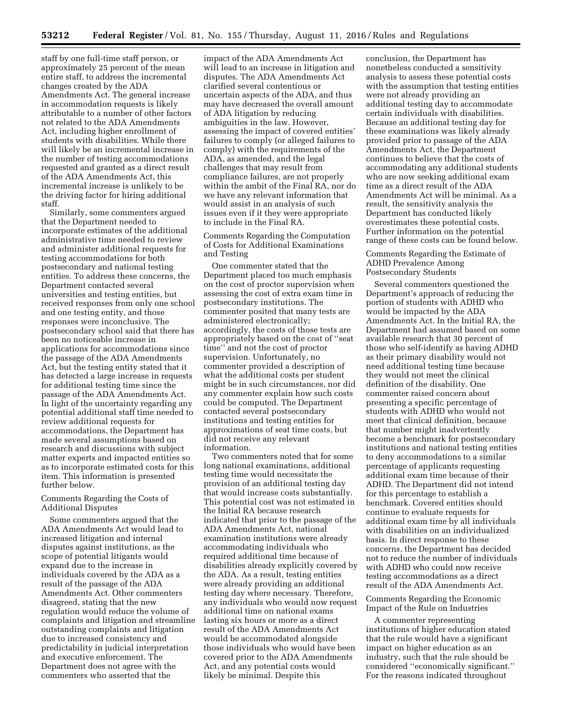staff by one full-time staff person, or approximately 25 percent of the mean entire staff, to address the incremental changes created by the ADA Amendments Act. The general increase in accommodation requests is likely attributable to a number of other factors not related to the ADA Amendments Act, including higher enrollment of students with disabilities. While there will likely be an incremental increase in the number of testing accommodations requested and granted as a direct result of the ADA Amendments Act, this incremental increase is unlikely to be the driving factor for hiring additional staff.

Similarly, some commenters argued that the Department needed to incorporate estimates of the additional administrative time needed to review and administer additional requests for testing accommodations for both postsecondary and national testing entities. To address these concerns, the Department contacted several universities and testing entities, but received responses from only one school and one testing entity, and those responses were inconclusive. The postsecondary school said that there has been no noticeable increase in applications for accommodations since the passage of the ADA Amendments Act, but the testing entity stated that it has detected a large increase in requests for additional testing time since the passage of the ADA Amendments Act. In light of the uncertainty regarding any potential additional staff time needed to review additional requests for accommodations, the Department has made several assumptions based on research and discussions with subject matter experts and impacted entities so as to incorporate estimated costs for this item. This information is presented further below.

## Comments Regarding the Costs of Additional Disputes

Some commenters argued that the ADA Amendments Act would lead to increased litigation and internal disputes against institutions, as the scope of potential litigants would expand due to the increase in individuals covered by the ADA as a result of the passage of the ADA Amendments Act. Other commenters disagreed, stating that the new regulation would reduce the volume of complaints and litigation and streamline outstanding complaints and litigation due to increased consistency and predictability in judicial interpretation and executive enforcement. The Department does not agree with the commenters who asserted that the

impact of the ADA Amendments Act will lead to an increase in litigation and disputes. The ADA Amendments Act clarified several contentious or uncertain aspects of the ADA, and thus may have decreased the overall amount of ADA litigation by reducing ambiguities in the law. However, assessing the impact of covered entities' failures to comply (or alleged failures to comply) with the requirements of the ADA, as amended, and the legal challenges that may result from compliance failures, are not properly within the ambit of the Final RA, nor do we have any relevant information that would assist in an analysis of such issues even if it they were appropriate to include in the Final RA.

Comments Regarding the Computation of Costs for Additional Examinations and Testing

One commenter stated that the Department placed too much emphasis on the cost of proctor supervision when assessing the cost of extra exam time in postsecondary institutions. The commenter posited that many tests are administered electronically; accordingly, the costs of those tests are appropriately based on the cost of ''seat time'' and not the cost of proctor supervision. Unfortunately, no commenter provided a description of what the additional costs per student might be in such circumstances, nor did any commenter explain how such costs could be computed. The Department contacted several postsecondary institutions and testing entities for approximations of seat time costs, but did not receive any relevant information.

Two commenters noted that for some long national examinations, additional testing time would necessitate the provision of an additional testing day that would increase costs substantially. This potential cost was not estimated in the Initial RA because research indicated that prior to the passage of the ADA Amendments Act, national examination institutions were already accommodating individuals who required additional time because of disabilities already explicitly covered by the ADA. As a result, testing entities were already providing an additional testing day where necessary. Therefore, any individuals who would now request additional time on national exams lasting six hours or more as a direct result of the ADA Amendments Act would be accommodated alongside those individuals who would have been covered prior to the ADA Amendments Act, and any potential costs would likely be minimal. Despite this

conclusion, the Department has nonetheless conducted a sensitivity analysis to assess these potential costs with the assumption that testing entities were not already providing an additional testing day to accommodate certain individuals with disabilities. Because an additional testing day for these examinations was likely already provided prior to passage of the ADA Amendments Act, the Department continues to believe that the costs of accommodating any additional students who are now seeking additional exam time as a direct result of the ADA Amendments Act will be minimal. As a result, the sensitivity analysis the Department has conducted likely overestimates these potential costs. Further information on the potential range of these costs can be found below.

Comments Regarding the Estimate of ADHD Prevalence Among Postsecondary Students

Several commenters questioned the Department's approach of reducing the portion of students with ADHD who would be impacted by the ADA Amendments Act. In the Initial RA, the Department had assumed based on some available research that 30 percent of those who self-identify as having ADHD as their primary disability would not need additional testing time because they would not meet the clinical definition of the disability. One commenter raised concern about presenting a specific percentage of students with ADHD who would not meet that clinical definition, because that number might inadvertently become a benchmark for postsecondary institutions and national testing entities to deny accommodations to a similar percentage of applicants requesting additional exam time because of their ADHD. The Department did not intend for this percentage to establish a benchmark. Covered entities should continue to evaluate requests for additional exam time by all individuals with disabilities on an individualized basis. In direct response to these concerns, the Department has decided not to reduce the number of individuals with ADHD who could now receive testing accommodations as a direct result of the ADA Amendments Act.

Comments Regarding the Economic Impact of the Rule on Industries

A commenter representing institutions of higher education stated that the rule would have a significant impact on higher education as an industry, such that the rule should be considered ''economically significant.'' For the reasons indicated throughout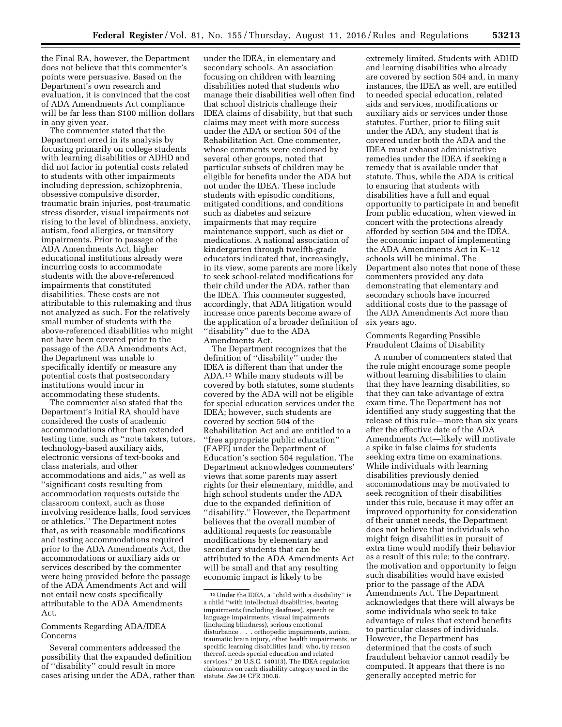the Final RA, however, the Department does not believe that this commenter's points were persuasive. Based on the Department's own research and evaluation, it is convinced that the cost of ADA Amendments Act compliance will be far less than \$100 million dollars in any given year.

The commenter stated that the Department erred in its analysis by focusing primarily on college students with learning disabilities or ADHD and did not factor in potential costs related to students with other impairments including depression, schizophrenia, obsessive compulsive disorder, traumatic brain injuries, post-traumatic stress disorder, visual impairments not rising to the level of blindness, anxiety, autism, food allergies, or transitory impairments. Prior to passage of the ADA Amendments Act, higher educational institutions already were incurring costs to accommodate students with the above-referenced impairments that constituted disabilities. These costs are not attributable to this rulemaking and thus not analyzed as such. For the relatively small number of students with the above-referenced disabilities who might not have been covered prior to the passage of the ADA Amendments Act, the Department was unable to specifically identify or measure any potential costs that postsecondary institutions would incur in accommodating these students.

The commenter also stated that the Department's Initial RA should have considered the costs of academic accommodations other than extended testing time, such as ''note takers, tutors, technology-based auxiliary aids, electronic versions of text-books and class materials, and other accommodations and aids,'' as well as ''significant costs resulting from accommodation requests outside the classroom context, such as those involving residence halls, food services or athletics.'' The Department notes that, as with reasonable modifications and testing accommodations required prior to the ADA Amendments Act, the accommodations or auxiliary aids or services described by the commenter were being provided before the passage of the ADA Amendments Act and will not entail new costs specifically attributable to the ADA Amendments Act.

## Comments Regarding ADA/IDEA Concerns

Several commenters addressed the possibility that the expanded definition of ''disability'' could result in more cases arising under the ADA, rather than

under the IDEA, in elementary and secondary schools. An association focusing on children with learning disabilities noted that students who manage their disabilities well often find that school districts challenge their IDEA claims of disability, but that such claims may meet with more success under the ADA or section 504 of the Rehabilitation Act. One commenter, whose comments were endorsed by several other groups, noted that particular subsets of children may be eligible for benefits under the ADA but not under the IDEA. These include students with episodic conditions, mitigated conditions, and conditions such as diabetes and seizure impairments that may require maintenance support, such as diet or medications. A national association of kindergarten through twelfth-grade educators indicated that, increasingly, in its view, some parents are more likely to seek school-related modifications for their child under the ADA, rather than the IDEA. This commenter suggested, accordingly, that ADA litigation would increase once parents become aware of the application of a broader definition of ''disability'' due to the ADA Amendments Act.

The Department recognizes that the definition of ''disability'' under the IDEA is different than that under the ADA.13 While many students will be covered by both statutes, some students covered by the ADA will not be eligible for special education services under the IDEA; however, such students are covered by section 504 of the Rehabilitation Act and are entitled to a ''free appropriate public education'' (FAPE) under the Department of Education's section 504 regulation. The Department acknowledges commenters' views that some parents may assert rights for their elementary, middle, and high school students under the ADA due to the expanded definition of ''disability.'' However, the Department believes that the overall number of additional requests for reasonable modifications by elementary and secondary students that can be attributed to the ADA Amendments Act will be small and that any resulting economic impact is likely to be

extremely limited. Students with ADHD and learning disabilities who already are covered by section 504 and, in many instances, the IDEA as well, are entitled to needed special education, related aids and services, modifications or auxiliary aids or services under those statutes. Further, prior to filing suit under the ADA, any student that is covered under both the ADA and the IDEA must exhaust administrative remedies under the IDEA if seeking a remedy that is available under that statute. Thus, while the ADA is critical to ensuring that students with disabilities have a full and equal opportunity to participate in and benefit from public education, when viewed in concert with the protections already afforded by section 504 and the IDEA, the economic impact of implementing the ADA Amendments Act in K–12 schools will be minimal. The Department also notes that none of these commenters provided any data demonstrating that elementary and secondary schools have incurred additional costs due to the passage of the ADA Amendments Act more than six years ago.

Comments Regarding Possible Fraudulent Claims of Disability

A number of commenters stated that the rule might encourage some people without learning disabilities to claim that they have learning disabilities, so that they can take advantage of extra exam time. The Department has not identified any study suggesting that the release of this rule—more than six years after the effective date of the ADA Amendments Act—likely will motivate a spike in false claims for students seeking extra time on examinations. While individuals with learning disabilities previously denied accommodations may be motivated to seek recognition of their disabilities under this rule, because it may offer an improved opportunity for consideration of their unmet needs, the Department does not believe that individuals who might feign disabilities in pursuit of extra time would modify their behavior as a result of this rule; to the contrary, the motivation and opportunity to feign such disabilities would have existed prior to the passage of the ADA Amendments Act. The Department acknowledges that there will always be some individuals who seek to take advantage of rules that extend benefits to particular classes of individuals. However, the Department has determined that the costs of such fraudulent behavior cannot readily be computed. It appears that there is no generally accepted metric for

 $^{\rm 13}\!\!\rm Under$  the IDEA, a ''child with a disability'' is a child ''with intellectual disabilities, hearing impairments (including deafness), speech or language impairments, visual impairments (including blindness), serious emotional disturbance . . . orthopedic impairments, autism, traumatic brain injury, other health impairments, or specific learning disabilities [and] who, by reason thereof, needs special education and related services.'' 20 U.S.C. 1401(3). The IDEA regulation elaborates on each disability category used in the statute. *See* 34 CFR 300.8.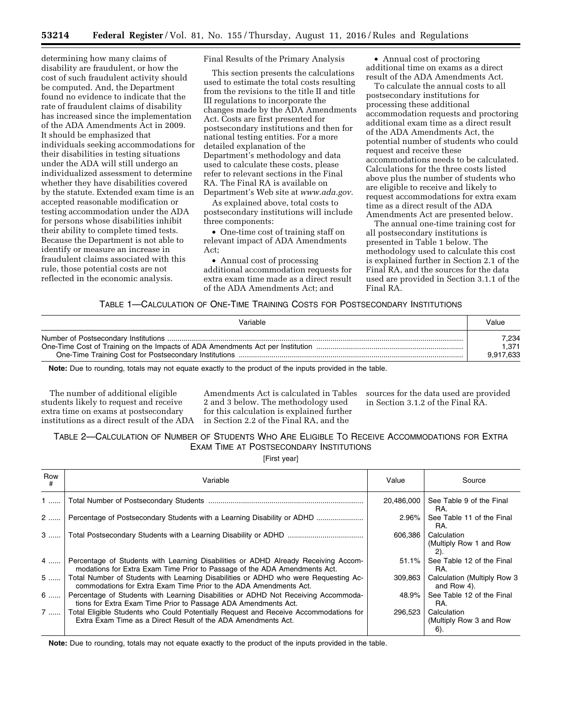determining how many claims of disability are fraudulent, or how the cost of such fraudulent activity should be computed. And, the Department found no evidence to indicate that the rate of fraudulent claims of disability has increased since the implementation of the ADA Amendments Act in 2009. It should be emphasized that individuals seeking accommodations for their disabilities in testing situations under the ADA will still undergo an individualized assessment to determine whether they have disabilities covered by the statute. Extended exam time is an accepted reasonable modification or testing accommodation under the ADA for persons whose disabilities inhibit their ability to complete timed tests. Because the Department is not able to identify or measure an increase in fraudulent claims associated with this rule, those potential costs are not reflected in the economic analysis.

Final Results of the Primary Analysis

This section presents the calculations used to estimate the total costs resulting from the revisions to the title II and title III regulations to incorporate the changes made by the ADA Amendments Act. Costs are first presented for postsecondary institutions and then for national testing entities. For a more detailed explanation of the Department's methodology and data used to calculate these costs, please refer to relevant sections in the Final RA. The Final RA is available on Department's Web site at *[www.ada.gov.](http://www.ada.gov)* 

As explained above, total costs to postsecondary institutions will include three components:

• One-time cost of training staff on relevant impact of ADA Amendments  $Act$ 

• Annual cost of processing additional accommodation requests for extra exam time made as a direct result of the ADA Amendments Act; and

• Annual cost of proctoring additional time on exams as a direct result of the ADA Amendments Act.

To calculate the annual costs to all postsecondary institutions for processing these additional accommodation requests and proctoring additional exam time as a direct result of the ADA Amendments Act, the potential number of students who could request and receive these accommodations needs to be calculated. Calculations for the three costs listed above plus the number of students who are eligible to receive and likely to request accommodations for extra exam time as a direct result of the ADA Amendments Act are presented below.

The annual one-time training cost for all postsecondary institutions is presented in Table 1 below. The methodology used to calculate this cost is explained further in Section 2.1 of the Final RA, and the sources for the data used are provided in Section 3.1.1 of the Final RA.

## TABLE 1—CALCULATION OF ONE-TIME TRAINING COSTS FOR POSTSECONDARY INSTITUTIONS

| Variable | Value     |
|----------|-----------|
|          | 7.234     |
|          | 1.371     |
|          | 9,917,633 |

**Note:** Due to rounding, totals may not equate exactly to the product of the inputs provided in the table.

The number of additional eligible students likely to request and receive extra time on exams at postsecondary institutions as a direct result of the ADA

Amendments Act is calculated in Tables 2 and 3 below. The methodology used for this calculation is explained further in Section 2.2 of the Final RA, and the

sources for the data used are provided in Section 3.1.2 of the Final RA.

## TABLE 2—CALCULATION OF NUMBER OF STUDENTS WHO ARE ELIGIBLE TO RECEIVE ACCOMMODATIONS FOR EXTRA EXAM TIME AT POSTSECONDARY INSTITUTIONS

[First year]

| Row<br># | Variable                                                                                                                                                           | Value      | Source                                            |
|----------|--------------------------------------------------------------------------------------------------------------------------------------------------------------------|------------|---------------------------------------------------|
| $1$      |                                                                                                                                                                    | 20,486,000 | See Table 9 of the Final<br>RA.                   |
| 2        | Percentage of Postsecondary Students with a Learning Disability or ADHD                                                                                            | $2.96\%$   | See Table 11 of the Final<br>RA.                  |
| $3$      |                                                                                                                                                                    | 606,386    | Calculation<br>(Multiply Row 1 and Row)<br>$2)$ . |
|          | 4  Percentage of Students with Learning Disabilities or ADHD Already Receiving Accom-<br>modations for Extra Exam Time Prior to Passage of the ADA Amendments Act. | $51.1\%$   | See Table 12 of the Final<br>RA.                  |
| $5$      | Total Number of Students with Learning Disabilities or ADHD who were Requesting Ac-<br>commodations for Extra Exam Time Prior to the ADA Amendments Act.           | 309,863    | Calculation (Multiply Row 3)<br>and Row 4).       |
| $6$      | Percentage of Students with Learning Disabilities or ADHD Not Receiving Accommoda-<br>tions for Extra Exam Time Prior to Passage ADA Amendments Act.               | 48.9%      | See Table 12 of the Final<br>RA.                  |
| 7        | Total Eligible Students who Could Potentially Request and Receive Accommodations for<br>Extra Exam Time as a Direct Result of the ADA Amendments Act.              | 296,523    | Calculation<br>(Multiply Row 3 and Row)<br>6).    |

**Note:** Due to rounding, totals may not equate exactly to the product of the inputs provided in the table.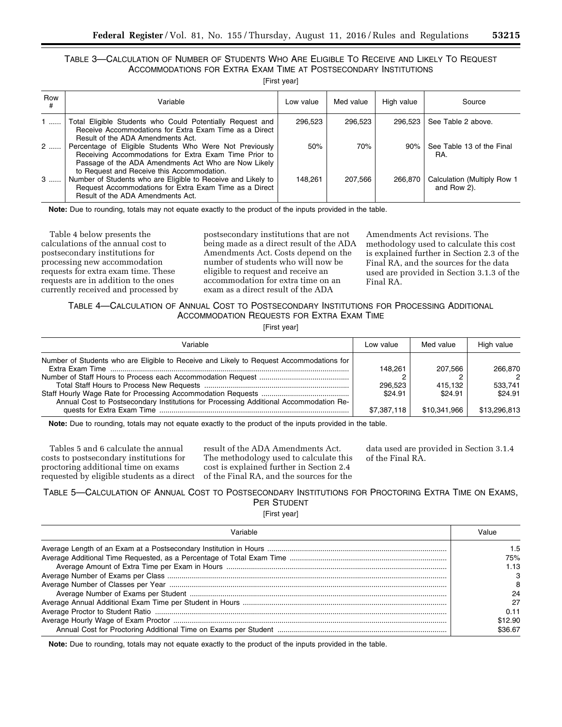## TABLE 3—CALCULATION OF NUMBER OF STUDENTS WHO ARE ELIGIBLE TO RECEIVE AND LIKELY TO REQUEST ACCOMMODATIONS FOR EXTRA EXAM TIME AT POSTSECONDARY INSTITUTIONS

[First year]

| Row<br># | Variable                                                                                                                                                                                                               | Low value | Med value | High value | Source                                     |
|----------|------------------------------------------------------------------------------------------------------------------------------------------------------------------------------------------------------------------------|-----------|-----------|------------|--------------------------------------------|
| $1$      | Total Eligible Students who Could Potentially Request and<br>Receive Accommodations for Extra Exam Time as a Direct<br>Result of the ADA Amendments Act.                                                               | 296.523   | 296,523   | 296.523    | See Table 2 above.                         |
| 2        | Percentage of Eligible Students Who Were Not Previously<br>Receiving Accommodations for Extra Exam Time Prior to<br>Passage of the ADA Amendments Act Who are Now Likely<br>to Request and Receive this Accommodation. | 50%       | 70%       | 90%        | See Table 13 of the Final<br>RA.           |
| $3$      | Number of Students who are Eligible to Receive and Likely to<br>Request Accommodations for Extra Exam Time as a Direct<br>Result of the ADA Amendments Act.                                                            | 148.261   | 207.566   | 266,870    | Calculation (Multiply Row 1<br>and Row 2). |

**Note:** Due to rounding, totals may not equate exactly to the product of the inputs provided in the table.

Table 4 below presents the calculations of the annual cost to postsecondary institutions for processing new accommodation requests for extra exam time. These requests are in addition to the ones currently received and processed by

postsecondary institutions that are not being made as a direct result of the ADA Amendments Act. Costs depend on the number of students who will now be eligible to request and receive an accommodation for extra time on an exam as a direct result of the ADA

Amendments Act revisions. The methodology used to calculate this cost is explained further in Section 2.3 of the Final RA, and the sources for the data used are provided in Section 3.1.3 of the Final RA.

## TABLE 4—CALCULATION OF ANNUAL COST TO POSTSECONDARY INSTITUTIONS FOR PROCESSING ADDITIONAL ACCOMMODATION REQUESTS FOR EXTRA EXAM TIME

[First year]

| Variable                                                                                | Low value          | Med value          | High value                          |
|-----------------------------------------------------------------------------------------|--------------------|--------------------|-------------------------------------|
| Number of Students who are Eligible to Receive and Likely to Request Accommodations for | 148.261            | 207.566            | 266,870                             |
| Annual Cost to Postsecondary Institutions for Processing Additional Accommodation Re-   | 296.523<br>\$24.91 | 415.132<br>\$24.91 | $\mathcal{P}$<br>533.741<br>\$24.91 |
|                                                                                         | \$7.387.118        | \$10,341,966       | \$13,296,813                        |

**Note:** Due to rounding, totals may not equate exactly to the product of the inputs provided in the table.

Tables 5 and 6 calculate the annual costs to postsecondary institutions for proctoring additional time on exams requested by eligible students as a direct

result of the ADA Amendments Act. The methodology used to calculate this cost is explained further in Section 2.4 of the Final RA, and the sources for the

data used are provided in Section 3.1.4 of the Final RA.

## TABLE 5—CALCULATION OF ANNUAL COST TO POSTSECONDARY INSTITUTIONS FOR PROCTORING EXTRA TIME ON EXAMS, PER STUDENT

[First year]

| l 5     |
|---------|
| 75%     |
| 1.13    |
| 3       |
| 8       |
|         |
| 27      |
| 0.11    |
| \$12.90 |
| \$36.67 |

**Note:** Due to rounding, totals may not equate exactly to the product of the inputs provided in the table.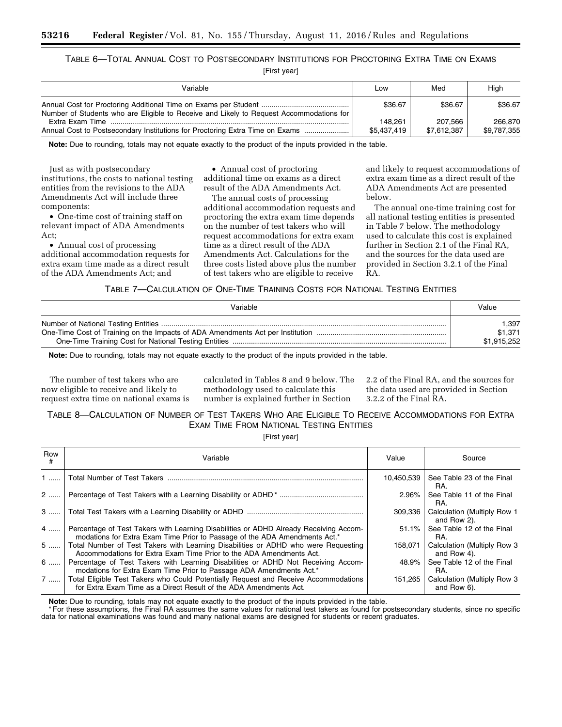# TABLE 6—TOTAL ANNUAL COST TO POSTSECONDARY INSTITUTIONS FOR PROCTORING EXTRA TIME ON EXAMS

[First year]

| Variable                                                                                | Low         | Med         | Hiah        |
|-----------------------------------------------------------------------------------------|-------------|-------------|-------------|
| Number of Students who are Eligible to Receive and Likely to Request Accommodations for | \$36.67     | \$36.67     | \$36.67     |
|                                                                                         | 148.261     | 207.566     | 266.870     |
| Annual Cost to Postsecondary Institutions for Proctoring Extra Time on Exams            | \$5.437.419 | \$7.612.387 | \$9.787.355 |

**Note:** Due to rounding, totals may not equate exactly to the product of the inputs provided in the table.

Just as with postsecondary institutions, the costs to national testing entities from the revisions to the ADA Amendments Act will include three components:

• One-time cost of training staff on relevant impact of ADA Amendments Act;

• Annual cost of processing additional accommodation requests for extra exam time made as a direct result of the ADA Amendments Act; and

• Annual cost of proctoring additional time on exams as a direct result of the ADA Amendments Act.

The annual costs of processing additional accommodation requests and proctoring the extra exam time depends on the number of test takers who will request accommodations for extra exam time as a direct result of the ADA Amendments Act. Calculations for the three costs listed above plus the number of test takers who are eligible to receive

and likely to request accommodations of extra exam time as a direct result of the ADA Amendments Act are presented below.

The annual one-time training cost for all national testing entities is presented in Table 7 below. The methodology used to calculate this cost is explained further in Section 2.1 of the Final RA, and the sources for the data used are provided in Section 3.2.1 of the Final RA.

## TABLE 7—CALCULATION OF ONE-TIME TRAINING COSTS FOR NATIONAL TESTING ENTITIES

| Variable | Value       |
|----------|-------------|
|          | 1.397       |
|          | \$1.371     |
|          | \$1.915.252 |

**Note:** Due to rounding, totals may not equate exactly to the product of the inputs provided in the table.

The number of test takers who are now eligible to receive and likely to request extra time on national exams is calculated in Tables 8 and 9 below. The methodology used to calculate this number is explained further in Section

2.2 of the Final RA, and the sources for the data used are provided in Section 3.2.2 of the Final RA.

# TABLE 8—CALCULATION OF NUMBER OF TEST TAKERS WHO ARE ELIGIBLE TO RECEIVE ACCOMMODATIONS FOR EXTRA EXAM TIME FROM NATIONAL TESTING ENTITIES

[First year]

| Row<br># | Variable                                                                                                                                                               | Value      | Source                                      |
|----------|------------------------------------------------------------------------------------------------------------------------------------------------------------------------|------------|---------------------------------------------|
| $1$      |                                                                                                                                                                        | 10.450.539 | See Table 23 of the Final<br>RA.            |
| $2$      |                                                                                                                                                                        | $2.96\%$   | See Table 11 of the Final<br>RA.            |
|          |                                                                                                                                                                        | 309,336    | Calculation (Multiply Row 1<br>and Row 2).  |
|          | 4  Percentage of Test Takers with Learning Disabilities or ADHD Already Receiving Accom-<br>modations for Extra Exam Time Prior to Passage of the ADA Amendments Act.* | $51.1\%$   | See Table 12 of the Final<br>RA.            |
|          | 5  Total Number of Test Takers with Learning Disabilities or ADHD who were Requesting<br>Accommodations for Extra Exam Time Prior to the ADA Amendments Act.           | 158.071    | Calculation (Multiply Row 3)<br>and Row 4). |
|          | 6  Percentage of Test Takers with Learning Disabilities or ADHD Not Receiving Accom-<br>modations for Extra Exam Time Prior to Passage ADA Amendments Act.*            | 48.9%      | See Table 12 of the Final<br>RA.            |
|          | 7  Total Eligible Test Takers who Could Potentially Request and Receive Accommodations<br>for Extra Exam Time as a Direct Result of the ADA Amendments Act.            | 151.265    | Calculation (Multiply Row 3)<br>and Row 6). |

**Note:** Due to rounding, totals may not equate exactly to the product of the inputs provided in the table.

\* For these assumptions, the Final RA assumes the same values for national test takers as found for postsecondary students, since no specific data for national examinations was found and many national exams are designed for students or recent graduates.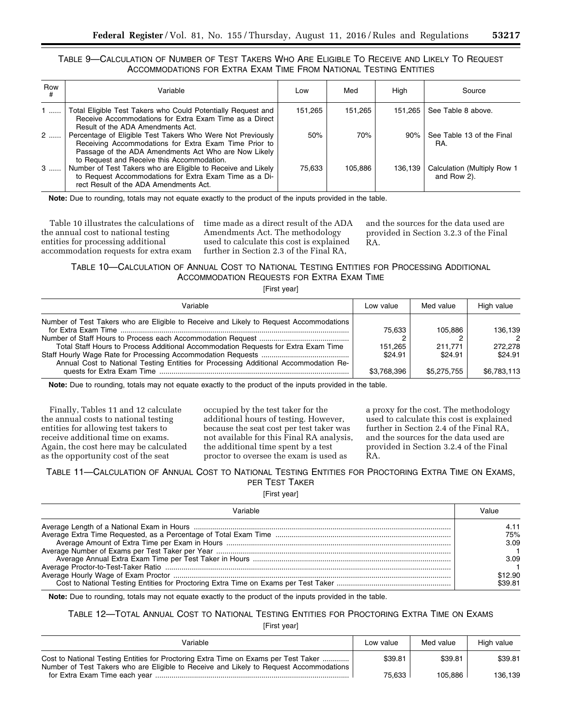TABLE 9—CALCULATION OF NUMBER OF TEST TAKERS WHO ARE ELIGIBLE TO RECEIVE AND LIKELY TO REQUEST ACCOMMODATIONS FOR EXTRA EXAM TIME FROM NATIONAL TESTING ENTITIES

| Row<br># | Variable                                                                                                                                                                                                                  | Low     | Med     | High    | Source                                     |
|----------|---------------------------------------------------------------------------------------------------------------------------------------------------------------------------------------------------------------------------|---------|---------|---------|--------------------------------------------|
|          | Total Eligible Test Takers who Could Potentially Request and<br>Receive Accommodations for Extra Exam Time as a Direct<br>Result of the ADA Amendments Act.                                                               | 151.265 | 151.265 | 151.265 | See Table 8 above.                         |
| 2        | Percentage of Eligible Test Takers Who Were Not Previously<br>Receiving Accommodations for Extra Exam Time Prior to<br>Passage of the ADA Amendments Act Who are Now Likely<br>to Request and Receive this Accommodation. | 50%     | 70%     | 90%     | See Table 13 of the Final<br>RA.           |
| $3$      | Number of Test Takers who are Eligible to Receive and Likely<br>to Request Accommodations for Extra Exam Time as a Di-<br>rect Result of the ADA Amendments Act.                                                          | 75.633  | 105.886 | 136,139 | Calculation (Multiply Row 1<br>and Row 2). |

**Note:** Due to rounding, totals may not equate exactly to the product of the inputs provided in the table.

Table 10 illustrates the calculations of time made as a direct result of the ADA the annual cost to national testing entities for processing additional accommodation requests for extra exam

Amendments Act. The methodology used to calculate this cost is explained further in Section 2.3 of the Final RA,

and the sources for the data used are provided in Section 3.2.3 of the Final RA.

## TABLE 10—CALCULATION OF ANNUAL COST TO NATIONAL TESTING ENTITIES FOR PROCESSING ADDITIONAL ACCOMMODATION REQUESTS FOR EXTRA EXAM TIME

[First year]

| Variable                                                                               | Low value   | Med value   | High value               |
|----------------------------------------------------------------------------------------|-------------|-------------|--------------------------|
| Number of Test Takers who are Eligible to Receive and Likely to Request Accommodations | 75,633      | 105.886     | 136,139                  |
| Total Staff Hours to Process Additional Accommodation Requests for Extra Exam Time     | 151.265     | 211.771     | $\mathcal{P}$<br>272.278 |
| Annual Cost to National Testing Entities for Processing Additional Accommodation Re-   | \$24.91     | \$24.91     | \$24.91                  |
|                                                                                        | \$3,768,396 | \$5.275.755 | \$6,783,113              |

**Note:** Due to rounding, totals may not equate exactly to the product of the inputs provided in the table.

Finally, Tables 11 and 12 calculate the annual costs to national testing entities for allowing test takers to receive additional time on exams. Again, the cost here may be calculated as the opportunity cost of the seat

occupied by the test taker for the additional hours of testing. However, because the seat cost per test taker was not available for this Final RA analysis, the additional time spent by a test proctor to oversee the exam is used as

a proxy for the cost. The methodology used to calculate this cost is explained further in Section 2.4 of the Final RA, and the sources for the data used are provided in Section 3.2.4 of the Final RA.

TABLE 11—CALCULATION OF ANNUAL COST TO NATIONAL TESTING ENTITIES FOR PROCTORING EXTRA TIME ON EXAMS, PER TEST TAKER

[First year]

| /ariable | /alue   |
|----------|---------|
|          | 4.11    |
|          | 75%     |
|          | 3.09    |
|          |         |
|          | 3.09    |
|          |         |
|          | \$12.90 |
|          | \$39.81 |

**Note:** Due to rounding, totals may not equate exactly to the product of the inputs provided in the table.

## TABLE 12—TOTAL ANNUAL COST TO NATIONAL TESTING ENTITIES FOR PROCTORING EXTRA TIME ON EXAMS

[First year]

| Variable                                                                                                                                                                      | Low value | Med value | High value |
|-------------------------------------------------------------------------------------------------------------------------------------------------------------------------------|-----------|-----------|------------|
| Cost to National Testing Entities for Proctoring Extra Time on Exams per Test Taker<br>Number of Test Takers who are Eligible to Receive and Likely to Request Accommodations | \$39.81   | \$39.81   | \$39.81    |
|                                                                                                                                                                               | 75.633    | 105.886   | 136.139    |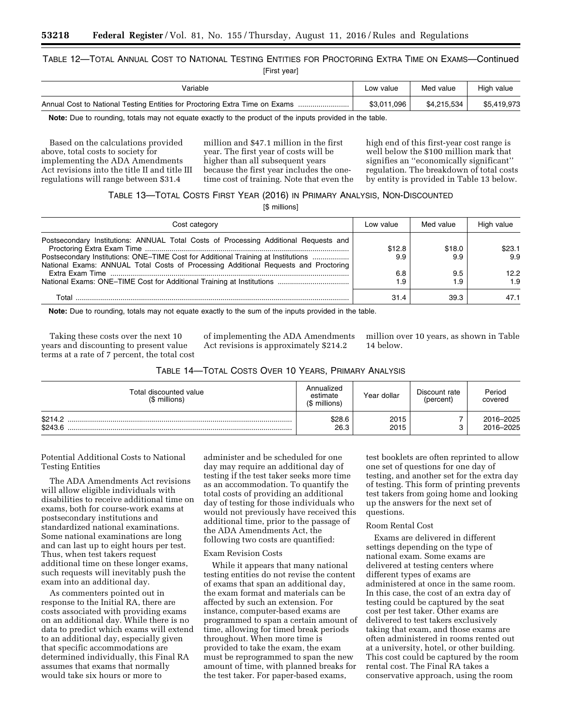## TABLE 12—TOTAL ANNUAL COST TO NATIONAL TESTING ENTITIES FOR PROCTORING EXTRA TIME ON EXAMS—Continued [First year]

| Variable                                                                                                         | Low value   | Med value   | High value  |
|------------------------------------------------------------------------------------------------------------------|-------------|-------------|-------------|
| Annual Cost to National Testing Entities for Proctoring Extra Time on Exams                                      | \$3.011.096 | \$4.215.534 | \$5,419,973 |
| Mater Books, as well as the basic was a second to a substitute the second of the basic assed to the tells. Total |             |             |             |

**Note:** Due to rounding, totals may not equate exactly to the product of the inputs provided in the table.

Based on the calculations provided above, total costs to society for implementing the ADA Amendments Act revisions into the title II and title III regulations will range between \$31.4

million and \$47.1 million in the first year. The first year of costs will be higher than all subsequent years because the first year includes the onetime cost of training. Note that even the high end of this first-year cost range is well below the \$100 million mark that signifies an ''economically significant'' regulation. The breakdown of total costs by entity is provided in Table 13 below.

## TABLE 13—TOTAL COSTS FIRST YEAR (2016) IN PRIMARY ANALYSIS, NON-DISCOUNTED

[\$ millions]

| Cost category                                                                                                                                                            | Low value | Med value | High value |
|--------------------------------------------------------------------------------------------------------------------------------------------------------------------------|-----------|-----------|------------|
| Postsecondary Institutions: ANNUAL Total Costs of Processing Additional Requests and                                                                                     | \$12.8    | \$18.0    | \$23.1     |
| Postsecondary Institutions: ONE-TIME Cost for Additional Training at Institutions<br>National Exams: ANNUAL Total Costs of Processing Additional Requests and Proctoring | 9.9       | 9.9       | 9.9        |
|                                                                                                                                                                          | 6.8       | 9.5       | 12.2       |
|                                                                                                                                                                          | 1.9       |           | 1.9        |
| Total                                                                                                                                                                    | 31.4      | 39.3      |            |

**Note:** Due to rounding, totals may not equate exactly to the sum of the inputs provided in the table.

Taking these costs over the next 10 years and discounting to present value terms at a rate of 7 percent, the total cost of implementing the ADA Amendments Act revisions is approximately \$214.2

million over 10 years, as shown in Table 14 below.

| TABLE 14-TOTAL COSTS OVER 10 YEARS, PRIMARY ANALYSIS |  |  |  |  |  |  |
|------------------------------------------------------|--|--|--|--|--|--|
|------------------------------------------------------|--|--|--|--|--|--|

| Total discounted value<br>(\$ millions) | Annualized<br>estimate<br>(\$ millions) | Year dollar  | Discount rate<br>(percent) | Period<br>covered      |
|-----------------------------------------|-----------------------------------------|--------------|----------------------------|------------------------|
| \$214.2<br>\$243.6                      | \$28.6<br>26.3                          | 2015<br>2015 |                            | 2016-2025<br>2016-2025 |

Potential Additional Costs to National Testing Entities

The ADA Amendments Act revisions will allow eligible individuals with disabilities to receive additional time on exams, both for course-work exams at postsecondary institutions and standardized national examinations. Some national examinations are long and can last up to eight hours per test. Thus, when test takers request additional time on these longer exams, such requests will inevitably push the exam into an additional day.

As commenters pointed out in response to the Initial RA, there are costs associated with providing exams on an additional day. While there is no data to predict which exams will extend to an additional day, especially given that specific accommodations are determined individually, this Final RA assumes that exams that normally would take six hours or more to

administer and be scheduled for one day may require an additional day of testing if the test taker seeks more time as an accommodation. To quantify the total costs of providing an additional day of testing for those individuals who would not previously have received this additional time, prior to the passage of the ADA Amendments Act, the following two costs are quantified:

## Exam Revision Costs

While it appears that many national testing entities do not revise the content of exams that span an additional day, the exam format and materials can be affected by such an extension. For instance, computer-based exams are programmed to span a certain amount of time, allowing for timed break periods throughout. When more time is provided to take the exam, the exam must be reprogrammed to span the new amount of time, with planned breaks for the test taker. For paper-based exams,

test booklets are often reprinted to allow one set of questions for one day of testing, and another set for the extra day of testing. This form of printing prevents test takers from going home and looking up the answers for the next set of questions.

#### Room Rental Cost

Exams are delivered in different settings depending on the type of national exam. Some exams are delivered at testing centers where different types of exams are administered at once in the same room. In this case, the cost of an extra day of testing could be captured by the seat cost per test taker. Other exams are delivered to test takers exclusively taking that exam, and those exams are often administered in rooms rented out at a university, hotel, or other building. This cost could be captured by the room rental cost. The Final RA takes a conservative approach, using the room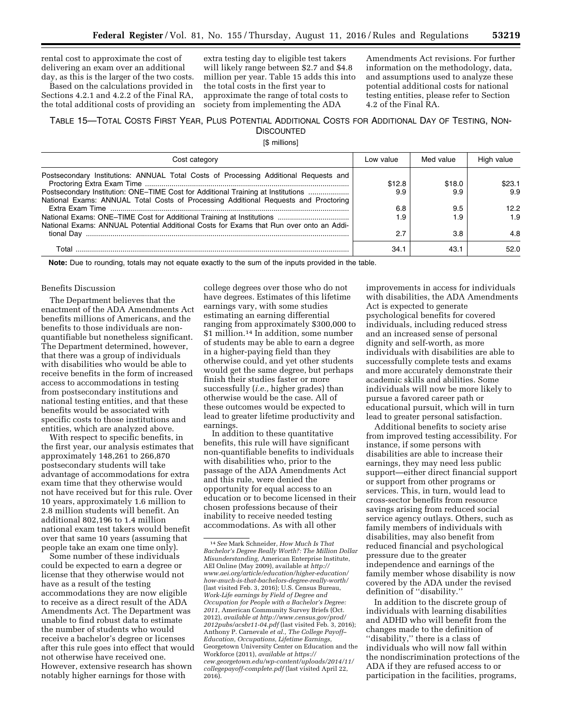rental cost to approximate the cost of delivering an exam over an additional day, as this is the larger of the two costs.

Based on the calculations provided in Sections 4.2.1 and 4.2.2 of the Final RA, the total additional costs of providing an

extra testing day to eligible test takers will likely range between \$2.7 and \$4.8 million per year. Table 15 adds this into the total costs in the first year to approximate the range of total costs to society from implementing the ADA

Amendments Act revisions. For further information on the methodology, data, and assumptions used to analyze these potential additional costs for national testing entities, please refer to Section 4.2 of the Final RA.

## TABLE 15—TOTAL COSTS FIRST YEAR, PLUS POTENTIAL ADDITIONAL COSTS FOR ADDITIONAL DAY OF TESTING, NON-**DISCOUNTED**

[\$ millions]

| Cost category                                                                                                                                                           | Low value | Med value | High value |
|-------------------------------------------------------------------------------------------------------------------------------------------------------------------------|-----------|-----------|------------|
| Postsecondary Institutions: ANNUAL Total Costs of Processing Additional Requests and                                                                                    | \$12.8    | \$18.0    | \$23.1     |
| Postsecondary Institution: ONE-TIME Cost for Additional Training at Institutions<br>National Exams: ANNUAL Total Costs of Processing Additional Requests and Proctoring | 9.9       | 9.9       | 9.9        |
|                                                                                                                                                                         | 6.8       | 9.5       | 12.2       |
| National Exams: ANNUAL Potential Additional Costs for Exams that Run over onto an Addi-                                                                                 | 1.9       | 1.9       | 1.9        |
|                                                                                                                                                                         | 2.7       | 3.8       | 4.8        |
| T∩tal                                                                                                                                                                   | 34.1      | 43.1      | 52.0       |

**Note:** Due to rounding, totals may not equate exactly to the sum of the inputs provided in the table.

#### Benefits Discussion

The Department believes that the enactment of the ADA Amendments Act benefits millions of Americans, and the benefits to those individuals are nonquantifiable but nonetheless significant. The Department determined, however, that there was a group of individuals with disabilities who would be able to receive benefits in the form of increased access to accommodations in testing from postsecondary institutions and national testing entities, and that these benefits would be associated with specific costs to those institutions and entities, which are analyzed above.

With respect to specific benefits, in the first year, our analysis estimates that approximately 148,261 to 266,870 postsecondary students will take advantage of accommodations for extra exam time that they otherwise would not have received but for this rule. Over 10 years, approximately 1.6 million to 2.8 million students will benefit. An additional 802,196 to 1.4 million national exam test takers would benefit over that same 10 years (assuming that people take an exam one time only).

Some number of these individuals could be expected to earn a degree or license that they otherwise would not have as a result of the testing accommodations they are now eligible to receive as a direct result of the ADA Amendments Act. The Department was unable to find robust data to estimate the number of students who would receive a bachelor's degree or licenses after this rule goes into effect that would not otherwise have received one. However, extensive research has shown notably higher earnings for those with

college degrees over those who do not have degrees. Estimates of this lifetime earnings vary, with some studies estimating an earning differential ranging from approximately \$300,000 to \$1 million.14 In addition, some number of students may be able to earn a degree in a higher-paying field than they otherwise could, and yet other students would get the same degree, but perhaps finish their studies faster or more successfully (*i.e.,* higher grades) than otherwise would be the case. All of these outcomes would be expected to lead to greater lifetime productivity and earnings.

In addition to these quantitative benefits, this rule will have significant non-quantifiable benefits to individuals with disabilities who, prior to the passage of the ADA Amendments Act and this rule, were denied the opportunity for equal access to an education or to become licensed in their chosen professions because of their inability to receive needed testing accommodations. As with all other

improvements in access for individuals with disabilities, the ADA Amendments Act is expected to generate psychological benefits for covered individuals, including reduced stress and an increased sense of personal dignity and self-worth, as more individuals with disabilities are able to successfully complete tests and exams and more accurately demonstrate their academic skills and abilities. Some individuals will now be more likely to pursue a favored career path or educational pursuit, which will in turn lead to greater personal satisfaction.

Additional benefits to society arise from improved testing accessibility. For instance, if some persons with disabilities are able to increase their earnings, they may need less public support—either direct financial support or support from other programs or services. This, in turn, would lead to cross-sector benefits from resource savings arising from reduced social service agency outlays. Others, such as family members of individuals with disabilities, may also benefit from reduced financial and psychological pressure due to the greater independence and earnings of the family member whose disability is now covered by the ADA under the revised definition of ''disability.''

In addition to the discrete group of individuals with learning disabilities and ADHD who will benefit from the changes made to the definition of ''disability,'' there is a class of individuals who will now fall within the nondiscrimination protections of the ADA if they are refused access to or participation in the facilities, programs,

<sup>14</sup>*See* Mark Schneider, *How Much Is That Bachelor's Degree Really Worth?: The Million Dollar Misunderstanding,* American Enterprise Institute, AEI Online (May 2009), available at *[http://](http://www.aei.org/article/education/higher-education/how-much-is-that-bachelors-degree-really-worth/) [www.aei.org/article/education/higher-education/](http://www.aei.org/article/education/higher-education/how-much-is-that-bachelors-degree-really-worth/)  [how-much-is-that-bachelors-degree-really-worth/](http://www.aei.org/article/education/higher-education/how-much-is-that-bachelors-degree-really-worth/)*  (last visited Feb. 3, 2016); U.S. Census Bureau, *Work-Life earnings by Field of Degree and Occupation for People with a Bachelor's Degree: 2011,* American Community Survey Briefs (Oct. 2012), *available at [http://www.census.gov/prod/](http://www.census.gov/prod/2012pubs/acsbr11-04.pdf) [2012pubs/acsbr11-04.pdf](http://www.census.gov/prod/2012pubs/acsbr11-04.pdf)* (last visited Feb. 3, 2016); Anthony P. Carnevale *et al., The College Payoff– Education, Occupations, Lifetime Earnings,*  Georgetown University Center on Education and the Workforce (2011), *available at [https://](https://cew.georgetown.edu/wp-content/uploads/2014/11/collegepayoff-complete.pdf)  [cew.georgetown.edu/wp-content/uploads/2014/11/](https://cew.georgetown.edu/wp-content/uploads/2014/11/collegepayoff-complete.pdf)  [collegepayoff-complete.pdf](https://cew.georgetown.edu/wp-content/uploads/2014/11/collegepayoff-complete.pdf)* (last visited April 22, 2016).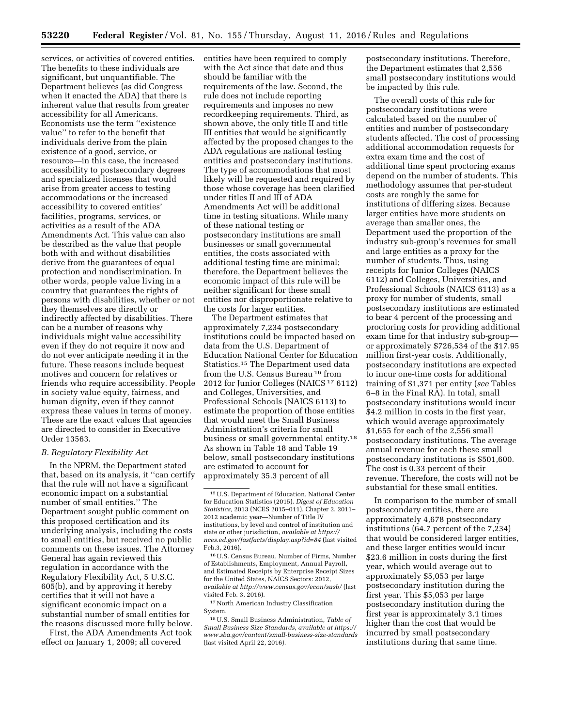services, or activities of covered entities. The benefits to these individuals are significant, but unquantifiable. The Department believes (as did Congress when it enacted the ADA) that there is inherent value that results from greater accessibility for all Americans. Economists use the term ''existence value'' to refer to the benefit that individuals derive from the plain existence of a good, service, or resource—in this case, the increased accessibility to postsecondary degrees and specialized licenses that would arise from greater access to testing accommodations or the increased accessibility to covered entities' facilities, programs, services, or activities as a result of the ADA Amendments Act. This value can also be described as the value that people both with and without disabilities derive from the guarantees of equal protection and nondiscrimination. In other words, people value living in a country that guarantees the rights of persons with disabilities, whether or not they themselves are directly or indirectly affected by disabilities. There can be a number of reasons why individuals might value accessibility even if they do not require it now and do not ever anticipate needing it in the future. These reasons include bequest motives and concern for relatives or friends who require accessibility. People in society value equity, fairness, and human dignity, even if they cannot express these values in terms of money. These are the exact values that agencies are directed to consider in Executive Order 13563.

## *B. Regulatory Flexibility Act*

In the NPRM, the Department stated that, based on its analysis, it ''can certify that the rule will not have a significant economic impact on a substantial number of small entities.'' The Department sought public comment on this proposed certification and its underlying analysis, including the costs to small entities, but received no public comments on these issues. The Attorney General has again reviewed this regulation in accordance with the Regulatory Flexibility Act, 5 U.S.C. 605(b), and by approving it hereby certifies that it will not have a significant economic impact on a substantial number of small entities for the reasons discussed more fully below.

First, the ADA Amendments Act took effect on January 1, 2009; all covered

entities have been required to comply with the Act since that date and thus should be familiar with the requirements of the law. Second, the rule does not include reporting requirements and imposes no new recordkeeping requirements. Third, as shown above, the only title II and title III entities that would be significantly affected by the proposed changes to the ADA regulations are national testing entities and postsecondary institutions. The type of accommodations that most likely will be requested and required by those whose coverage has been clarified under titles II and III of ADA Amendments Act will be additional time in testing situations. While many of these national testing or postsecondary institutions are small businesses or small governmental entities, the costs associated with additional testing time are minimal; therefore, the Department believes the economic impact of this rule will be neither significant for these small entities nor disproportionate relative to the costs for larger entities.

The Department estimates that approximately 7,234 postsecondary institutions could be impacted based on data from the U.S. Department of Education National Center for Education Statistics.15 The Department used data from the U.S. Census Bureau 16 from 2012 for Junior Colleges (NAICS 17 6112) and Colleges, Universities, and Professional Schools (NAICS 6113) to estimate the proportion of those entities that would meet the Small Business Administration's criteria for small business or small governmental entity.18 As shown in Table 18 and Table 19 below, small postsecondary institutions are estimated to account for approximately 35.3 percent of all

16U.S. Census Bureau, Number of Firms, Number of Establishments, Employment, Annual Payroll, and Estimated Receipts by Enterprise Receipt Sizes for the United States, NAICS Sectors: 2012, *available at<http://www.census.gov/econ/susb/>* (last visited Feb. 3, 2016).

17North American Industry Classification System.

postsecondary institutions. Therefore, the Department estimates that 2,556 small postsecondary institutions would be impacted by this rule.

The overall costs of this rule for postsecondary institutions were calculated based on the number of entities and number of postsecondary students affected. The cost of processing additional accommodation requests for extra exam time and the cost of additional time spent proctoring exams depend on the number of students. This methodology assumes that per-student costs are roughly the same for institutions of differing sizes. Because larger entities have more students on average than smaller ones, the Department used the proportion of the industry sub-group's revenues for small and large entities as a proxy for the number of students. Thus, using receipts for Junior Colleges (NAICS 6112) and Colleges, Universities, and Professional Schools (NAICS 6113) as a proxy for number of students, small postsecondary institutions are estimated to bear 4 percent of the processing and proctoring costs for providing additional exam time for that industry sub-group or approximately \$726,534 of the \$17.95 million first-year costs. Additionally, postsecondary institutions are expected to incur one-time costs for additional training of \$1,371 per entity (*see* Tables 6–8 in the Final RA). In total, small postsecondary institutions would incur \$4.2 million in costs in the first year, which would average approximately \$1,655 for each of the 2,556 small postsecondary institutions. The average annual revenue for each these small postsecondary institutions is \$501,600. The cost is 0.33 percent of their revenue. Therefore, the costs will not be substantial for these small entities.

In comparison to the number of small postsecondary entities, there are approximately 4,678 postsecondary institutions (64.7 percent of the 7,234) that would be considered larger entities, and these larger entities would incur \$23.6 million in costs during the first year, which would average out to approximately \$5,053 per large postsecondary institution during the first year. This \$5,053 per large postsecondary institution during the first year is approximately 3.1 times higher than the cost that would be incurred by small postsecondary institutions during that same time.

<sup>15</sup>U.S. Department of Education, National Center for Education Statistics (2015). *Digest of Education Statistics,* 2013 (NCES 2015–011), Chapter 2. 2011– 2012 academic year—Number of Title IV institutions, by level and control of institution and state or other jurisdiction, *available at [https://](https://nces.ed.gov/fastfacts/display.asp?id=84) [nces.ed.gov/fastfacts/display.asp?id=84](https://nces.ed.gov/fastfacts/display.asp?id=84)* (last visited Feb.3, 2016).

<sup>18</sup>U.S. Small Business Administration, *Table of Small Business Size Standards, available at [https://](https://www.sba.gov/content/small-business-size-standards) [www.sba.gov/content/small-business-size-standards](https://www.sba.gov/content/small-business-size-standards)*  (last visited April 22, 2016).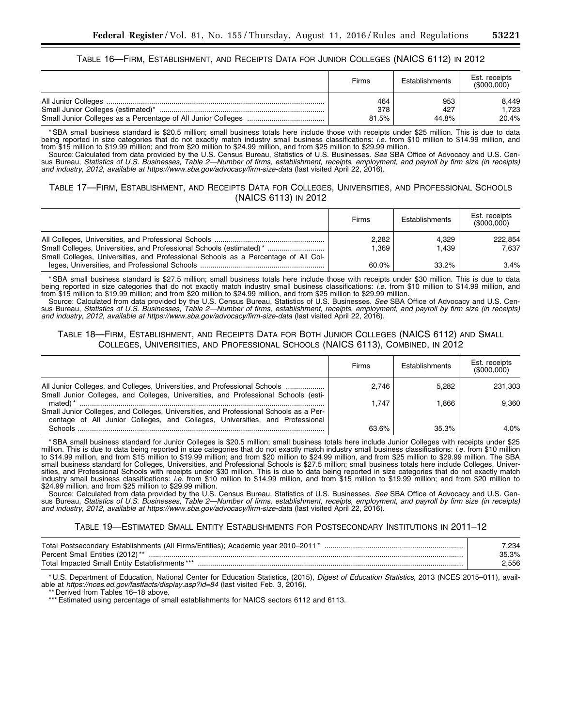## TABLE 16—FIRM, ESTABLISHMENT, AND RECEIPTS DATA FOR JUNIOR COLLEGES (NAICS 6112) IN 2012

|                                    | Firms | Establishments | Est. receipts<br>(S000.000) |
|------------------------------------|-------|----------------|-----------------------------|
|                                    | 464   | 953            | 8.449                       |
| Small Junior Colleges (estimated)* | 378   | 427            | 1.723                       |
|                                    | 81.5% | 44.8%          | 20.4%                       |

\* SBA small business standard is \$20.5 million; small business totals here include those with receipts under \$25 million. This is due to data being reported in size categories that do not exactly match industry small business classifications: *i.e.* from \$10 million to \$14.99 million, and from \$15 million to \$19.99 million; and from \$20 million to \$24.99 million, and from \$25 million to \$29.99 million.

Source: Calculated from data provided by the U.S. Census Bureau, Statistics of U.S. Businesses. *See* SBA Office of Advocacy and U.S. Census Bureau, *Statistics of U.S. Businesses, Table 2—Number of firms, establishment, receipts, employment, and payroll by firm size (in receipts) and industry, 2012, available at <https://www.sba.gov/advocacy/firm-size-data>* (last visited April 22, 2016).

## TABLE 17—FIRM, ESTABLISHMENT, AND RECEIPTS DATA FOR COLLEGES, UNIVERSITIES, AND PROFESSIONAL SCHOOLS (NAICS 6113) IN 2012

|                                                                                    | Firms          | Establishments | Est. receipts<br>(\$000,000) |
|------------------------------------------------------------------------------------|----------------|----------------|------------------------------|
| Small Colleges, Universities, and Professional Schools (estimated) *               | 2,282<br>1.369 | 4.329<br>1.439 | 222.854<br>7.637             |
| Small Colleges, Universities, and Professional Schools as a Percentage of All Col- | 60.0%          | $33.2\%$       | $3.4\%$                      |

\* SBA small business standard is \$27.5 million; small business totals here include those with receipts under \$30 million. This is due to data being reported in size categories that do not exactly match industry small business classifications: *i.e.* from \$10 million to \$14.99 million, and from \$15 million to \$19.99 million; and from \$20 million to \$24.99 million, and from \$25 million to \$29.99 million.

Source: Calculated from data provided by the U.S. Census Bureau, Statistics of U.S. Businesses. *See* SBA Office of Advocacy and U.S. Census Bureau, *Statistics of U.S. Businesses, Table 2—Number of firms, establishment, receipts, employment, and payroll by firm size (in receipts) and industry, 2012, available at <https://www.sba.gov/advocacy/firm-size-data>* (last visited April 22, 2016).

## TABLE 18—FIRM, ESTABLISHMENT, AND RECEIPTS DATA FOR BOTH JUNIOR COLLEGES (NAICS 6112) AND SMALL COLLEGES, UNIVERSITIES, AND PROFESSIONAL SCHOOLS (NAICS 6113), COMBINED, IN 2012

|                                                                                                                                                                       | Firms | <b>Fstablishments</b> | Est. receipts<br>(S000.000) |
|-----------------------------------------------------------------------------------------------------------------------------------------------------------------------|-------|-----------------------|-----------------------------|
| All Junior Colleges, and Colleges, Universities, and Professional Schools<br>Small Junior Colleges, and Colleges, Universities, and Professional Schools (esti-       | 2.746 | 5.282                 | 231.303                     |
| mated)*                                                                                                                                                               | 1.747 | 1.866                 | 9.360                       |
| Small Junior Colleges, and Colleges, Universities, and Professional Schools as a Per-<br>centage of All Junior Colleges, and Colleges, Universities, and Professional |       |                       |                             |
| Schools                                                                                                                                                               | 63.6% | 35.3%                 | $4.0\%$                     |

\* SBA small business standard for Junior Colleges is \$20.5 million; small business totals here include Junior Colleges with receipts under \$25 million. This is due to data being reported in size categories that do not exactly match industry small business classifications: *i.e.* from \$10 million to \$14.99 million, and from \$15 million to \$19.99 million; and from \$20 million to \$24.99 million, and from \$25 million to \$29.99 million. The SBA small business standard for Colleges, Universities, and Professional Schools is \$27.5 million; small business totals here include Colleges, Universities, and Professional Schools with receipts under \$30 million. This is due to data being reported in size categories that do not exactly match industry small business classifications: *i.e.* from \$10 million to \$14.99 million, and from \$15 million to \$19.99 million; and from \$20 million to \$24.99 million, and from \$25 million to \$29.99 million.

Source: Calculated from data provided by the U.S. Census Bureau, Statistics of U.S. Businesses. *See* SBA Office of Advocacy and U.S. Census Bureau, *Statistics of U.S. Businesses, Table 2—Number of firms, establishment, receipts, employment, and payroll by firm size (in receipts) and industry, 2012, available at <https://www.sba.gov/advocacy/firm-size-data>* (last visited April 22, 2016).

### TABLE 19—ESTIMATED SMALL ENTITY ESTABLISHMENTS FOR POSTSECONDARY INSTITUTIONS IN 2011–12

| Total Postsecondary Establishments (All Firms/Entities): Academic vear 2010–2011* |       |
|-----------------------------------------------------------------------------------|-------|
| Percent Small Entities (2012)**                                                   | 35.3% |
| Total Impacted Small Entity Establishments ***                                    | .556  |

\* U.S. Department of Education, National Center for Education Statistics, (2015), *Digest of Education Statistics,* 2013 (NCES 2015–011), available at *<https://nces.ed.gov/fastfacts/display.asp?id=84>*(last visited Feb. 3, 2016).

\*\* Derived from Tables 16–18 above.

\*\*\* Estimated using percentage of small establishments for NAICS sectors 6112 and 6113.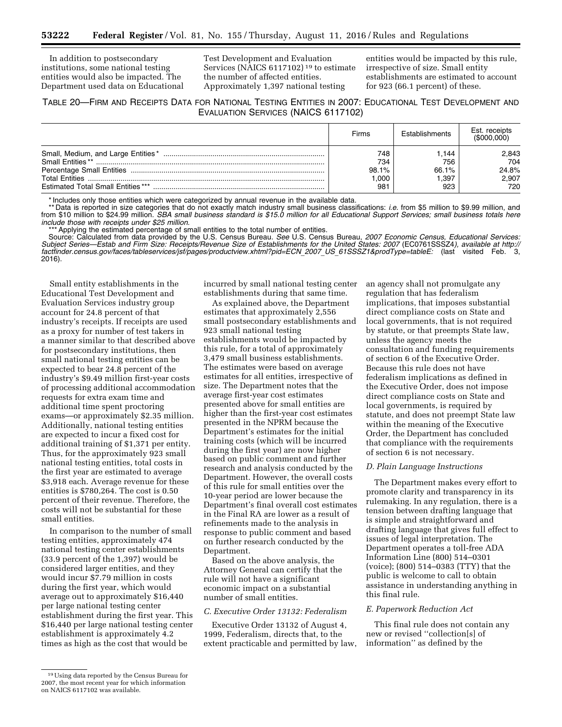In addition to postsecondary institutions, some national testing entities would also be impacted. The Department used data on Educational Test Development and Evaluation Services (NAICS 6117102) 19 to estimate the number of affected entities. Approximately 1,397 national testing

entities would be impacted by this rule, irrespective of size. Small entity establishments are estimated to account for 923 (66.1 percent) of these.

## TABLE 20—FIRM AND RECEIPTS DATA FOR NATIONAL TESTING ENTITIES IN 2007: EDUCATIONAL TEST DEVELOPMENT AND EVALUATION SERVICES (NAICS 6117102)

|                                          | Firms | Establishments | Est. receipts<br>(\$000.000) |
|------------------------------------------|-------|----------------|------------------------------|
|                                          | 748   | 1.144          | 2,843                        |
| Small Entities**                         | 734   | 756            | 704                          |
|                                          | 98.1% | 66.1%          | 24.8%                        |
| <b>Total Fntities</b>                    | 000,  | 1.397          | 2,907                        |
| <b>Estimated Total Small Entities***</b> | 981   | 923            | 720                          |

\* Includes only those entities which were categorized by annual revenue in the available data.

\*\* Data is reported in size categories that do not exactly match industry small business classifications: *i.e.* from \$5 million to \$9.99 million, and from \$10 million to \$24.99 million. *SBA small business standard is \$15.0 million for all Educational Support Services; small business totals here include those with receipts under \$25 million.* 

\*\* Applying the estimated percentage of small entities to the total number of entities.

Source: Calculated from data provided by the U.S. Census Bureau. *See* U.S. Census Bureau, *2007 Economic Census, Educational Services: Subject Series—Estab and Firm Size: Receipts/Revenue Size of Establishments for the United States: 2007* (EC0761SSSZ4*), available at [http://](http://factfinder.census.gov/faces/tableservices/jsf/pages/productview.xhtml?pid=ECN_2007_US_61SSSZ1&prodType=tableE:)  [factfinder.census.gov/faces/tableservices/jsf/pages/productview.xhtml?pid=ECN](http://factfinder.census.gov/faces/tableservices/jsf/pages/productview.xhtml?pid=ECN_2007_US_61SSSZ1&prodType=tableE:)*\_*2007*\_*US*\_*61SSSZ1&prodType=tableE:* (last visited Feb. 3, 2016).

Small entity establishments in the Educational Test Development and Evaluation Services industry group account for 24.8 percent of that industry's receipts. If receipts are used as a proxy for number of test takers in a manner similar to that described above for postsecondary institutions, then small national testing entities can be expected to bear 24.8 percent of the industry's \$9.49 million first-year costs of processing additional accommodation requests for extra exam time and additional time spent proctoring exams—or approximately \$2.35 million. Additionally, national testing entities are expected to incur a fixed cost for additional training of \$1,371 per entity. Thus, for the approximately 923 small national testing entities, total costs in the first year are estimated to average \$3,918 each. Average revenue for these entities is \$780,264. The cost is 0.50 percent of their revenue. Therefore, the costs will not be substantial for these small entities.

In comparison to the number of small testing entities, approximately 474 national testing center establishments (33.9 percent of the 1,397) would be considered larger entities, and they would incur \$7.79 million in costs during the first year, which would average out to approximately \$16,440 per large national testing center establishment during the first year. This \$16,440 per large national testing center establishment is approximately 4.2 times as high as the cost that would be

incurred by small national testing center establishments during that same time.

As explained above, the Department estimates that approximately 2,556 small postsecondary establishments and 923 small national testing establishments would be impacted by this rule, for a total of approximately 3,479 small business establishments. The estimates were based on average estimates for all entities, irrespective of size. The Department notes that the average first-year cost estimates presented above for small entities are higher than the first-year cost estimates presented in the NPRM because the Department's estimates for the initial training costs (which will be incurred during the first year) are now higher based on public comment and further research and analysis conducted by the Department. However, the overall costs of this rule for small entities over the 10-year period are lower because the Department's final overall cost estimates in the Final RA are lower as a result of refinements made to the analysis in response to public comment and based on further research conducted by the Department.

Based on the above analysis, the Attorney General can certify that the rule will not have a significant economic impact on a substantial number of small entities.

## *C. Executive Order 13132: Federalism*

Executive Order 13132 of August 4, 1999, Federalism, directs that, to the extent practicable and permitted by law, an agency shall not promulgate any regulation that has federalism implications, that imposes substantial direct compliance costs on State and local governments, that is not required by statute, or that preempts State law, unless the agency meets the consultation and funding requirements of section 6 of the Executive Order. Because this rule does not have federalism implications as defined in the Executive Order, does not impose direct compliance costs on State and local governments, is required by statute, and does not preempt State law within the meaning of the Executive Order, the Department has concluded that compliance with the requirements of section 6 is not necessary.

#### *D. Plain Language Instructions*

The Department makes every effort to promote clarity and transparency in its rulemaking. In any regulation, there is a tension between drafting language that is simple and straightforward and drafting language that gives full effect to issues of legal interpretation. The Department operates a toll-free ADA Information Line (800) 514–0301 (voice); (800) 514–0383 (TTY) that the public is welcome to call to obtain assistance in understanding anything in this final rule.

## *E. Paperwork Reduction Act*

This final rule does not contain any new or revised ''collection[s] of information'' as defined by the

<sup>19</sup>Using data reported by the Census Bureau for 2007, the most recent year for which information on NAICS 6117102 was available.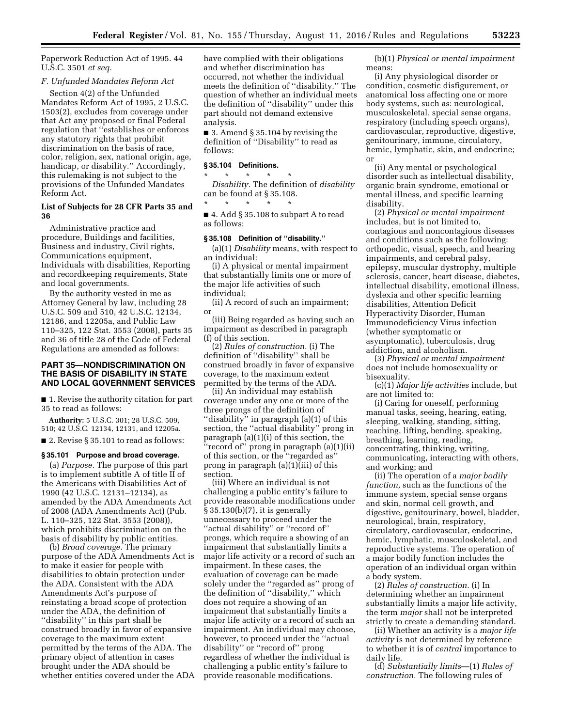Paperwork Reduction Act of 1995. 44 U.S.C. 3501 *et seq.* 

#### *F. Unfunded Mandates Reform Act*

Section 4(2) of the Unfunded Mandates Reform Act of 1995, 2 U.S.C. 1503(2), excludes from coverage under that Act any proposed or final Federal regulation that ''establishes or enforces any statutory rights that prohibit discrimination on the basis of race, color, religion, sex, national origin, age, handicap, or disability.'' Accordingly, this rulemaking is not subject to the provisions of the Unfunded Mandates Reform Act.

### **List of Subjects for 28 CFR Parts 35 and 36**

Administrative practice and procedure, Buildings and facilities, Business and industry, Civil rights, Communications equipment, Individuals with disabilities, Reporting and recordkeeping requirements, State and local governments.

By the authority vested in me as Attorney General by law, including 28 U.S.C. 509 and 510, 42 U.S.C. 12134, 12186, and 12205a, and Public Law 110–325, 122 Stat. 3553 (2008), parts 35 and 36 of title 28 of the Code of Federal Regulations are amended as follows:

## **PART 35—NONDISCRIMINATION ON THE BASIS OF DISABILITY IN STATE AND LOCAL GOVERNMENT SERVICES**

■ 1. Revise the authority citation for part 35 to read as follows:

**Authority:** 5 U.S.C. 301; 28 U.S.C. 509, 510; 42 U.S.C. 12134, 12131, and 12205a.

■ 2. Revise § 35.101 to read as follows:

#### **§ 35.101 Purpose and broad coverage.**

(a) *Purpose.* The purpose of this part is to implement subtitle A of title II of the Americans with Disabilities Act of 1990 (42 U.S.C. 12131–12134), as amended by the ADA Amendments Act of 2008 (ADA Amendments Act) (Pub. L. 110–325, 122 Stat. 3553 (2008)), which prohibits discrimination on the basis of disability by public entities.

(b) *Broad coverage.* The primary purpose of the ADA Amendments Act is to make it easier for people with disabilities to obtain protection under the ADA. Consistent with the ADA Amendments Act's purpose of reinstating a broad scope of protection under the ADA, the definition of ''disability'' in this part shall be construed broadly in favor of expansive coverage to the maximum extent permitted by the terms of the ADA. The primary object of attention in cases brought under the ADA should be whether entities covered under the ADA have complied with their obligations and whether discrimination has occurred, not whether the individual meets the definition of ''disability.'' The question of whether an individual meets the definition of ''disability'' under this part should not demand extensive analysis.

■ 3. Amend § 35.104 by revising the definition of ''Disability'' to read as follows:

#### **§ 35.104 Definitions.**

\* \* \* \* \* *Disability.* The definition of *disability*  can be found at § 35.108.

\* \* \* \* \* ■ 4. Add § 35.108 to subpart A to read as follows:

## **§ 35.108 Definition of ''disability.''**

(a)(1) *Disability* means, with respect to an individual:

(i) A physical or mental impairment that substantially limits one or more of the major life activities of such individual;

(ii) A record of such an impairment; or

(iii) Being regarded as having such an impairment as described in paragraph (f) of this section.

(2) *Rules of construction.* (i) The definition of ''disability'' shall be construed broadly in favor of expansive coverage, to the maximum extent permitted by the terms of the ADA.

(ii) An individual may establish coverage under any one or more of the three prongs of the definition of ''disability'' in paragraph (a)(1) of this section, the ''actual disability'' prong in paragraph (a)(1)(i) of this section, the ''record of'' prong in paragraph (a)(1)(ii) of this section, or the ''regarded as'' prong in paragraph (a)(1)(iii) of this section.

(iii) Where an individual is not challenging a public entity's failure to provide reasonable modifications under § 35.130(b)(7), it is generally unnecessary to proceed under the ''actual disability'' or ''record of'' prongs, which require a showing of an impairment that substantially limits a major life activity or a record of such an impairment. In these cases, the evaluation of coverage can be made solely under the ''regarded as'' prong of the definition of ''disability,'' which does not require a showing of an impairment that substantially limits a major life activity or a record of such an impairment. An individual may choose, however, to proceed under the ''actual disability'' or ''record of'' prong regardless of whether the individual is challenging a public entity's failure to provide reasonable modifications.

(b)(1) *Physical or mental impairment*  means:

(i) Any physiological disorder or condition, cosmetic disfigurement, or anatomical loss affecting one or more body systems, such as: neurological, musculoskeletal, special sense organs, respiratory (including speech organs), cardiovascular, reproductive, digestive, genitourinary, immune, circulatory, hemic, lymphatic, skin, and endocrine; or

(ii) Any mental or psychological disorder such as intellectual disability, organic brain syndrome, emotional or mental illness, and specific learning disability.

(2) *Physical or mental impairment*  includes, but is not limited to, contagious and noncontagious diseases and conditions such as the following: orthopedic, visual, speech, and hearing impairments, and cerebral palsy, epilepsy, muscular dystrophy, multiple sclerosis, cancer, heart disease, diabetes, intellectual disability, emotional illness, dyslexia and other specific learning disabilities, Attention Deficit Hyperactivity Disorder, Human Immunodeficiency Virus infection (whether symptomatic or asymptomatic), tuberculosis, drug addiction, and alcoholism.

(3) *Physical or mental impairment*  does not include homosexuality or bisexuality.

(c)(1) *Major life activities* include, but are not limited to:

(i) Caring for oneself, performing manual tasks, seeing, hearing, eating, sleeping, walking, standing, sitting, reaching, lifting, bending, speaking, breathing, learning, reading, concentrating, thinking, writing, communicating, interacting with others, and working; and

(ii) The operation of a *major bodily function,* such as the functions of the immune system, special sense organs and skin, normal cell growth, and digestive, genitourinary, bowel, bladder, neurological, brain, respiratory, circulatory, cardiovascular, endocrine, hemic, lymphatic, musculoskeletal, and reproductive systems. The operation of a major bodily function includes the operation of an individual organ within a body system.

(2) *Rules of construction.* (i) In determining whether an impairment substantially limits a major life activity, the term *major* shall not be interpreted strictly to create a demanding standard.

(ii) Whether an activity is a *major life activity* is not determined by reference to whether it is of *central* importance to daily life.

(d) *Substantially limits*—(1) *Rules of construction.* The following rules of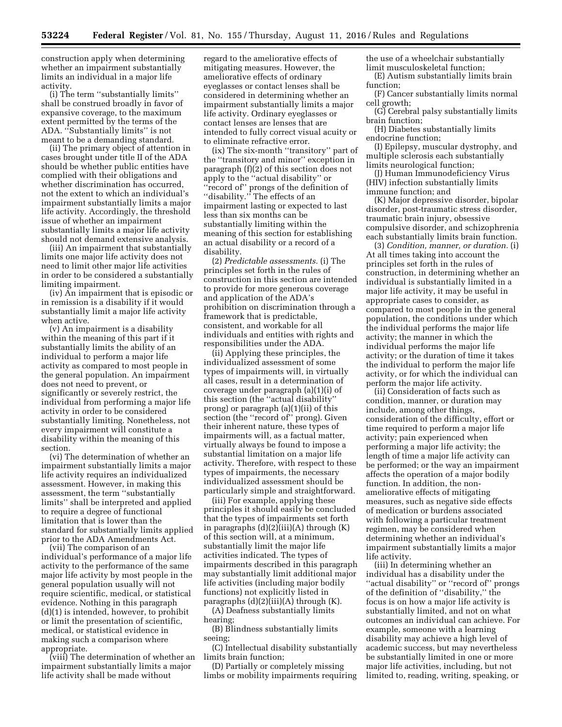construction apply when determining whether an impairment substantially limits an individual in a major life activity.

(i) The term ''substantially limits'' shall be construed broadly in favor of expansive coverage, to the maximum extent permitted by the terms of the ADA. ''Substantially limits'' is not meant to be a demanding standard.

(ii) The primary object of attention in cases brought under title II of the ADA should be whether public entities have complied with their obligations and whether discrimination has occurred, not the extent to which an individual's impairment substantially limits a major life activity. Accordingly, the threshold issue of whether an impairment substantially limits a major life activity should not demand extensive analysis.

(iii) An impairment that substantially limits one major life activity does not need to limit other major life activities in order to be considered a substantially limiting impairment.

(iv) An impairment that is episodic or in remission is a disability if it would substantially limit a major life activity when active.

(v) An impairment is a disability within the meaning of this part if it substantially limits the ability of an individual to perform a major life activity as compared to most people in the general population. An impairment does not need to prevent, or significantly or severely restrict, the individual from performing a major life activity in order to be considered substantially limiting. Nonetheless, not every impairment will constitute a disability within the meaning of this section.

(vi) The determination of whether an impairment substantially limits a major life activity requires an individualized assessment. However, in making this assessment, the term ''substantially limits'' shall be interpreted and applied to require a degree of functional limitation that is lower than the standard for substantially limits applied prior to the ADA Amendments Act.

(vii) The comparison of an individual's performance of a major life activity to the performance of the same major life activity by most people in the general population usually will not require scientific, medical, or statistical evidence. Nothing in this paragraph (d)(1) is intended, however, to prohibit or limit the presentation of scientific, medical, or statistical evidence in making such a comparison where appropriate.

(viii) The determination of whether an impairment substantially limits a major life activity shall be made without

regard to the ameliorative effects of mitigating measures. However, the ameliorative effects of ordinary eyeglasses or contact lenses shall be considered in determining whether an impairment substantially limits a major life activity. Ordinary eyeglasses or contact lenses are lenses that are intended to fully correct visual acuity or to eliminate refractive error.

(ix) The six-month ''transitory'' part of the ''transitory and minor'' exception in paragraph (f)(2) of this section does not apply to the ''actual disability'' or ''record of'' prongs of the definition of ''disability.'' The effects of an impairment lasting or expected to last less than six months can be substantially limiting within the meaning of this section for establishing an actual disability or a record of a disability.

(2) *Predictable assessments.* (i) The principles set forth in the rules of construction in this section are intended to provide for more generous coverage and application of the ADA's prohibition on discrimination through a framework that is predictable, consistent, and workable for all individuals and entities with rights and responsibilities under the ADA.

(ii) Applying these principles, the individualized assessment of some types of impairments will, in virtually all cases, result in a determination of coverage under paragraph (a)(1)(i) of this section (the ''actual disability'' prong) or paragraph (a)(1)(ii) of this section (the "record of" prong). Given their inherent nature, these types of impairments will, as a factual matter, virtually always be found to impose a substantial limitation on a major life activity. Therefore, with respect to these types of impairments, the necessary individualized assessment should be particularly simple and straightforward.

(iii) For example, applying these principles it should easily be concluded that the types of impairments set forth in paragraphs  $(d)(2)(iii)(A)$  through  $(K)$ of this section will, at a minimum, substantially limit the major life activities indicated. The types of impairments described in this paragraph may substantially limit additional major life activities (including major bodily functions) not explicitly listed in paragraphs (d)(2)(iii)(A) through (K).

(A) Deafness substantially limits hearing;

(B) Blindness substantially limits seeing;

(C) Intellectual disability substantially limits brain function;

(D) Partially or completely missing limbs or mobility impairments requiring the use of a wheelchair substantially limit musculoskeletal function; (E) Autism substantially limits brain

function; (F) Cancer substantially limits normal cell growth;

(G) Cerebral palsy substantially limits brain function;

(H) Diabetes substantially limits endocrine function;

(I) Epilepsy, muscular dystrophy, and multiple sclerosis each substantially limits neurological function;

(J) Human Immunodeficiency Virus (HIV) infection substantially limits immune function; and

(K) Major depressive disorder, bipolar disorder, post-traumatic stress disorder, traumatic brain injury, obsessive compulsive disorder, and schizophrenia each substantially limits brain function.

(3) *Condition, manner, or duration.* (i) At all times taking into account the principles set forth in the rules of construction, in determining whether an individual is substantially limited in a major life activity, it may be useful in appropriate cases to consider, as compared to most people in the general population, the conditions under which the individual performs the major life activity; the manner in which the individual performs the major life activity; or the duration of time it takes the individual to perform the major life activity, or for which the individual can perform the major life activity.

(ii) Consideration of facts such as condition, manner, or duration may include, among other things, consideration of the difficulty, effort or time required to perform a major life activity; pain experienced when performing a major life activity; the length of time a major life activity can be performed; or the way an impairment affects the operation of a major bodily function. In addition, the nonameliorative effects of mitigating measures, such as negative side effects of medication or burdens associated with following a particular treatment regimen, may be considered when determining whether an individual's impairment substantially limits a major life activity.

(iii) In determining whether an individual has a disability under the ''actual disability'' or ''record of'' prongs of the definition of ''disability,'' the focus is on how a major life activity is substantially limited, and not on what outcomes an individual can achieve. For example, someone with a learning disability may achieve a high level of academic success, but may nevertheless be substantially limited in one or more major life activities, including, but not limited to, reading, writing, speaking, or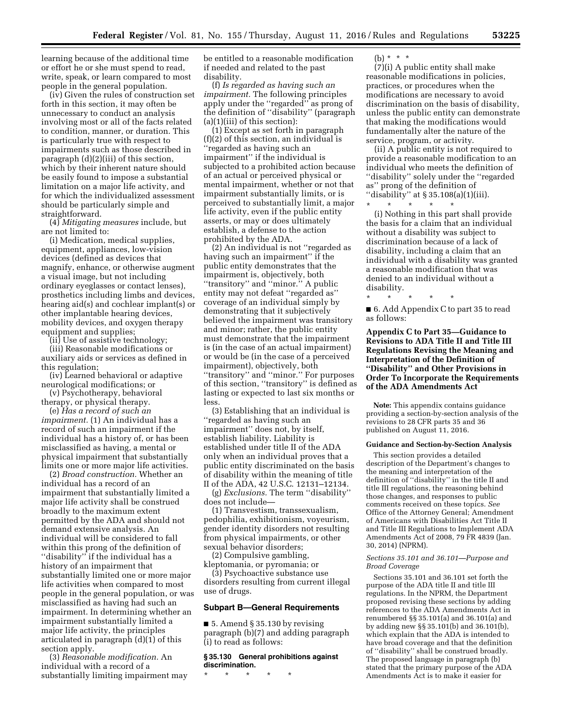learning because of the additional time or effort he or she must spend to read, write, speak, or learn compared to most people in the general population.

(iv) Given the rules of construction set forth in this section, it may often be unnecessary to conduct an analysis involving most or all of the facts related to condition, manner, or duration. This is particularly true with respect to impairments such as those described in paragraph (d)(2)(iii) of this section, which by their inherent nature should be easily found to impose a substantial limitation on a major life activity, and for which the individualized assessment should be particularly simple and straightforward.

(4) *Mitigating measures* include, but are not limited to:

(i) Medication, medical supplies, equipment, appliances, low-vision devices (defined as devices that magnify, enhance, or otherwise augment a visual image, but not including ordinary eyeglasses or contact lenses), prosthetics including limbs and devices, hearing aid(s) and cochlear implant(s) or other implantable hearing devices, mobility devices, and oxygen therapy equipment and supplies;

(ii) Use of assistive technology;

(iii) Reasonable modifications or auxiliary aids or services as defined in this regulation;

(iv) Learned behavioral or adaptive neurological modifications; or

(v) Psychotherapy, behavioral therapy, or physical therapy.

(e) *Has a record of such an impairment.* (1) An individual has a record of such an impairment if the individual has a history of, or has been misclassified as having, a mental or physical impairment that substantially limits one or more major life activities.

(2) *Broad construction.* Whether an individual has a record of an impairment that substantially limited a major life activity shall be construed broadly to the maximum extent permitted by the ADA and should not demand extensive analysis. An individual will be considered to fall within this prong of the definition of "disability" if the individual has a history of an impairment that substantially limited one or more major life activities when compared to most people in the general population, or was misclassified as having had such an impairment. In determining whether an impairment substantially limited a major life activity, the principles articulated in paragraph (d)(1) of this section apply.

(3) *Reasonable modification.* An individual with a record of a substantially limiting impairment may be entitled to a reasonable modification if needed and related to the past disability.

(f) *Is regarded as having such an impairment.* The following principles apply under the ''regarded'' as prong of the definition of ''disability'' (paragraph (a)(1)(iii) of this section):

(1) Except as set forth in paragraph (f)(2) of this section, an individual is ''regarded as having such an impairment'' if the individual is subjected to a prohibited action because of an actual or perceived physical or mental impairment, whether or not that impairment substantially limits, or is perceived to substantially limit, a major life activity, even if the public entity asserts, or may or does ultimately establish, a defense to the action prohibited by the ADA.

(2) An individual is not ''regarded as having such an impairment'' if the public entity demonstrates that the impairment is, objectively, both ''transitory'' and ''minor.'' A public entity may not defeat ''regarded as'' coverage of an individual simply by demonstrating that it subjectively believed the impairment was transitory and minor; rather, the public entity must demonstrate that the impairment is (in the case of an actual impairment) or would be (in the case of a perceived impairment), objectively, both ''transitory'' and ''minor.'' For purposes of this section, ''transitory'' is defined as lasting or expected to last six months or less.

(3) Establishing that an individual is ''regarded as having such an impairment'' does not, by itself, establish liability. Liability is established under title II of the ADA only when an individual proves that a public entity discriminated on the basis of disability within the meaning of title II of the ADA, 42 U.S.C. 12131–12134.

(g) *Exclusions.* The term ''disability'' does not include—

(1) Transvestism, transsexualism, pedophilia, exhibitionism, voyeurism, gender identity disorders not resulting from physical impairments, or other sexual behavior disorders;

(2) Compulsive gambling,

kleptomania, or pyromania; or (3) Psychoactive substance use disorders resulting from current illegal use of drugs.

#### **Subpart B—General Requirements**

■ 5. Amend § 35.130 by revising paragraph (b)(7) and adding paragraph (i) to read as follows:

#### **§ 35.130 General prohibitions against discrimination.**

\* \* \* \* \*

 $(h) * * * *$ 

(7)(i) A public entity shall make reasonable modifications in policies, practices, or procedures when the modifications are necessary to avoid discrimination on the basis of disability, unless the public entity can demonstrate that making the modifications would fundamentally alter the nature of the service, program, or activity.

(ii) A public entity is not required to provide a reasonable modification to an individual who meets the definition of ''disability'' solely under the ''regarded as'' prong of the definition of ''disability'' at § 35.108(a)(1)(iii).

\* \* \* \* \* (i) Nothing in this part shall provide the basis for a claim that an individual without a disability was subject to discrimination because of a lack of disability, including a claim that an individual with a disability was granted a reasonable modification that was denied to an individual without a disability.

\* \* \* \* \* ■ 6. Add Appendix C to part 35 to read as follows:

**Appendix C to Part 35—Guidance to Revisions to ADA Title II and Title III Regulations Revising the Meaning and Interpretation of the Definition of ''Disability'' and Other Provisions in Order To Incorporate the Requirements of the ADA Amendments Act** 

**Note:** This appendix contains guidance providing a section-by-section analysis of the revisions to 28 CFR parts 35 and 36 published on August 11, 2016.

#### **Guidance and Section-by-Section Analysis**

This section provides a detailed description of the Department's changes to the meaning and interpretation of the definition of ''disability'' in the title II and title III regulations, the reasoning behind those changes, and responses to public comments received on these topics. *See*  Office of the Attorney General; Amendment of Americans with Disabilities Act Title II and Title III Regulations to Implement ADA Amendments Act of 2008, 79 FR 4839 (Jan. 30, 2014) (NPRM).

#### *Sections 35.101 and 36.101—Purpose and Broad Coverage*

Sections 35.101 and 36.101 set forth the purpose of the ADA title II and title III regulations. In the NPRM, the Department proposed revising these sections by adding references to the ADA Amendments Act in renumbered §§ 35.101(a) and 36.101(a) and by adding new §§ 35.101(b) and 36.101(b), which explain that the ADA is intended to have broad coverage and that the definition of ''disability'' shall be construed broadly. The proposed language in paragraph (b) stated that the primary purpose of the ADA Amendments Act is to make it easier for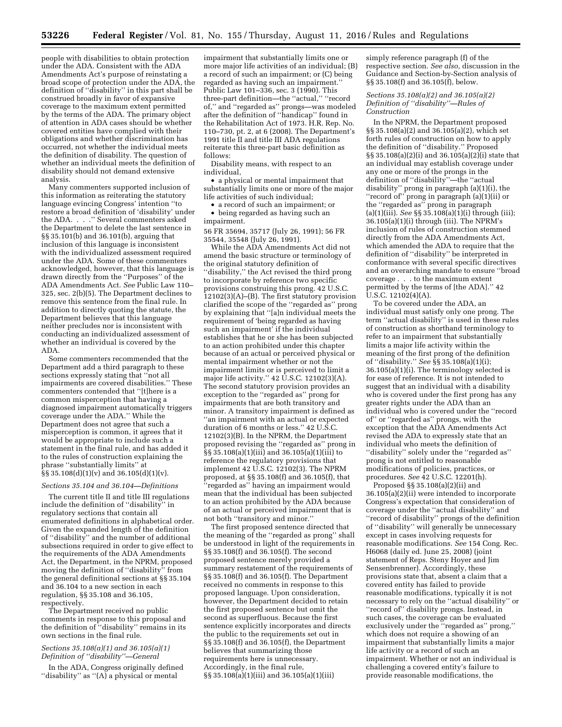people with disabilities to obtain protection under the ADA. Consistent with the ADA Amendments Act's purpose of reinstating a broad scope of protection under the ADA, the definition of ''disability'' in this part shall be construed broadly in favor of expansive coverage to the maximum extent permitted by the terms of the ADA. The primary object of attention in ADA cases should be whether covered entities have complied with their obligations and whether discrimination has occurred, not whether the individual meets the definition of disability. The question of whether an individual meets the definition of disability should not demand extensive analysis.

Many commenters supported inclusion of this information as reiterating the statutory language evincing Congress' intention ''to restore a broad definition of 'disability' under the ADA. . . .'' Several commenters asked the Department to delete the last sentence in §§ 35.101(b) and 36.101(b), arguing that inclusion of this language is inconsistent with the individualized assessment required under the ADA. Some of these commenters acknowledged, however, that this language is drawn directly from the ''Purposes'' of the ADA Amendments Act. *See* Public Law 110– 325, sec. 2(b)(5). The Department declines to remove this sentence from the final rule. In addition to directly quoting the statute, the Department believes that this language neither precludes nor is inconsistent with conducting an individualized assessment of whether an individual is covered by the ADA.

Some commenters recommended that the Department add a third paragraph to these sections expressly stating that ''not all impairments are covered disabilities.'' These commenters contended that ''[t]here is a common misperception that having a diagnosed impairment automatically triggers coverage under the ADA.'' While the Department does not agree that such a misperception is common, it agrees that it would be appropriate to include such a statement in the final rule, and has added it to the rules of construction explaining the phrase ''substantially limits'' at  $\S$ § 35.108(d)(1)(v) and 36.105(d)(1)(v).

#### *Sections 35.104 and 36.104—Definitions*

The current title II and title III regulations include the definition of ''disability'' in regulatory sections that contain all enumerated definitions in alphabetical order. Given the expanded length of the definition of ''disability'' and the number of additional subsections required in order to give effect to the requirements of the ADA Amendments Act, the Department, in the NPRM, proposed moving the definition of ''disability'' from the general definitional sections at §§ 35.104 and 36.104 to a new section in each regulation, §§ 35.108 and 36.105, respectively.

The Department received no public comments in response to this proposal and the definition of ''disability'' remains in its own sections in the final rule.

#### *Sections 35.108(a)(1) and 36.105(a)(1) Definition of ''disability''—General*

In the ADA, Congress originally defined "disability" as "(A) a physical or mental

impairment that substantially limits one or more major life activities of an individual; (B) a record of such an impairment; or (C) being regarded as having such an impairment.'' Public Law 101-336, sec. 3 (1990). This three-part definition—the ''actual,'' ''record of,'' and ''regarded as'' prongs—was modeled after the definition of ''handicap'' found in the Rehabilitation Act of 1973. H.R. Rep. No. 110–730, pt. 2, at 6 (2008). The Department's 1991 title II and title III ADA regulations reiterate this three-part basic definition as follows:

Disability means, with respect to an individual,

• a physical or mental impairment that substantially limits one or more of the major life activities of such individual;

• a record of such an impairment; or • being regarded as having such an impairment.

56 FR 35694, 35717 (July 26, 1991); 56 FR 35544, 35548 (July 26, 1991).

While the ADA Amendments Act did not amend the basic structure or terminology of the original statutory definition of ''disability,'' the Act revised the third prong to incorporate by reference two specific provisions construing this prong. 42 U.S.C. 12102(3)(A)–(B). The first statutory provision clarified the scope of the ''regarded as'' prong by explaining that ''[a]n individual meets the requirement of 'being regarded as having such an impairment' if the individual establishes that he or she has been subjected to an action prohibited under this chapter because of an actual or perceived physical or mental impairment whether or not the impairment limits or is perceived to limit a major life activity."  $42 \text{ U.S.C. } 12102(3)(\text{A}).$ The second statutory provision provides an exception to the ''regarded as'' prong for impairments that are both transitory and minor. A transitory impairment is defined as ''an impairment with an actual or expected duration of 6 months or less.'' 42 U.S.C. 12102(3)(B). In the NPRM, the Department proposed revising the ''regarded as'' prong in  $\S$ § $35.108(a)(1)(iii)$  and  $36.105(a)(1)(iii)$  to reference the regulatory provisions that implement 42 U.S.C. 12102(3). The NPRM proposed, at §§ 35.108(f) and 36.105(f), that ''regarded as'' having an impairment would mean that the individual has been subjected to an action prohibited by the ADA because of an actual or perceived impairment that is not both ''transitory and minor.''

The first proposed sentence directed that the meaning of the ''regarded as prong'' shall be understood in light of the requirements in §§ 35.108(f) and 36.105(f). The second proposed sentence merely provided a summary restatement of the requirements of §§ 35.108(f) and 36.105(f). The Department received no comments in response to this proposed language. Upon consideration, however, the Department decided to retain the first proposed sentence but omit the second as superfluous. Because the first sentence explicitly incorporates and directs the public to the requirements set out in §§ 35.108(f) and 36.105(f), the Department believes that summarizing those requirements here is unnecessary. Accordingly, in the final rule, §§ 35.108(a)(1)(iii) and 36.105(a)(1)(iii)

simply reference paragraph (f) of the respective section. *See also,* discussion in the Guidance and Section-by-Section analysis of §§ 35.108(f) and 36.105(f), below.

#### *Sections 35.108(a)(2) and 36.105(a)(2) Definition of ''disability''—Rules of Construction*

In the NPRM, the Department proposed §§ 35.108(a)(2) and 36.105(a)(2), which set forth rules of construction on how to apply the definition of ''disability.'' Proposed §§ 35.108(a)(2)(i) and 36.105(a)(2)(i) state that an individual may establish coverage under any one or more of the prongs in the definition of ''disability''—the ''actual disability'' prong in paragraph (a)(1)(i), the ''record of'' prong in paragraph (a)(1)(ii) or the ''regarded as'' prong in paragraph (a)(1)(iii). *See* §§ 35.108(a)(1)(i) through (iii); 36.105(a)(1)(i) through (iii). The NPRM's inclusion of rules of construction stemmed directly from the ADA Amendments Act, which amended the ADA to require that the definition of ''disability'' be interpreted in conformance with several specific directives and an overarching mandate to ensure ''broad coverage . . . to the maximum extent permitted by the terms of [the ADA].'' 42 U.S.C. 12102(4)(A).

To be covered under the ADA, an individual must satisfy only one prong. The term ''actual disability'' is used in these rules of construction as shorthand terminology to refer to an impairment that substantially limits a major life activity within the meaning of the first prong of the definition of ''disability.'' *See* §§ 35.108(a)(1)(i);  $36.105(a)(1)(i)$ . The terminology selected is for ease of reference. It is not intended to suggest that an individual with a disability who is covered under the first prong has any greater rights under the ADA than an individual who is covered under the ''record of'' or ''regarded as'' prongs, with the exception that the ADA Amendments Act revised the ADA to expressly state that an individual who meets the definition of ''disability'' solely under the ''regarded as'' prong is not entitled to reasonable modifications of policies, practices, or procedures. *See* 42 U.S.C. 12201(h).

Proposed §§ 35.108(a)(2)(ii) and 36.105(a)(2)(ii) were intended to incorporate Congress's expectation that consideration of coverage under the ''actual disability'' and ''record of disability'' prongs of the definition of ''disability'' will generally be unnecessary except in cases involving requests for reasonable modifications. *See* 154 Cong. Rec. H6068 (daily ed. June 25, 2008) (joint statement of Reps. Steny Hoyer and Jim Sensenbrenner). Accordingly, these provisions state that, absent a claim that a covered entity has failed to provide reasonable modifications, typically it is not necessary to rely on the ''actual disability'' or "record of" disability prongs. Instead, in such cases, the coverage can be evaluated exclusively under the ''regarded as'' prong,'' which does not require a showing of an impairment that substantially limits a major life activity or a record of such an impairment. Whether or not an individual is challenging a covered entity's failure to provide reasonable modifications, the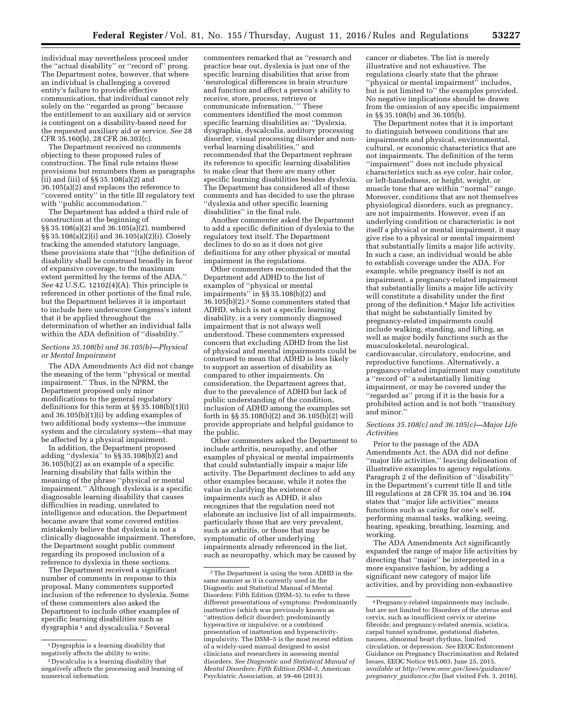individual may nevertheless proceed under the ''actual disability'' or ''record of'' prong. The Department notes, however, that where an individual is challenging a covered entity's failure to provide effective communication, that individual cannot rely solely on the ''regarded as prong'' because the entitlement to an auxiliary aid or service is contingent on a disability-based need for the requested auxiliary aid or service. *See* 28 CFR 35.160(b), 28 CFR 36.303(c).

The Department received no comments objecting to these proposed rules of construction. The final rule retains these provisions but renumbers them as paragraphs  $(iii)$  and  $(iii)$  of §§ 35.108(a)(2) and 36.105(a)(2) and replaces the reference to ''covered entity'' in the title III regulatory text with ''public accommodation.''

The Department has added a third rule of construction at the beginning of §§ 35.108(a)(2) and 36.105(a)(2), numbered §§ 35.108(a)(2)(i) and 36.105(a)(2)(i). Closely tracking the amended statutory language, these provisions state that ''[t]he definition of disability shall be construed broadly in favor of expansive coverage, to the maximum extent permitted by the terms of the ADA.'' *See* 42 U.S.C. 12102(4)(A). This principle is referenced in other portions of the final rule, but the Department believes it is important to include here underscore Congress's intent that it be applied throughout the determination of whether an individual falls within the ADA definition of ''disability.''

### *Sections 35.108(b) and 36.105(b)—Physical or Mental Impairment*

The ADA Amendments Act did not change the meaning of the term ''physical or mental impairment.'' Thus, in the NPRM, the Department proposed only minor modifications to the general regulatory definitions for this term at §§ 35.108(b)(1)(i) and 36.105(b)(1)(i) by adding examples of two additional body systems—the immune system and the circulatory system—that may be affected by a physical impairment.

In addition, the Department proposed adding "dyslexia" to  $\S$ § 35.108(b)(2) and 36.105(b)(2) as an example of a specific learning disability that falls within the meaning of the phrase ''physical or mental impairment.'' Although dyslexia is a specific diagnosable learning disability that causes difficulties in reading, unrelated to intelligence and education, the Department became aware that some covered entities mistakenly believe that dyslexia is not a clinically diagnosable impairment. Therefore, the Department sought public comment regarding its proposed inclusion of a reference to dyslexia in these sections.

The Department received a significant number of comments in response to this proposal. Many commenters supported inclusion of the reference to dyslexia. Some of these commenters also asked the Department to include other examples of specific learning disabilities such as dysgraphia 1 and dyscalculia.2 Several

commenters remarked that as ''research and practice bear out, dyslexia is just one of the specific learning disabilities that arise from 'neurological differences in brain structure and function and affect a person's ability to receive, store, process, retrieve or communicate information.'" These commenters identified the most common specific learning disabilities as: ''Dyslexia, dysgraphia, dyscalculia, auditory processing disorder, visual processing disorder and nonverbal learning disabilities,'' and recommended that the Department rephrase its reference to specific learning disabilities to make clear that there are many other specific learning disabilities besides dyslexia. The Department has considered all of these comments and has decided to use the phrase ''dyslexia and other specific learning disabilities'' in the final rule.

Another commenter asked the Department to add a specific definition of dyslexia to the regulatory text itself. The Department declines to do so as it does not give definitions for any other physical or mental impairment in the regulations.

Other commenters recommended that the Department add ADHD to the list of examples of ''physical or mental impairments'' in §§ 35.108(b)(2) and 36.105(b)(2).3 Some commenters stated that ADHD, which is not a specific learning disability, is a very commonly diagnosed impairment that is not always well understood. These commenters expressed concern that excluding ADHD from the list of physical and mental impairments could be construed to mean that ADHD is less likely to support an assertion of disability as compared to other impairments. On consideration, the Department agrees that, due to the prevalence of ADHD but lack of public understanding of the condition, inclusion of ADHD among the examples set forth in §§ 35.108(b)(2) and 36.105(b)(2) will provide appropriate and helpful guidance to the public.

Other commenters asked the Department to include arthritis, neuropathy, and other examples of physical or mental impairments that could substantially impair a major life activity. The Department declines to add any other examples because, while it notes the value in clarifying the existence of impairments such as ADHD, it also recognizes that the regulation need not elaborate an inclusive list of all impairments, particularly those that are very prevalent, such as arthritis, or those that may be symptomatic of other underlying impairments already referenced in the list, such as neuropathy, which may be caused by

cancer or diabetes. The list is merely illustrative and not exhaustive. The regulations clearly state that the phrase ''physical or mental impairment'' includes, but is not limited to'' the examples provided. No negative implications should be drawn from the omission of any specific impairment in §§ 35.108(b) and 36.105(b).

The Department notes that it is important to distinguish between conditions that are impairments and physical, environmental, cultural, or economic characteristics that are not impairments. The definition of the term ''impairment'' does not include physical characteristics such as eye color, hair color, or left-handedness, or height, weight, or muscle tone that are within ''normal'' range. Moreover, conditions that are not themselves physiological disorders, such as pregnancy, are not impairments. However, even if an underlying condition or characteristic is not itself a physical or mental impairment, it may give rise to a physical or mental impairment that substantially limits a major life activity. In such a case, an individual would be able to establish coverage under the ADA. For example, while pregnancy itself is not an impairment, a pregnancy-related impairment that substantially limits a major life activity will constitute a disability under the first prong of the definition.4 Major life activities that might be substantially limited by pregnancy-related impairments could include walking, standing, and lifting, as well as major bodily functions such as the musculoskeletal, neurological, cardiovascular, circulatory, endocrine, and reproductive functions. Alternatively, a pregnancy-related impairment may constitute a ''record of'' a substantially limiting impairment, or may be covered under the ''regarded as'' prong if it is the basis for a prohibited action and is not both ''transitory and minor.''

#### *Sections 35.108(c) and 36.105(c)—Major Life Activities*

Prior to the passage of the ADA Amendments Act, the ADA did not define ''major life activities,'' leaving delineation of illustrative examples to agency regulations. Paragraph 2 of the definition of ''disability'' in the Department's current title II and title III regulations at 28 CFR 35.104 and 36.104 states that ''major life activities'' means functions such as caring for one's self, performing manual tasks, walking, seeing, hearing, speaking, breathing, learning, and working.

The ADA Amendments Act significantly expanded the range of major life activities by directing that ''major'' be interpreted in a more expansive fashion, by adding a significant new category of major life activities, and by providing non-exhaustive

<sup>1</sup> Dysgraphia is a learning disability that negatively affects the ability to write.

<sup>2</sup> Dyscalculia is a learning disability that negatively affects the processing and learning of numerical information.

<sup>3</sup>The Department is using the term ADHD in the same manner as it is currently used in the Diagnostic and Statistical Manual of Mental Disorders: Fifth Edition (DSM–5), to refer to three different presentations of symptoms: Predominantly inattentive (which was previously known as ''attention deficit disorder); predominantly hyperactive or impulsive; or a combined presentation of inattention and hyperactivityimpulsivity. The DSM–5 is the most recent edition of a widely-used manual designed to assist clinicians and researchers in assessing mental disorders. *See Diagnostic and Statistical Manual of Mental Disorders: Fifth Edition DSM–5,* American Psychiatric Association, at 59–66 (2013).

<sup>4</sup>Pregnancy-related impairments may include, but are not limited to: Disorders of the uterus and cervix, such as insufficient cervix or uterine fibroids; and pregnancy-related anemia, sciatica, carpal tunnel syndrome, gestational diabetes, nausea, abnormal heart rhythms, limited circulation, or depression. *See* EEOC Enforcement Guidance on Pregnancy Discrimination and Related Issues, EEOC Notice 915.003, June 25, 2015, *available at [http://www.eeoc.gov/laws/guidance/](http://www.eeoc.gov/laws/guidance/pregnancy_guidance.cfm) pregnancy*\_*[guidance.cfm](http://www.eeoc.gov/laws/guidance/pregnancy_guidance.cfm)* (last visited Feb. 3, 2016).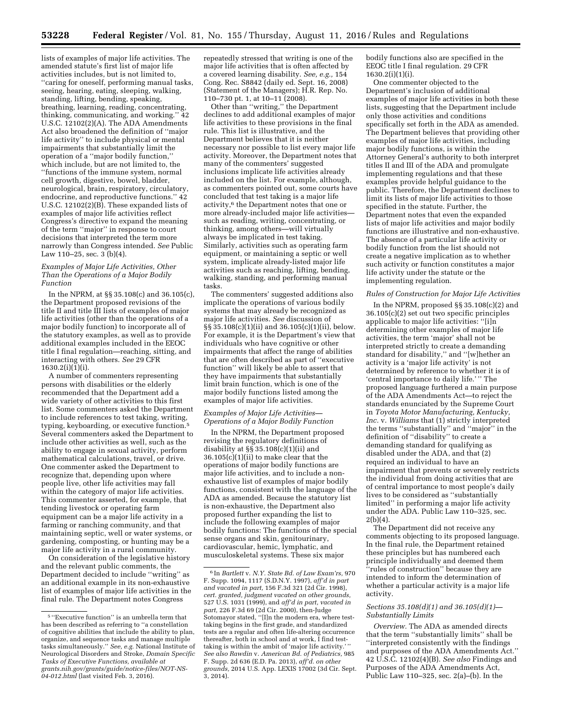lists of examples of major life activities. The amended statute's first list of major life activities includes, but is not limited to, ''caring for oneself, performing manual tasks, seeing, hearing, eating, sleeping, walking, standing, lifting, bending, speaking, breathing, learning, reading, concentrating, thinking, communicating, and working.'' 42 U.S.C. 12102(2)(A). The ADA Amendments Act also broadened the definition of ''major life activity'' to include physical or mental impairments that substantially limit the operation of a ''major bodily function,'' which include, but are not limited to, the ''functions of the immune system, normal cell growth, digestive, bowel, bladder, neurological, brain, respiratory, circulatory, endocrine, and reproductive functions.'' 42 U.S.C. 12102(2)(B). These expanded lists of examples of major life activities reflect Congress's directive to expand the meaning of the term ''major'' in response to court decisions that interpreted the term more narrowly than Congress intended. *See* Public Law 110–25, sec. 3 (b)(4).

### *Examples of Major Life Activities, Other Than the Operations of a Major Bodily Function*

In the NPRM, at §§ 35.108(c) and 36.105(c), the Department proposed revisions of the title II and title III lists of examples of major life activities (other than the operations of a major bodily function) to incorporate all of the statutory examples, as well as to provide additional examples included in the EEOC title I final regulation—reaching, sitting, and interacting with others. *See* 29 CFR 1630.2(i)(1)(i).

A number of commenters representing persons with disabilities or the elderly recommended that the Department add a wide variety of other activities to this first list. Some commenters asked the Department to include references to test taking, writing, typing, keyboarding, or executive function.5 Several commenters asked the Department to include other activities as well, such as the ability to engage in sexual activity, perform mathematical calculations, travel, or drive. One commenter asked the Department to recognize that, depending upon where people live, other life activities may fall within the category of major life activities. This commenter asserted, for example, that tending livestock or operating farm equipment can be a major life activity in a farming or ranching community, and that maintaining septic, well or water systems, or gardening, composting, or hunting may be a major life activity in a rural community.

On consideration of the legislative history and the relevant public comments, the Department decided to include ''writing'' as an additional example in its non-exhaustive list of examples of major life activities in the final rule. The Department notes Congress

repeatedly stressed that writing is one of the major life activities that is often affected by a covered learning disability. *See, e.g.,* 154 Cong. Rec. S8842 (daily ed. Sept. 16, 2008) (Statement of the Managers); H.R. Rep. No. 110–730 pt. 1, at 10–11 (2008).

Other than ''writing,'' the Department declines to add additional examples of major life activities to these provisions in the final rule. This list is illustrative, and the Department believes that it is neither necessary nor possible to list every major life activity. Moreover, the Department notes that many of the commenters' suggested inclusions implicate life activities already included on the list. For example, although, as commenters pointed out, some courts have concluded that test taking is a major life activity,6 the Department notes that one or more already-included major life activities such as reading, writing, concentrating, or thinking, among others—will virtually always be implicated in test taking. Similarly, activities such as operating farm equipment, or maintaining a septic or well system, implicate already-listed major life activities such as reaching, lifting, bending, walking, standing, and performing manual tasks.

The commenters' suggested additions also implicate the operations of various bodily systems that may already be recognized as major life activities. *See* discussion of §§ 35.108(c)(1)(ii) and 36.105(c)(1)(ii), below. For example, it is the Department's view that individuals who have cognitive or other impairments that affect the range of abilities that are often described as part of ''executive function'' will likely be able to assert that they have impairments that substantially limit brain function, which is one of the major bodily functions listed among the examples of major life activities.

### *Examples of Major Life Activities— Operations of a Major Bodily Function*

In the NPRM, the Department proposed revising the regulatory definitions of disability at §§ 35.108(c)(1)(ii) and 36.105(c)(1)(ii) to make clear that the operations of major bodily functions are major life activities, and to include a nonexhaustive list of examples of major bodily functions, consistent with the language of the ADA as amended. Because the statutory list is non-exhaustive, the Department also proposed further expanding the list to include the following examples of major bodily functions: The functions of the special sense organs and skin, genitourinary, cardiovascular, hemic, lymphatic, and musculoskeletal systems. These six major

bodily functions also are specified in the EEOC title I final regulation. 29 CFR 1630.2(i)(1)(i).

One commenter objected to the Department's inclusion of additional examples of major life activities in both these lists, suggesting that the Department include only those activities and conditions specifically set forth in the ADA as amended. The Department believes that providing other examples of major life activities, including major bodily functions, is within the Attorney General's authority to both interpret titles II and III of the ADA and promulgate implementing regulations and that these examples provide helpful guidance to the public. Therefore, the Department declines to limit its lists of major life activities to those specified in the statute. Further, the Department notes that even the expanded lists of major life activities and major bodily functions are illustrative and non-exhaustive. The absence of a particular life activity or bodily function from the list should not create a negative implication as to whether such activity or function constitutes a major life activity under the statute or the implementing regulation.

#### *Rules of Construction for Major Life Activities*

In the NPRM, proposed §§ 35.108(c)(2) and 36.105(c)(2) set out two specific principles applicable to major life activities: ''[i]n determining other examples of major life activities, the term 'major' shall not be interpreted strictly to create a demanding standard for disability,'' and ''[w]hether an activity is a 'major life activity' is not determined by reference to whether it is of 'central importance to daily life.' '' The proposed language furthered a main purpose of the ADA Amendments Act—to reject the standards enunciated by the Supreme Court in *Toyota Motor Manufacturing, Kentucky, Inc.* v. *Williams* that (1) strictly interpreted the terms ''substantially'' and ''major'' in the definition of "disability" to create a demanding standard for qualifying as disabled under the ADA, and that (2) required an individual to have an impairment that prevents or severely restricts the individual from doing activities that are of central importance to most people's daily lives to be considered as ''substantially limited'' in performing a major life activity under the ADA. Public Law 110–325, sec. 2(b)(4).

The Department did not receive any comments objecting to its proposed language. In the final rule, the Department retained these principles but has numbered each principle individually and deemed them ''rules of construction'' because they are intended to inform the determination of whether a particular activity is a major life activity.

#### *Sections 35.108(d)(1) and 36.105(d)(1)— Substantially Limits*

*Overview.* The ADA as amended directs that the term ''substantially limits'' shall be ''interpreted consistently with the findings and purposes of the ADA Amendments Act.'' 42 U.S.C. 12102(4)(B). *See also* Findings and Purposes of the ADA Amendments Act, Public Law 110–325, sec. 2(a)–(b). In the

 $^{\rm 5\, \prime\prime}$ Executive function'' is an umbrella term that has been described as referring to ''a constellation of cognitive abilities that include the ability to plan, organize, and sequence tasks and manage multiple tasks simultaneously.'' *See, e.g.* National Institute of Neurological Disorders and Stroke, *Domain Specific Tasks of Executive Functions, available at grants.nih.gov/grants/guide/notice-files/NOT-NS-04-012.html* (last visited Feb. 3, 2016).

<sup>6</sup> In *Bartlett* v. *N.Y. State Bd. of Law Exam'rs,* 970 F. Supp. 1094, 1117 (S.D.N.Y. 1997), *aff'd in part and vacated in part,* 156 F.3d 321 (2d Cir. 1998), *cert. granted, judgment vacated on other grounds,*  527 U.S. 1031 (1999), and *aff'd in part, vacated in part,* 226 F.3d 69 (2d Cir. 2000), then-Judge Sotomayor stated, ''[I]n the modern era, where testtaking begins in the first grade, and standardized tests are a regular and often life-altering occurrence thereafter, both in school and at work, I find testtaking is within the ambit of 'major life activity.' '' *See also Rawdin* v. *American Bd. of Pediatrics,* 985 F. Supp. 2d 636 (E.D. Pa. 2013), *aff'd. on other grounds,* 2014 U.S. App. LEXIS 17002 (3d Cir. Sept.  $3, 2014$ .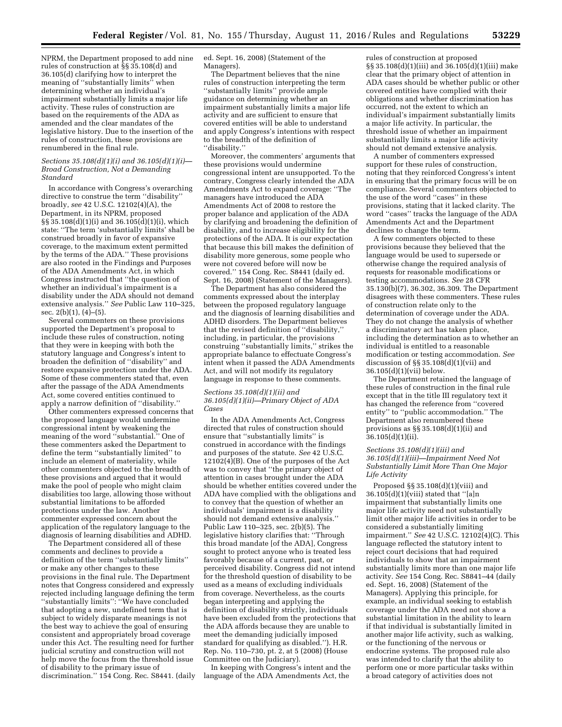NPRM, the Department proposed to add nine rules of construction at §§ 35.108(d) and 36.105(d) clarifying how to interpret the meaning of ''substantially limits'' when determining whether an individual's impairment substantially limits a major life activity. These rules of construction are based on the requirements of the ADA as amended and the clear mandates of the legislative history. Due to the insertion of the rules of construction, these provisions are renumbered in the final rule.

#### *Sections 35.108(d)(1)(i) and 36.105(d)(1)(i)— Broad Construction, Not a Demanding Standard*

In accordance with Congress's overarching directive to construe the term ''disability'' broadly, *see* 42 U.S.C. 12102(4)(A), the Department, in its NPRM, proposed §§ 35.108(d)(1)(i) and 36.105(d)(1)(i), which state: ''The term 'substantially limits' shall be construed broadly in favor of expansive coverage, to the maximum extent permitted by the terms of the ADA.'' These provisions are also rooted in the Findings and Purposes of the ADA Amendments Act, in which Congress instructed that ''the question of whether an individual's impairment is a disability under the ADA should not demand extensive analysis.'' *See* Public Law 110–325, sec. 2(b)(1),  $(4)$ –(5).

Several commenters on these provisions supported the Department's proposal to include these rules of construction, noting that they were in keeping with both the statutory language and Congress's intent to broaden the definition of ''disability'' and restore expansive protection under the ADA. Some of these commenters stated that, even after the passage of the ADA Amendments Act, some covered entities continued to apply a narrow definition of ''disability.''

Other commenters expressed concerns that the proposed language would undermine congressional intent by weakening the meaning of the word ''substantial.'' One of these commenters asked the Department to define the term ''substantially limited'' to include an element of materiality, while other commenters objected to the breadth of these provisions and argued that it would make the pool of people who might claim disabilities too large, allowing those without substantial limitations to be afforded protections under the law. Another commenter expressed concern about the application of the regulatory language to the diagnosis of learning disabilities and ADHD.

The Department considered all of these comments and declines to provide a definition of the term ''substantially limits'' or make any other changes to these provisions in the final rule. The Department notes that Congress considered and expressly rejected including language defining the term ''substantially limits'': ''We have concluded that adopting a new, undefined term that is subject to widely disparate meanings is not the best way to achieve the goal of ensuring consistent and appropriately broad coverage under this Act. The resulting need for further judicial scrutiny and construction will not help move the focus from the threshold issue of disability to the primary issue of discrimination.'' 154 Cong. Rec. S8441. (daily ed. Sept. 16, 2008) (Statement of the Managers).

The Department believes that the nine rules of construction interpreting the term ''substantially limits'' provide ample guidance on determining whether an impairment substantially limits a major life activity and are sufficient to ensure that covered entities will be able to understand and apply Congress's intentions with respect to the breadth of the definition of ''disability.''

Moreover, the commenters' arguments that these provisions would undermine congressional intent are unsupported. To the contrary, Congress clearly intended the ADA Amendments Act to expand coverage: ''The managers have introduced the ADA Amendments Act of 2008 to restore the proper balance and application of the ADA by clarifying and broadening the definition of disability, and to increase eligibility for the protections of the ADA. It is our expectation that because this bill makes the definition of disability more generous, some people who were not covered before will now be covered.'' 154 Cong. Rec. S8441 (daily ed. Sept. 16, 2008) (Statement of the Managers).

The Department has also considered the comments expressed about the interplay between the proposed regulatory language and the diagnosis of learning disabilities and ADHD disorders. The Department believes that the revised definition of ''disability,'' including, in particular, the provisions construing ''substantially limits,'' strikes the appropriate balance to effectuate Congress's intent when it passed the ADA Amendments Act, and will not modify its regulatory language in response to these comments.

#### *Sections 35.108(d)(1)(ii) and 36.105(d)(1)(ii)—Primary Object of ADA Cases*

In the ADA Amendments Act, Congress directed that rules of construction should ensure that ''substantially limits'' is construed in accordance with the findings and purposes of the statute. *See* 42 U.S.C.  $12102(4)$ (B). One of the purposes of the Act was to convey that ''the primary object of attention in cases brought under the ADA should be whether entities covered under the ADA have complied with the obligations and to convey that the question of whether an individuals' impairment is a disability should not demand extensive analysis.'' Public Law 110–325, sec. 2(b)(5). The legislative history clarifies that: ''Through this broad mandate [of the ADA], Congress sought to protect anyone who is treated less favorably because of a current, past, or perceived disability. Congress did not intend for the threshold question of disability to be used as a means of excluding individuals from coverage. Nevertheless, as the courts began interpreting and applying the definition of disability strictly, individuals have been excluded from the protections that the ADA affords because they are unable to meet the demanding judicially imposed standard for qualifying as disabled.''). H.R. Rep. No. 110–730, pt. 2, at 5 (2008) (House Committee on the Judiciary).

In keeping with Congress's intent and the language of the ADA Amendments Act, the

rules of construction at proposed §§ 35.108(d)(1)(iii) and 36.105(d)(1)(iii) make clear that the primary object of attention in ADA cases should be whether public or other covered entities have complied with their obligations and whether discrimination has occurred, not the extent to which an individual's impairment substantially limits a major life activity. In particular, the threshold issue of whether an impairment substantially limits a major life activity should not demand extensive analysis.

A number of commenters expressed support for these rules of construction, noting that they reinforced Congress's intent in ensuring that the primary focus will be on compliance. Several commenters objected to the use of the word ''cases'' in these provisions, stating that it lacked clarity. The word ''cases'' tracks the language of the ADA Amendments Act and the Department declines to change the term.

A few commenters objected to these provisions because they believed that the language would be used to supersede or otherwise change the required analysis of requests for reasonable modifications or testing accommodations. *See* 28 CFR 35.130(b)(7), 36.302, 36.309. The Department disagrees with these commenters. These rules of construction relate only to the determination of coverage under the ADA. They do not change the analysis of whether a discriminatory act has taken place, including the determination as to whether an individual is entitled to a reasonable modification or testing accommodation. *See*  discussion of §§ 35.108(d)(1)(vii) and 36.105(d)(1)(vii) below.

The Department retained the language of these rules of construction in the final rule except that in the title III regulatory text it has changed the reference from ''covered entity'' to ''public accommodation.'' The Department also renumbered these provisions as §§ 35.108(d)(1)(ii) and 36.105(d)(1)(ii).

#### *Sections 35.108(d)(1)(iii) and 36.105(d)(1)(iii)—Impairment Need Not Substantially Limit More Than One Major Life Activity*

Proposed §§ 35.108(d)(1)(viii) and  $36.10\overline{5}$ (d)(1)(viii) stated that "[a]n impairment that substantially limits one major life activity need not substantially limit other major life activities in order to be considered a substantially limiting impairment.'' *See* 42 U.S.C. 12102(4)(C). This language reflected the statutory intent to reject court decisions that had required individuals to show that an impairment substantially limits more than one major life activity. *See* 154 Cong. Rec. S8841–44 (daily ed. Sept. 16, 2008) (Statement of the Managers). Applying this principle, for example, an individual seeking to establish coverage under the ADA need not show a substantial limitation in the ability to learn if that individual is substantially limited in another major life activity, such as walking, or the functioning of the nervous or endocrine systems. The proposed rule also was intended to clarify that the ability to perform one or more particular tasks within a broad category of activities does not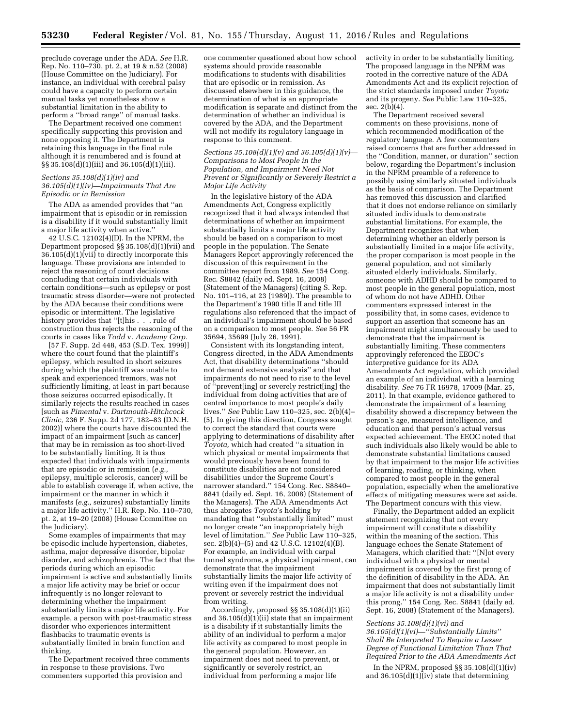preclude coverage under the ADA. *See* H.R. Rep. No. 110–730, pt. 2, at 19 & n.52 (2008) (House Committee on the Judiciary). For instance, an individual with cerebral palsy could have a capacity to perform certain manual tasks yet nonetheless show a substantial limitation in the ability to perform a ''broad range'' of manual tasks.

The Department received one comment specifically supporting this provision and none opposing it. The Department is retaining this language in the final rule although it is renumbered and is found at §§ 35.108(d)(1)(iii) and 36.105(d)(1)(iii).

#### *Sections 35.108(d)(1)(iv) and 36.105(d)(1)(iv)—Impairments That Are Episodic or in Remission*

The ADA as amended provides that ''an impairment that is episodic or in remission is a disability if it would substantially limit a major life activity when active.''

42 U.S.C. 12102(4)(D). In the NPRM, the Department proposed §§ 35.108(d)(1)(vii) and  $36.105(d)(1)(vii)$  to directly incorporate this language. These provisions are intended to reject the reasoning of court decisions concluding that certain individuals with certain conditions—such as epilepsy or post traumatic stress disorder—were not protected by the ADA because their conditions were episodic or intermittent. The legislative history provides that "[t]his . . . rule of construction thus rejects the reasoning of the courts in cases like *Todd* v. *Academy Corp.* 

[57 F. Supp. 2d 448, 453 (S.D. Tex. 1999)] where the court found that the plaintiff's epilepsy, which resulted in short seizures during which the plaintiff was unable to speak and experienced tremors, was not sufficiently limiting, at least in part because those seizures occurred episodically. It similarly rejects the results reached in cases [such as *Pimental* v. *Dartmouth-Hitchcock Clinic,* 236 F. Supp. 2d 177, 182–83 (D.N.H. 2002)] where the courts have discounted the impact of an impairment [such as cancer] that may be in remission as too short-lived to be substantially limiting. It is thus expected that individuals with impairments that are episodic or in remission (*e.g.,*  epilepsy, multiple sclerosis, cancer) will be able to establish coverage if, when active, the impairment or the manner in which it manifests (*e.g.,* seizures) substantially limits a major life activity.'' H.R. Rep. No. 110–730, pt. 2, at 19–20 (2008) (House Committee on the Judiciary).

Some examples of impairments that may be episodic include hypertension, diabetes, asthma, major depressive disorder, bipolar disorder, and schizophrenia. The fact that the periods during which an episodic impairment is active and substantially limits a major life activity may be brief or occur infrequently is no longer relevant to determining whether the impairment substantially limits a major life activity. For example, a person with post-traumatic stress disorder who experiences intermittent flashbacks to traumatic events is substantially limited in brain function and thinking.

The Department received three comments in response to these provisions. Two commenters supported this provision and

one commenter questioned about how school systems should provide reasonable modifications to students with disabilities that are episodic or in remission. As discussed elsewhere in this guidance, the determination of what is an appropriate modification is separate and distinct from the determination of whether an individual is covered by the ADA, and the Department will not modify its regulatory language in response to this comment.

#### *Sections 35.108(d)(1)(v) and 36.105(d)(1)(v)— Comparisons to Most People in the Population, and Impairment Need Not Prevent or Significantly or Severely Restrict a Major Life Activity*

In the legislative history of the ADA Amendments Act, Congress explicitly recognized that it had always intended that determinations of whether an impairment substantially limits a major life activity should be based on a comparison to most people in the population. The Senate Managers Report approvingly referenced the discussion of this requirement in the committee report from 1989. *See* 154 Cong. Rec. S8842 (daily ed. Sept. 16, 2008) (Statement of the Managers) (citing S. Rep. No. 101–116, at 23 (1989)). The preamble to the Department's 1990 title II and title III regulations also referenced that the impact of an individual's impairment should be based on a comparison to most people. *See* 56 FR 35694, 35699 (July 26, 1991).

Consistent with its longstanding intent, Congress directed, in the ADA Amendments Act, that disability determinations ''should not demand extensive analysis'' and that impairments do not need to rise to the level of ''prevent[ing] or severely restrict[ing] the individual from doing activities that are of central importance to most people's daily lives.'' *See* Public Law 110–325, sec. 2(b)(4)– (5). In giving this direction, Congress sought to correct the standard that courts were applying to determinations of disability after *Toyota,* which had created ''a situation in which physical or mental impairments that would previously have been found to constitute disabilities are not considered disabilities under the Supreme Court's narrower standard.'' 154 Cong. Rec. S8840– 8841 (daily ed. Sept. 16, 2008) (Statement of the Managers). The ADA Amendments Act thus abrogates *Toyota*'s holding by mandating that ''substantially limited'' must no longer create ''an inappropriately high level of limitation.'' *See* Public Law 110–325, sec. 2(b)(4)–(5) and 42 U.S.C. 12102(4)(B). For example, an individual with carpal tunnel syndrome, a physical impairment, can demonstrate that the impairment substantially limits the major life activity of writing even if the impairment does not prevent or severely restrict the individual from writing.

Accordingly, proposed §§ 35.108(d)(1)(ii) and 36.105(d)(1)(ii) state that an impairment is a disability if it substantially limits the ability of an individual to perform a major life activity as compared to most people in the general population. However, an impairment does not need to prevent, or significantly or severely restrict, an individual from performing a major life

activity in order to be substantially limiting. The proposed language in the NPRM was rooted in the corrective nature of the ADA Amendments Act and its explicit rejection of the strict standards imposed under *Toyota*  and its progeny. *See* Public Law 110–325, sec.  $2(b)(4)$ .

The Department received several comments on these provisions, none of which recommended modification of the regulatory language. A few commenters raised concerns that are further addressed in the ''Condition, manner, or duration'' section below, regarding the Department's inclusion in the NPRM preamble of a reference to possibly using similarly situated individuals as the basis of comparison. The Department has removed this discussion and clarified that it does not endorse reliance on similarly situated individuals to demonstrate substantial limitations. For example, the Department recognizes that when determining whether an elderly person is substantially limited in a major life activity, the proper comparison is most people in the general population, and not similarly situated elderly individuals. Similarly, someone with ADHD should be compared to most people in the general population, most of whom do not have ADHD. Other commenters expressed interest in the possibility that, in some cases, evidence to support an assertion that someone has an impairment might simultaneously be used to demonstrate that the impairment is substantially limiting. These commenters approvingly referenced the EEOC's interpretive guidance for its ADA Amendments Act regulation, which provided an example of an individual with a learning disability. *See* 76 FR 16978, 17009 (Mar. 25, 2011). In that example, evidence gathered to demonstrate the impairment of a learning disability showed a discrepancy between the person's age, measured intelligence, and education and that person's actual versus expected achievement. The EEOC noted that such individuals also likely would be able to demonstrate substantial limitations caused by that impairment to the major life activities of learning, reading, or thinking, when compared to most people in the general population, especially when the ameliorative effects of mitigating measures were set aside. The Department concurs with this view.

Finally, the Department added an explicit statement recognizing that not every impairment will constitute a disability within the meaning of the section. This language echoes the Senate Statement of Managers, which clarified that: ''[N]ot every individual with a physical or mental impairment is covered by the first prong of the definition of disability in the ADA. An impairment that does not substantially limit a major life activity is not a disability under this prong.'' 154 Cong. Rec. S8841 (daily ed. Sept. 16, 2008) (Statement of the Managers).

#### *Sections 35.108(d)(1)(vi) and 36.105(d)(1)(vi)—''Substantially Limits'' Shall Be Interpreted To Require a Lesser Degree of Functional Limitation Than That Required Prior to the ADA Amendments Act*

In the NPRM, proposed §§ 35.108(d)(1)(iv) and  $36.105(d)(1)(iv)$  state that determining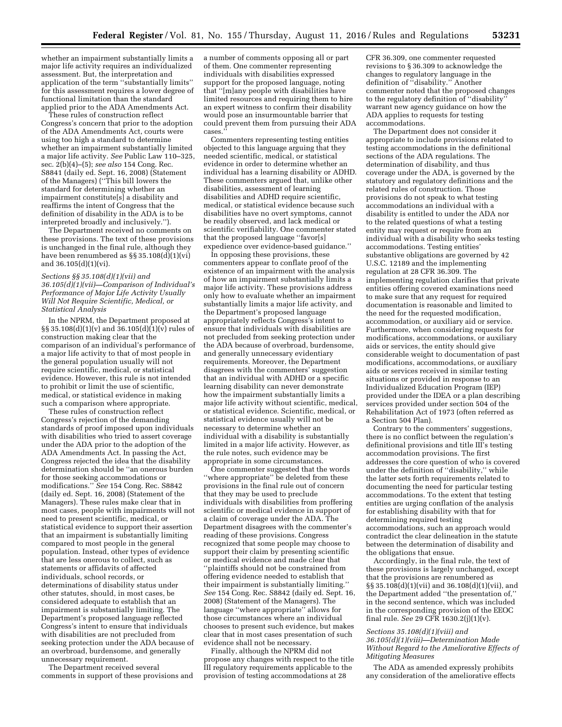whether an impairment substantially limits a major life activity requires an individualized assessment. But, the interpretation and application of the term ''substantially limits'' for this assessment requires a lower degree of functional limitation than the standard applied prior to the ADA Amendments Act.

These rules of construction reflect Congress's concern that prior to the adoption of the ADA Amendments Act, courts were using too high a standard to determine whether an impairment substantially limited a major life activity. *See* Public Law 110–325, sec. 2(b)(4)–(5); *see also* 154 Cong. Rec. S8841 (daily ed. Sept. 16, 2008) (Statement of the Managers) (''This bill lowers the standard for determining whether an impairment constitute[s] a disability and reaffirms the intent of Congress that the definition of disability in the ADA is to be interpreted broadly and inclusively.'').

The Department received no comments on these provisions. The text of these provisions is unchanged in the final rule, although they have been renumbered as §§ 35.108(d)(1)(vi) and 36.105(d)(1)(vi).

#### *Sections §§ 35.108(d)(1)(vii) and 36.105(d)(1)(vii)—Comparison of Individual's Performance of Major Life Activity Usually Will Not Require Scientific, Medical, or Statistical Analysis*

In the NPRM, the Department proposed at §§ 35.108(d)(1)(v) and  $36.105(d)(1)(v)$  rules of construction making clear that the comparison of an individual's performance of a major life activity to that of most people in the general population usually will not require scientific, medical, or statistical evidence. However, this rule is not intended to prohibit or limit the use of scientific, medical, or statistical evidence in making such a comparison where appropriate.

These rules of construction reflect Congress's rejection of the demanding standards of proof imposed upon individuals with disabilities who tried to assert coverage under the ADA prior to the adoption of the ADA Amendments Act. In passing the Act, Congress rejected the idea that the disability determination should be ''an onerous burden for those seeking accommodations or modifications.'' *See* 154 Cong. Rec. S8842 (daily ed. Sept. 16, 2008) (Statement of the Managers). These rules make clear that in most cases, people with impairments will not need to present scientific, medical, or statistical evidence to support their assertion that an impairment is substantially limiting compared to most people in the general population. Instead, other types of evidence that are less onerous to collect, such as statements or affidavits of affected individuals, school records, or determinations of disability status under other statutes, should, in most cases, be considered adequate to establish that an impairment is substantially limiting. The Department's proposed language reflected Congress's intent to ensure that individuals with disabilities are not precluded from seeking protection under the ADA because of an overbroad, burdensome, and generally unnecessary requirement.

The Department received several comments in support of these provisions and a number of comments opposing all or part of them. One commenter representing individuals with disabilities expressed support for the proposed language, noting that ''[m]any people with disabilities have limited resources and requiring them to hire an expert witness to confirm their disability would pose an insurmountable barrier that could prevent them from pursuing their ADA cases.

Commenters representing testing entities objected to this language arguing that they needed scientific, medical, or statistical evidence in order to determine whether an individual has a learning disability or ADHD. These commenters argued that, unlike other disabilities, assessment of learning disabilities and ADHD require scientific, medical, or statistical evidence because such disabilities have no overt symptoms, cannot be readily observed, and lack medical or scientific verifiability. One commenter stated that the proposed language ''favor[s] expedience over evidence-based guidance.''

In opposing these provisions, these commenters appear to conflate proof of the existence of an impairment with the analysis of how an impairment substantially limits a major life activity. These provisions address only how to evaluate whether an impairment substantially limits a major life activity, and the Department's proposed language appropriately reflects Congress's intent to ensure that individuals with disabilities are not precluded from seeking protection under the ADA because of overbroad, burdensome, and generally unnecessary evidentiary requirements. Moreover, the Department disagrees with the commenters' suggestion that an individual with ADHD or a specific learning disability can never demonstrate how the impairment substantially limits a major life activity without scientific, medical, or statistical evidence. Scientific, medical, or statistical evidence usually will not be necessary to determine whether an individual with a disability is substantially limited in a major life activity. However, as the rule notes, such evidence may be appropriate in some circumstances.

One commenter suggested that the words ''where appropriate'' be deleted from these provisions in the final rule out of concern that they may be used to preclude individuals with disabilities from proffering scientific or medical evidence in support of a claim of coverage under the ADA. The Department disagrees with the commenter's reading of these provisions. Congress recognized that some people may choose to support their claim by presenting scientific or medical evidence and made clear that ''plaintiffs should not be constrained from offering evidence needed to establish that their impairment is substantially limiting.'' *See* 154 Cong. Rec. S8842 (daily ed. Sept. 16, 2008) (Statement of the Managers). The language ''where appropriate'' allows for those circumstances where an individual chooses to present such evidence, but makes clear that in most cases presentation of such evidence shall not be necessary.

Finally, although the NPRM did not propose any changes with respect to the title III regulatory requirements applicable to the provision of testing accommodations at 28

CFR 36.309, one commenter requested revisions to § 36.309 to acknowledge the changes to regulatory language in the definition of ''disability.'' Another commenter noted that the proposed changes to the regulatory definition of ''disability'' warrant new agency guidance on how the ADA applies to requests for testing accommodations.

The Department does not consider it appropriate to include provisions related to testing accommodations in the definitional sections of the ADA regulations. The determination of disability, and thus coverage under the ADA, is governed by the statutory and regulatory definitions and the related rules of construction. Those provisions do not speak to what testing accommodations an individual with a disability is entitled to under the ADA nor to the related questions of what a testing entity may request or require from an individual with a disability who seeks testing accommodations. Testing entities' substantive obligations are governed by 42 U.S.C. 12189 and the implementing regulation at 28 CFR 36.309. The implementing regulation clarifies that private entities offering covered examinations need to make sure that any request for required documentation is reasonable and limited to the need for the requested modification, accommodation, or auxiliary aid or service. Furthermore, when considering requests for modifications, accommodations, or auxiliary aids or services, the entity should give considerable weight to documentation of past modifications, accommodations, or auxiliary aids or services received in similar testing situations or provided in response to an Individualized Education Program (IEP) provided under the IDEA or a plan describing services provided under section 504 of the Rehabilitation Act of 1973 (often referred as a Section 504 Plan).

Contrary to the commenters' suggestions, there is no conflict between the regulation's definitional provisions and title III's testing accommodation provisions. The first addresses the core question of who is covered under the definition of ''disability,'' while the latter sets forth requirements related to documenting the need for particular testing accommodations. To the extent that testing entities are urging conflation of the analysis for establishing disability with that for determining required testing accommodations, such an approach would contradict the clear delineation in the statute between the determination of disability and the obligations that ensue.

Accordingly, in the final rule, the text of these provisions is largely unchanged, except that the provisions are renumbered as §§ 35.108(d)(1)(vii) and 36.108(d)(1)(vii), and the Department added ''the presentation of,'' in the second sentence, which was included in the corresponding provision of the EEOC final rule. *See* 29 CFR 1630.2(j)(1)(v).

#### *Sections 35.108(d)(1)(viii) and*

*36.105(d)(1)(viii)—Determination Made Without Regard to the Ameliorative Effects of Mitigating Measures* 

The ADA as amended expressly prohibits any consideration of the ameliorative effects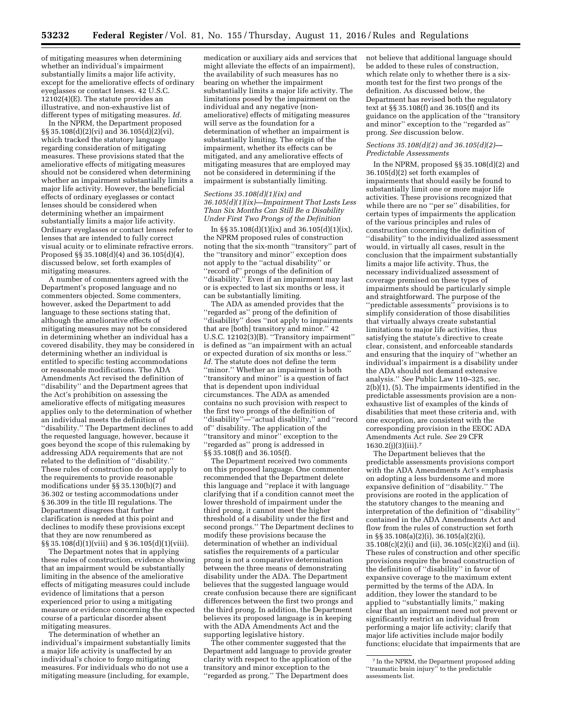of mitigating measures when determining whether an individual's impairment substantially limits a major life activity, except for the ameliorative effects of ordinary eyeglasses or contact lenses. 42 U.S.C. 12102(4)(E). The statute provides an illustrative, and non-exhaustive list of different types of mitigating measures. *Id.* 

In the NPRM, the Department proposed §§ 35.108(d)(2)(vi) and  $36.105(d)(2)(vi)$ , which tracked the statutory language regarding consideration of mitigating measures. These provisions stated that the ameliorative effects of mitigating measures should not be considered when determining whether an impairment substantially limits a major life activity. However, the beneficial effects of ordinary eyeglasses or contact lenses should be considered when determining whether an impairment substantially limits a major life activity. Ordinary eyeglasses or contact lenses refer to lenses that are intended to fully correct visual acuity or to eliminate refractive errors. Proposed §§ 35.108(d)(4) and 36.105(d)(4), discussed below, set forth examples of mitigating measures.

A number of commenters agreed with the Department's proposed language and no commenters objected. Some commenters, however, asked the Department to add language to these sections stating that, although the ameliorative effects of mitigating measures may not be considered in determining whether an individual has a covered disability, they may be considered in determining whether an individual is entitled to specific testing accommodations or reasonable modifications. The ADA Amendments Act revised the definition of ''disability'' and the Department agrees that the Act's prohibition on assessing the ameliorative effects of mitigating measures applies only to the determination of whether an individual meets the definition of ''disability.'' The Department declines to add the requested language, however, because it goes beyond the scope of this rulemaking by addressing ADA requirements that are not related to the definition of ''disability.'' These rules of construction do not apply to the requirements to provide reasonable modifications under §§ 35.130(b)(7) and 36.302 or testing accommodations under § 36.309 in the title III regulations. The Department disagrees that further clarification is needed at this point and declines to modify these provisions except that they are now renumbered as §§ 35.108(d)(1)(viii) and § 36.105(d)(1)(viii).

The Department notes that in applying these rules of construction, evidence showing that an impairment would be substantially limiting in the absence of the ameliorative effects of mitigating measures could include evidence of limitations that a person experienced prior to using a mitigating measure or evidence concerning the expected course of a particular disorder absent mitigating measures.

The determination of whether an individual's impairment substantially limits a major life activity is unaffected by an individual's choice to forgo mitigating measures. For individuals who do not use a mitigating measure (including, for example,

medication or auxiliary aids and services that might alleviate the effects of an impairment), the availability of such measures has no bearing on whether the impairment substantially limits a major life activity. The limitations posed by the impairment on the individual and any negative (nonameliorative) effects of mitigating measures will serve as the foundation for a determination of whether an impairment is substantially limiting. The origin of the impairment, whether its effects can be mitigated, and any ameliorative effects of mitigating measures that are employed may not be considered in determining if the impairment is substantially limiting.

#### *Sections 35.108(d)(1)(ix) and 36.105(d)(1)(ix)—Impairment That Lasts Less Than Six Months Can Still Be a Disability Under First Two Prongs of the Definition*

In §§ 35.108(d)(1)(ix) and 36.105(d)(1)(ix), the NPRM proposed rules of construction noting that the six-month ''transitory'' part of the ''transitory and minor'' exception does not apply to the ''actual disability'' or ''record of'' prongs of the definition of ''disability.'' Even if an impairment may last or is expected to last six months or less, it can be substantially limiting.

The ADA as amended provides that the ''regarded as'' prong of the definition of ''disability'' does ''not apply to impairments that are [both] transitory and minor.'' 42 U.S.C. 12102(3)(B). ''Transitory impairment'' is defined as ''an impairment with an actual or expected duration of six months or less.'' *Id.* The statute does not define the term ''minor.'' Whether an impairment is both ''transitory and minor'' is a question of fact that is dependent upon individual circumstances. The ADA as amended contains no such provision with respect to the first two prongs of the definition of ''disability''—''actual disability,'' and ''record of'' disability. The application of the ''transitory and minor'' exception to the ''regarded as'' prong is addressed in §§ 35.108(f) and 36.105(f).

The Department received two comments on this proposed language. One commenter recommended that the Department delete this language and ''replace it with language clarifying that if a condition cannot meet the lower threshold of impairment under the third prong, it cannot meet the higher threshold of a disability under the first and second prongs.'' The Department declines to modify these provisions because the determination of whether an individual satisfies the requirements of a particular prong is not a comparative determination between the three means of demonstrating disability under the ADA. The Department believes that the suggested language would create confusion because there are significant differences between the first two prongs and the third prong. In addition, the Department believes its proposed language is in keeping with the ADA Amendments Act and the supporting legislative history.

The other commenter suggested that the Department add language to provide greater clarity with respect to the application of the transitory and minor exception to the ''regarded as prong.'' The Department does

not believe that additional language should be added to these rules of construction, which relate only to whether there is a sixmonth test for the first two prongs of the definition. As discussed below, the Department has revised both the regulatory text at §§ 35.108(f) and 36.105(f) and its guidance on the application of the ''transitory and minor'' exception to the ''regarded as'' prong. *See* discussion below.

#### *Sections 35.108(d)(2) and 36.105(d)(2)— Predictable Assessments*

In the NPRM, proposed §§ 35.108(d)(2) and 36.105(d)(2) set forth examples of impairments that should easily be found to substantially limit one or more major life activities. These provisions recognized that while there are no ''per se'' disabilities, for certain types of impairments the application of the various principles and rules of construction concerning the definition of ''disability'' to the individualized assessment would, in virtually all cases, result in the conclusion that the impairment substantially limits a major life activity. Thus, the necessary individualized assessment of coverage premised on these types of impairments should be particularly simple and straightforward. The purpose of the ''predictable assessments'' provisions is to simplify consideration of those disabilities that virtually always create substantial limitations to major life activities, thus satisfying the statute's directive to create clear, consistent, and enforceable standards and ensuring that the inquiry of ''whether an individual's impairment is a disability under the ADA should not demand extensive analysis.'' *See* Public Law 110–325, sec.  $2(b)(1)$ ,  $(5)$ . The impairments identified in the predictable assessments provision are a nonexhaustive list of examples of the kinds of disabilities that meet these criteria and, with one exception, are consistent with the corresponding provision in the EEOC ADA Amendments Act rule. *See* 29 CFR 1630.2(j)(3)(iii).7

The Department believes that the predictable assessments provisions comport with the ADA Amendments Act's emphasis on adopting a less burdensome and more expansive definition of ''disability.'' The provisions are rooted in the application of the statutory changes to the meaning and interpretation of the definition of ''disability'' contained in the ADA Amendments Act and flow from the rules of construction set forth in §§ 35.108(a)(2)(i), 36.105(a)(2)(i), 35.108(c)(2)(i) and (ii), 36.105(c)(2)(i) and (ii). These rules of construction and other specific provisions require the broad construction of the definition of ''disability'' in favor of expansive coverage to the maximum extent permitted by the terms of the ADA. In addition, they lower the standard to be applied to ''substantially limits,'' making clear that an impairment need not prevent or significantly restrict an individual from performing a major life activity; clarify that major life activities include major bodily functions; elucidate that impairments that are

<sup>7</sup> In the NPRM, the Department proposed adding ''traumatic brain injury'' to the predictable assessments list.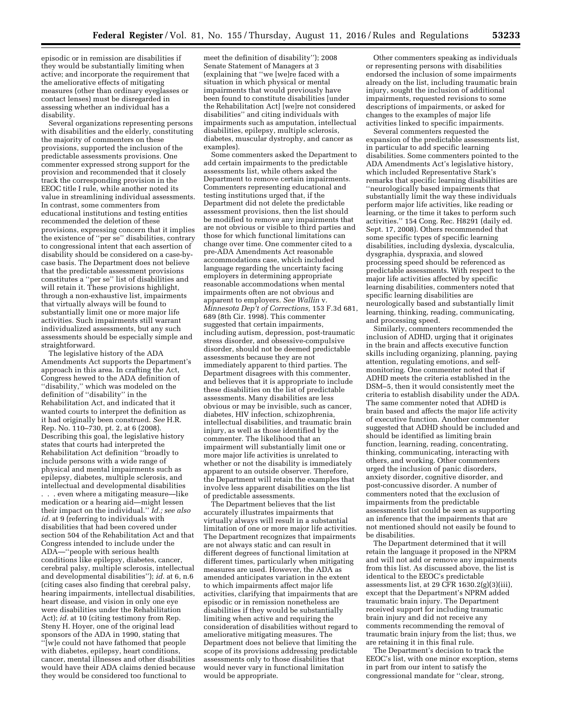episodic or in remission are disabilities if they would be substantially limiting when active; and incorporate the requirement that the ameliorative effects of mitigating measures (other than ordinary eyeglasses or contact lenses) must be disregarded in assessing whether an individual has a disability.

Several organizations representing persons with disabilities and the elderly, constituting the majority of commenters on these provisions, supported the inclusion of the predictable assessments provisions. One commenter expressed strong support for the provision and recommended that it closely track the corresponding provision in the EEOC title I rule, while another noted its value in streamlining individual assessments. In contrast, some commenters from educational institutions and testing entities recommended the deletion of these provisions, expressing concern that it implies the existence of ''per se'' disabilities, contrary to congressional intent that each assertion of disability should be considered on a case-bycase basis. The Department does not believe that the predictable assessment provisions constitutes a ''per se'' list of disabilities and will retain it. These provisions highlight, through a non-exhaustive list, impairments that virtually always will be found to substantially limit one or more major life activities. Such impairments still warrant individualized assessments, but any such assessments should be especially simple and straightforward.

The legislative history of the ADA Amendments Act supports the Department's approach in this area. In crafting the Act, Congress hewed to the ADA definition of ''disability,'' which was modeled on the definition of ''disability'' in the Rehabilitation Act, and indicated that it wanted courts to interpret the definition as it had originally been construed. *See* H.R. Rep. No. 110–730, pt. 2, at 6 (2008). Describing this goal, the legislative history states that courts had interpreted the Rehabilitation Act definition ''broadly to include persons with a wide range of physical and mental impairments such as epilepsy, diabetes, multiple sclerosis, and intellectual and developmental disabilities . . . even where a mitigating measure—like medication or a hearing aid—might lessen their impact on the individual.'' *Id.; see also id.* at 9 (referring to individuals with disabilities that had been covered under section 504 of the Rehabilitation Act and that Congress intended to include under the ADA—''people with serious health conditions like epilepsy, diabetes, cancer, cerebral palsy, multiple sclerosis, intellectual and developmental disabilities''); *id.* at 6, n.6 (citing cases also finding that cerebral palsy, hearing impairments, intellectual disabilities, heart disease, and vision in only one eye were disabilities under the Rehabilitation Act); *id.* at 10 (citing testimony from Rep. Steny H. Hoyer, one of the original lead sponsors of the ADA in 1990, stating that ''[w]e could not have fathomed that people with diabetes, epilepsy, heart conditions, cancer, mental illnesses and other disabilities would have their ADA claims denied because they would be considered too functional to

meet the definition of disability''); 2008 Senate Statement of Managers at 3 (explaining that ''we [we]re faced with a situation in which physical or mental impairments that would previously have been found to constitute disabilities [under the Rehabilitation Act] [we]re not considered disabilities'' and citing individuals with impairments such as amputation, intellectual disabilities, epilepsy, multiple sclerosis, diabetes, muscular dystrophy, and cancer as examples).

Some commenters asked the Department to add certain impairments to the predictable assessments list, while others asked the Department to remove certain impairments. Commenters representing educational and testing institutions urged that, if the Department did not delete the predictable assessment provisions, then the list should be modified to remove any impairments that are not obvious or visible to third parties and those for which functional limitations can change over time. One commenter cited to a pre-ADA Amendments Act reasonable accommodations case, which included language regarding the uncertainty facing employers in determining appropriate reasonable accommodations when mental impairments often are not obvious and apparent to employers. *See Wallin* v. *Minnesota Dep't of Corrections,* 153 F.3d 681, 689 (8th Cir. 1998). This commenter suggested that certain impairments, including autism, depression, post-traumatic stress disorder, and obsessive-compulsive disorder, should not be deemed predictable assessments because they are not immediately apparent to third parties. The Department disagrees with this commenter, and believes that it is appropriate to include these disabilities on the list of predictable assessments. Many disabilities are less obvious or may be invisible, such as cancer, diabetes, HIV infection, schizophrenia, intellectual disabilities, and traumatic brain injury, as well as those identified by the commenter. The likelihood that an impairment will substantially limit one or more major life activities is unrelated to whether or not the disability is immediately apparent to an outside observer. Therefore, the Department will retain the examples that involve less apparent disabilities on the list of predictable assessments.

The Department believes that the list accurately illustrates impairments that virtually always will result in a substantial limitation of one or more major life activities. The Department recognizes that impairments are not always static and can result in different degrees of functional limitation at different times, particularly when mitigating measures are used. However, the ADA as amended anticipates variation in the extent to which impairments affect major life activities, clarifying that impairments that are episodic or in remission nonetheless are disabilities if they would be substantially limiting when active and requiring the consideration of disabilities without regard to ameliorative mitigating measures. The Department does not believe that limiting the scope of its provisions addressing predictable assessments only to those disabilities that would never vary in functional limitation would be appropriate.

Other commenters speaking as individuals or representing persons with disabilities endorsed the inclusion of some impairments already on the list, including traumatic brain injury, sought the inclusion of additional impairments, requested revisions to some descriptions of impairments, or asked for changes to the examples of major life activities linked to specific impairments.

Several commenters requested the expansion of the predictable assessments list, in particular to add specific learning disabilities. Some commenters pointed to the ADA Amendments Act's legislative history, which included Representative Stark's remarks that specific learning disabilities are ''neurologically based impairments that substantially limit the way these individuals perform major life activities, like reading or learning, or the time it takes to perform such activities.'' 154 Cong. Rec. H8291 (daily ed. Sept. 17, 2008). Others recommended that some specific types of specific learning disabilities, including dyslexia, dyscalculia, dysgraphia, dyspraxia, and slowed processing speed should be referenced as predictable assessments. With respect to the major life activities affected by specific learning disabilities, commenters noted that specific learning disabilities are neurologically based and substantially limit learning, thinking, reading, communicating, and processing speed.

Similarly, commenters recommended the inclusion of ADHD, urging that it originates in the brain and affects executive function skills including organizing, planning, paying attention, regulating emotions, and selfmonitoring. One commenter noted that if ADHD meets the criteria established in the DSM–5, then it would consistently meet the criteria to establish disability under the ADA. The same commenter noted that ADHD is brain based and affects the major life activity of executive function. Another commenter suggested that ADHD should be included and should be identified as limiting brain function, learning, reading, concentrating, thinking, communicating, interacting with others, and working. Other commenters urged the inclusion of panic disorders, anxiety disorder, cognitive disorder, and post-concussive disorder. A number of commenters noted that the exclusion of impairments from the predictable assessments list could be seen as supporting an inference that the impairments that are not mentioned should not easily be found to be disabilities.

The Department determined that it will retain the language it proposed in the NPRM and will not add or remove any impairments from this list. As discussed above, the list is identical to the EEOC's predictable assessments list, at 29  $CFR$  1630.2(g)(3)(iii), except that the Department's NPRM added traumatic brain injury. The Department received support for including traumatic brain injury and did not receive any comments recommending the removal of traumatic brain injury from the list; thus, we are retaining it in this final rule.

The Department's decision to track the EEOC's list, with one minor exception, stems in part from our intent to satisfy the congressional mandate for ''clear, strong,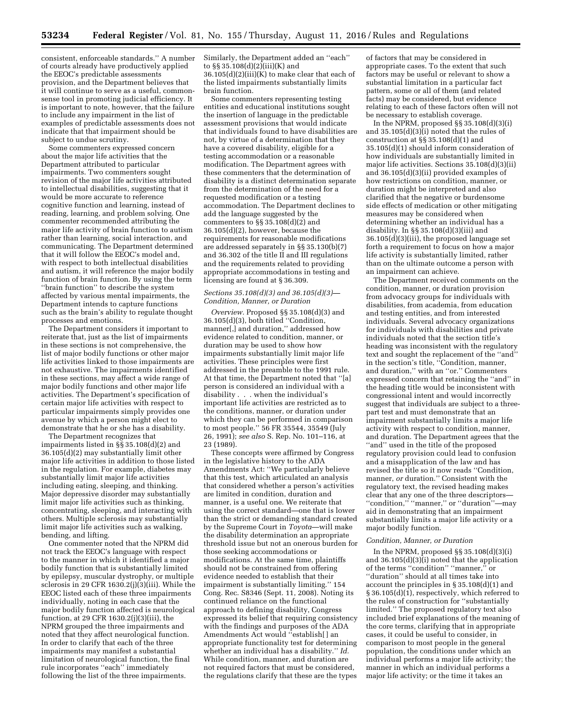brain function.

consistent, enforceable standards.'' A number of courts already have productively applied the EEOC's predictable assessments provision, and the Department believes that it will continue to serve as a useful, commonsense tool in promoting judicial efficiency. It is important to note, however, that the failure to include any impairment in the list of examples of predictable assessments does not indicate that that impairment should be subject to undue scrutiny.

Some commenters expressed concern about the major life activities that the Department attributed to particular impairments. Two commenters sought revision of the major life activities attributed to intellectual disabilities, suggesting that it would be more accurate to reference cognitive function and learning, instead of reading, learning, and problem solving. One commenter recommended attributing the major life activity of brain function to autism rather than learning, social interaction, and communicating. The Department determined that it will follow the EEOC's model and, with respect to both intellectual disabilities and autism, it will reference the major bodily function of brain function. By using the term ''brain function'' to describe the system affected by various mental impairments, the Department intends to capture functions such as the brain's ability to regulate thought processes and emotions.

The Department considers it important to reiterate that, just as the list of impairments in these sections is not comprehensive, the list of major bodily functions or other major life activities linked to those impairments are not exhaustive. The impairments identified in these sections, may affect a wide range of major bodily functions and other major life activities. The Department's specification of certain major life activities with respect to particular impairments simply provides one avenue by which a person might elect to demonstrate that he or she has a disability.

The Department recognizes that impairments listed in §§ 35.108(d)(2) and 36.105(d)(2) may substantially limit other major life activities in addition to those listed in the regulation. For example, diabetes may substantially limit major life activities including eating, sleeping, and thinking. Major depressive disorder may substantially limit major life activities such as thinking, concentrating, sleeping, and interacting with others. Multiple sclerosis may substantially limit major life activities such as walking, bending, and lifting.

One commenter noted that the NPRM did not track the EEOC's language with respect to the manner in which it identified a major bodily function that is substantially limited by epilepsy, muscular dystrophy, or multiple sclerosis in 29 CFR 1630.2(j)(3)(iii). While the EEOC listed each of these three impairments individually, noting in each case that the major bodily function affected is neurological function, at 29 CFR 1630.2(j)(3)(iii), the NPRM grouped the three impairments and noted that they affect neurological function. In order to clarify that each of the three impairments may manifest a substantial limitation of neurological function, the final rule incorporates ''each'' immediately following the list of the three impairments.

Similarly, the Department added an ''each'' to  $\S$ § 35.108(d)(2)(iii)(K) and 36.105(d)(2)(iii)(K) to make clear that each of the listed impairments substantially limits

Some commenters representing testing entities and educational institutions sought the insertion of language in the predictable assessment provisions that would indicate that individuals found to have disabilities are not, by virtue of a determination that they have a covered disability, eligible for a testing accommodation or a reasonable modification. The Department agrees with these commenters that the determination of disability is a distinct determination separate from the determination of the need for a requested modification or a testing accommodation. The Department declines to add the language suggested by the commenters to §§ 35.108(d)(2) and 36.105(d)(2), however, because the requirements for reasonable modifications are addressed separately in §§ 35.130(b)(7) and 36.302 of the title II and III regulations and the requirements related to providing appropriate accommodations in testing and licensing are found at § 36.309.

#### *Sections 35.108(d)(3) and 36.105(d)(3)— Condition, Manner, or Duration*

*Overview.* Proposed §§ 35.108(d)(3) and 36.105(d)(3), both titled ''Condition, manner[,] and duration," addressed how evidence related to condition, manner, or duration may be used to show how impairments substantially limit major life activities. These principles were first addressed in the preamble to the 1991 rule. At that time, the Department noted that ''[a] person is considered an individual with a disability . . . when the individual's important life activities are restricted as to the conditions, manner, or duration under which they can be performed in comparison to most people.'' 56 FR 35544, 35549 (July 26, 1991); *see also* S. Rep. No. 101–116, at 23 (1989).

These concepts were affirmed by Congress in the legislative history to the ADA Amendments Act: ''We particularly believe that this test, which articulated an analysis that considered whether a person's activities are limited in condition, duration and manner, is a useful one. We reiterate that using the correct standard—one that is lower than the strict or demanding standard created by the Supreme Court in *Toyota*—will make the disability determination an appropriate threshold issue but not an onerous burden for those seeking accommodations or modifications. At the same time, plaintiffs should not be constrained from offering evidence needed to establish that their impairment is substantially limiting.'' 154 Cong. Rec. S8346 (Sept. 11, 2008). Noting its continued reliance on the functional approach to defining disability, Congress expressed its belief that requiring consistency with the findings and purposes of the ADA Amendments Act would ''establish[ ] an appropriate functionality test for determining whether an individual has a disability.'' *Id.*  While condition, manner, and duration are not required factors that must be considered, the regulations clarify that these are the types of factors that may be considered in appropriate cases. To the extent that such factors may be useful or relevant to show a substantial limitation in a particular fact pattern, some or all of them (and related facts) may be considered, but evidence relating to each of these factors often will not be necessary to establish coverage.

In the NPRM, proposed  $\S$ § 35.108(d)(3)(i) and  $35.105(d)(3)(i)$  noted that the rules of construction at §§ 35.108(d)(1) and 35.105(d)(1) should inform consideration of how individuals are substantially limited in major life activities. Sections 35.108(d)(3)(ii) and 36.105(d)(3)(ii) provided examples of how restrictions on condition, manner, or duration might be interpreted and also clarified that the negative or burdensome side effects of medication or other mitigating measures may be considered when determining whether an individual has a disability. In §§ 35.108(d)(3)(iii) and  $36.105(d)(3)(iii)$ , the proposed language set forth a requirement to focus on how a major life activity is substantially limited, rather than on the ultimate outcome a person with an impairment can achieve.

The Department received comments on the condition, manner, or duration provision from advocacy groups for individuals with disabilities, from academia, from education and testing entities, and from interested individuals. Several advocacy organizations for individuals with disabilities and private individuals noted that the section title's heading was inconsistent with the regulatory text and sought the replacement of the ''and'' in the section's title, ''Condition, manner, and duration,'' with an ''or.'' Commenters expressed concern that retaining the ''and'' in the heading title would be inconsistent with congressional intent and would incorrectly suggest that individuals are subject to a threepart test and must demonstrate that an impairment substantially limits a major life activity with respect to condition, manner, and duration. The Department agrees that the "and" used in the title of the proposed regulatory provision could lead to confusion and a misapplication of the law and has revised the title so it now reads ''Condition, manner, *or* duration.'' Consistent with the regulatory text, the revised heading makes clear that any one of the three descriptors— ''condition,'' ''manner,'' or ''duration''—may aid in demonstrating that an impairment substantially limits a major life activity or a major bodily function.

#### *Condition, Manner, or Duration*

In the NPRM, proposed  $\S$ § 35.108(d)(3)(i) and  $36.105(d)(3)(i)$  noted that the application of the terms ''condition'' ''manner,'' or ''duration'' should at all times take into account the principles in § 35.108(d)(1) and § 36.105(d)(1), respectively, which referred to the rules of construction for ''substantially limited.'' The proposed regulatory text also included brief explanations of the meaning of the core terms, clarifying that in appropriate cases, it could be useful to consider, in comparison to most people in the general population, the conditions under which an individual performs a major life activity; the manner in which an individual performs a major life activity; or the time it takes an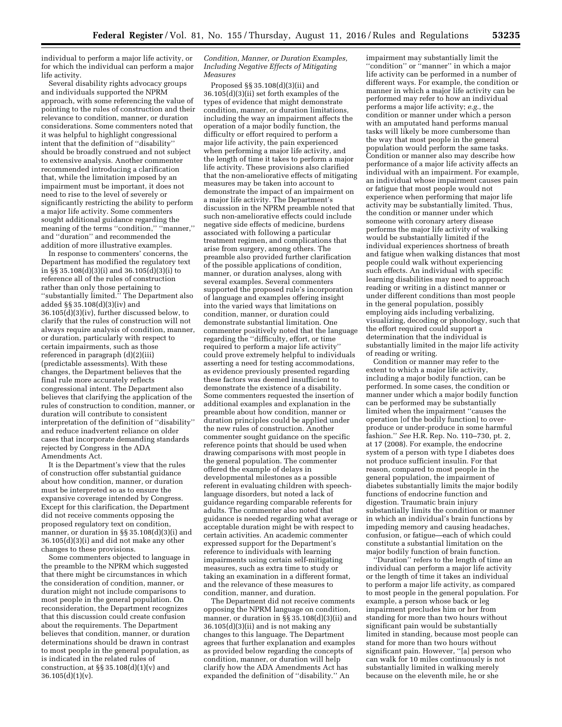individual to perform a major life activity, or for which the individual can perform a major life activity.

Several disability rights advocacy groups and individuals supported the NPRM approach, with some referencing the value of pointing to the rules of construction and their relevance to condition, manner, or duration considerations. Some commenters noted that it was helpful to highlight congressional intent that the definition of ''disability'' should be broadly construed and not subject to extensive analysis. Another commenter recommended introducing a clarification that, while the limitation imposed by an impairment must be important, it does not need to rise to the level of severely or significantly restricting the ability to perform a major life activity. Some commenters sought additional guidance regarding the meaning of the terms ''condition,'' ''manner,'' and ''duration'' and recommended the addition of more illustrative examples.

In response to commenters' concerns, the Department has modified the regulatory text in §§ 35.108(d)(3)(i) and 36.105(d)(3)(i) to reference all of the rules of construction rather than only those pertaining to ''substantially limited.'' The Department also added §§ 35.108(d)(3)(iv) and 36.105(d)(3)(iv), further discussed below, to clarify that the rules of construction will not always require analysis of condition, manner, or duration, particularly with respect to certain impairments, such as those referenced in paragraph (d)(2)(iii) (predictable assessments). With these changes, the Department believes that the final rule more accurately reflects congressional intent. The Department also believes that clarifying the application of the rules of construction to condition, manner, or duration will contribute to consistent interpretation of the definition of ''disability'' and reduce inadvertent reliance on older cases that incorporate demanding standards rejected by Congress in the ADA Amendments Act.

It is the Department's view that the rules of construction offer substantial guidance about how condition, manner, or duration must be interpreted so as to ensure the expansive coverage intended by Congress. Except for this clarification, the Department did not receive comments opposing the proposed regulatory text on condition, manner, or duration in §§ 35.108(d)(3)(i) and 36.105(d)(3)(i) and did not make any other changes to these provisions.

Some commenters objected to language in the preamble to the NPRM which suggested that there might be circumstances in which the consideration of condition, manner, or duration might not include comparisons to most people in the general population. On reconsideration, the Department recognizes that this discussion could create confusion about the requirements. The Department believes that condition, manner, or duration determinations should be drawn in contrast to most people in the general population, as is indicated in the related rules of construction, at §§ 35.108(d)(1)(v) and  $36.105(d)(1)(v)$ .

#### *Condition, Manner, or Duration Examples, Including Negative Effects of Mitigating Measures*

Proposed §§ 35.108(d)(3)(ii) and 36.105(d)(3)(ii) set forth examples of the types of evidence that might demonstrate condition, manner, or duration limitations, including the way an impairment affects the operation of a major bodily function, the difficulty or effort required to perform a major life activity, the pain experienced when performing a major life activity, and the length of time it takes to perform a major life activity. These provisions also clarified that the non-ameliorative effects of mitigating measures may be taken into account to demonstrate the impact of an impairment on a major life activity. The Department's discussion in the NPRM preamble noted that such non-ameliorative effects could include negative side effects of medicine, burdens associated with following a particular treatment regimen, and complications that arise from surgery, among others. The preamble also provided further clarification of the possible applications of condition, manner, or duration analyses, along with several examples. Several commenters supported the proposed rule's incorporation of language and examples offering insight into the varied ways that limitations on condition, manner, or duration could demonstrate substantial limitation. One commenter positively noted that the language regarding the ''difficulty, effort, or time required to perform a major life activity'' could prove extremely helpful to individuals asserting a need for testing accommodations, as evidence previously presented regarding these factors was deemed insufficient to demonstrate the existence of a disability. Some commenters requested the insertion of additional examples and explanation in the preamble about how condition, manner or duration principles could be applied under the new rules of construction. Another commenter sought guidance on the specific reference points that should be used when drawing comparisons with most people in the general population. The commenter offered the example of delays in developmental milestones as a possible referent in evaluating children with speechlanguage disorders, but noted a lack of guidance regarding comparable referents for adults. The commenter also noted that guidance is needed regarding what average or acceptable duration might be with respect to certain activities. An academic commenter expressed support for the Department's reference to individuals with learning impairments using certain self-mitigating measures, such as extra time to study or taking an examination in a different format, and the relevance of these measures to condition, manner, and duration.

The Department did not receive comments opposing the NPRM language on condition, manner, or duration in §§ 35.108(d)(3)(ii) and 36.105(d)(3)(ii) and is not making any changes to this language. The Department agrees that further explanation and examples as provided below regarding the concepts of condition, manner, or duration will help clarify how the ADA Amendments Act has expanded the definition of ''disability.'' An

impairment may substantially limit the "condition" or "manner" in which a major life activity can be performed in a number of different ways. For example, the condition or manner in which a major life activity can be performed may refer to how an individual performs a major life activity; *e.g.*, the condition or manner under which a person with an amputated hand performs manual tasks will likely be more cumbersome than the way that most people in the general population would perform the same tasks. Condition or manner also may describe how performance of a major life activity affects an individual with an impairment. For example, an individual whose impairment causes pain or fatigue that most people would not experience when performing that major life activity may be substantially limited. Thus, the condition or manner under which someone with coronary artery disease performs the major life activity of walking would be substantially limited if the individual experiences shortness of breath and fatigue when walking distances that most people could walk without experiencing such effects. An individual with specific learning disabilities may need to approach reading or writing in a distinct manner or under different conditions than most people in the general population, possibly employing aids including verbalizing, visualizing, decoding or phonology, such that the effort required could support a determination that the individual is substantially limited in the major life activity of reading or writing.

Condition or manner may refer to the extent to which a major life activity, including a major bodily function, can be performed. In some cases, the condition or manner under which a major bodily function can be performed may be substantially limited when the impairment ''causes the operation [of the bodily function] to overproduce or under-produce in some harmful fashion.'' *See* H.R. Rep. No. 110–730, pt. 2, at 17 (2008). For example, the endocrine system of a person with type I diabetes does not produce sufficient insulin. For that reason, compared to most people in the general population, the impairment of diabetes substantially limits the major bodily functions of endocrine function and digestion. Traumatic brain injury substantially limits the condition or manner in which an individual's brain functions by impeding memory and causing headaches, confusion, or fatigue—each of which could constitute a substantial limitation on the major bodily function of brain function.

''Duration'' refers to the length of time an individual can perform a major life activity or the length of time it takes an individual to perform a major life activity, as compared to most people in the general population. For example, a person whose back or leg impairment precludes him or her from standing for more than two hours without significant pain would be substantially limited in standing, because most people can stand for more than two hours without significant pain. However, ''[a] person who can walk for 10 miles continuously is not substantially limited in walking merely because on the eleventh mile, he or she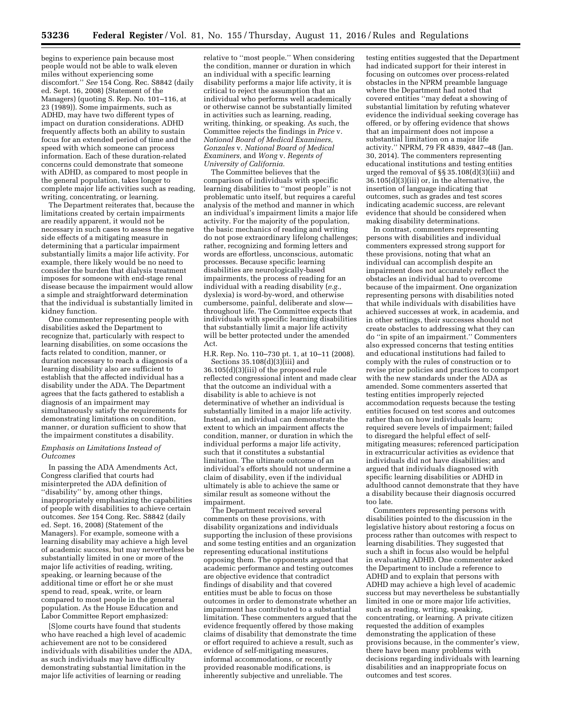begins to experience pain because most people would not be able to walk eleven miles without experiencing some discomfort.'' *See* 154 Cong. Rec. S8842 (daily ed. Sept. 16, 2008) (Statement of the Managers) (quoting S. Rep. No. 101–116, at 23 (1989)). Some impairments, such as ADHD, may have two different types of impact on duration considerations. ADHD frequently affects both an ability to sustain focus for an extended period of time and the speed with which someone can process information. Each of these duration-related concerns could demonstrate that someone with ADHD, as compared to most people in the general population, takes longer to complete major life activities such as reading, writing, concentrating, or learning.

The Department reiterates that, because the limitations created by certain impairments are readily apparent, it would not be necessary in such cases to assess the negative side effects of a mitigating measure in determining that a particular impairment substantially limits a major life activity. For example, there likely would be no need to consider the burden that dialysis treatment imposes for someone with end-stage renal disease because the impairment would allow a simple and straightforward determination that the individual is substantially limited in kidney function.

One commenter representing people with disabilities asked the Department to recognize that, particularly with respect to learning disabilities, on some occasions the facts related to condition, manner, or duration necessary to reach a diagnosis of a learning disability also are sufficient to establish that the affected individual has a disability under the ADA. The Department agrees that the facts gathered to establish a diagnosis of an impairment may simultaneously satisfy the requirements for demonstrating limitations on condition, manner, or duration sufficient to show that the impairment constitutes a disability.

#### *Emphasis on Limitations Instead of Outcomes*

In passing the ADA Amendments Act, Congress clarified that courts had misinterpreted the ADA definition of ''disability'' by, among other things, inappropriately emphasizing the capabilities of people with disabilities to achieve certain outcomes. *See* 154 Cong. Rec. S8842 (daily ed. Sept. 16, 2008) (Statement of the Managers). For example, someone with a learning disability may achieve a high level of academic success, but may nevertheless be substantially limited in one or more of the major life activities of reading, writing, speaking, or learning because of the additional time or effort he or she must spend to read, speak, write, or learn compared to most people in the general population. As the House Education and Labor Committee Report emphasized:

[S]ome courts have found that students who have reached a high level of academic achievement are not to be considered individuals with disabilities under the ADA, as such individuals may have difficulty demonstrating substantial limitation in the major life activities of learning or reading

relative to ''most people.'' When considering the condition, manner or duration in which an individual with a specific learning disability performs a major life activity, it is critical to reject the assumption that an individual who performs well academically or otherwise cannot be substantially limited in activities such as learning, reading, writing, thinking, or speaking. As such, the Committee rejects the findings in *Price* v. *National Board of Medical Examiners*, *Gonzales* v. *National Board of Medical Examiners*, and *Wong* v. *Regents of University of California.* 

The Committee believes that the comparison of individuals with specific learning disabilities to ''most people'' is not problematic unto itself, but requires a careful analysis of the method and manner in which an individual's impairment limits a major life activity. For the majority of the population, the basic mechanics of reading and writing do not pose extraordinary lifelong challenges; rather, recognizing and forming letters and words are effortless, unconscious, automatic processes. Because specific learning disabilities are neurologically-based impairments, the process of reading for an individual with a reading disability (*e.g.*, dyslexia) is word-by-word, and otherwise cumbersome, painful, deliberate and slow throughout life. The Committee expects that individuals with specific learning disabilities that substantially limit a major life activity will be better protected under the amended Act.

H.R. Rep. No. 110–730 pt. 1, at 10–11 (2008). Sections 35.108(d)(3)(iii) and 36.105(d)(3)(iii) of the proposed rule reflected congressional intent and made clear that the outcome an individual with a disability is able to achieve is not determinative of whether an individual is substantially limited in a major life activity. Instead, an individual can demonstrate the extent to which an impairment affects the condition, manner, or duration in which the individual performs a major life activity, such that it constitutes a substantial limitation. The ultimate outcome of an individual's efforts should not undermine a claim of disability, even if the individual ultimately is able to achieve the same or similar result as someone without the impairment.

The Department received several comments on these provisions, with disability organizations and individuals supporting the inclusion of these provisions and some testing entities and an organization representing educational institutions opposing them. The opponents argued that academic performance and testing outcomes are objective evidence that contradict findings of disability and that covered entities must be able to focus on those outcomes in order to demonstrate whether an impairment has contributed to a substantial limitation. These commenters argued that the evidence frequently offered by those making claims of disability that demonstrate the time or effort required to achieve a result, such as evidence of self-mitigating measures, informal accommodations, or recently provided reasonable modifications, is inherently subjective and unreliable. The

testing entities suggested that the Department had indicated support for their interest in focusing on outcomes over process-related obstacles in the NPRM preamble language where the Department had noted that covered entities ''may defeat a showing of substantial limitation by refuting whatever evidence the individual seeking coverage has offered, or by offering evidence that shows that an impairment does not impose a substantial limitation on a major life activity.'' NPRM, 79 FR 4839, 4847–48 (Jan. 30, 2014). The commenters representing educational institutions and testing entities urged the removal of  $\S$  35.108(d)(3)(iii) and 36.105(d)(3)(iii) or, in the alternative, the insertion of language indicating that outcomes, such as grades and test scores indicating academic success, are relevant evidence that should be considered when making disability determinations.

In contrast, commenters representing persons with disabilities and individual commenters expressed strong support for these provisions, noting that what an individual can accomplish despite an impairment does not accurately reflect the obstacles an individual had to overcome because of the impairment. One organization representing persons with disabilities noted that while individuals with disabilities have achieved successes at work, in academia, and in other settings, their successes should not create obstacles to addressing what they can do ''in spite of an impairment.'' Commenters also expressed concerns that testing entities and educational institutions had failed to comply with the rules of construction or to revise prior policies and practices to comport with the new standards under the ADA as amended. Some commenters asserted that testing entities improperly rejected accommodation requests because the testing entities focused on test scores and outcomes rather than on how individuals learn; required severe levels of impairment; failed to disregard the helpful effect of selfmitigating measures; referenced participation in extracurricular activities as evidence that individuals did not have disabilities; and argued that individuals diagnosed with specific learning disabilities or ADHD in adulthood cannot demonstrate that they have a disability because their diagnosis occurred too late.

Commenters representing persons with disabilities pointed to the discussion in the legislative history about restoring a focus on process rather than outcomes with respect to learning disabilities. They suggested that such a shift in focus also would be helpful in evaluating ADHD. One commenter asked the Department to include a reference to ADHD and to explain that persons with ADHD may achieve a high level of academic success but may nevertheless be substantially limited in one or more major life activities, such as reading, writing, speaking, concentrating, or learning. A private citizen requested the addition of examples demonstrating the application of these provisions because, in the commenter's view, there have been many problems with decisions regarding individuals with learning disabilities and an inappropriate focus on outcomes and test scores.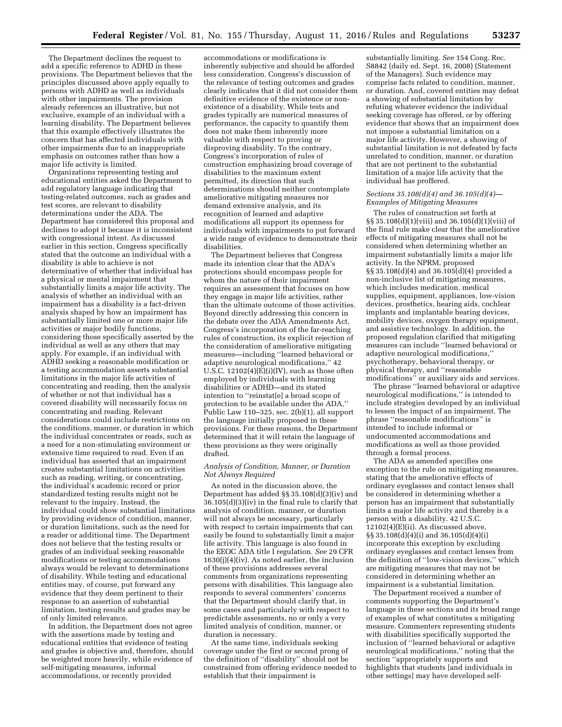The Department declines the request to add a specific reference to ADHD in these provisions. The Department believes that the principles discussed above apply equally to persons with ADHD as well as individuals with other impairments. The provision already references an illustrative, but not exclusive, example of an individual with a learning disability. The Department believes that this example effectively illustrates the concern that has affected individuals with other impairments due to an inappropriate emphasis on outcomes rather than how a major life activity is limited.

Organizations representing testing and educational entities asked the Department to add regulatory language indicating that testing-related outcomes, such as grades and test scores, are relevant to disability determinations under the ADA. The Department has considered this proposal and declines to adopt it because it is inconsistent with congressional intent. As discussed earlier in this section, Congress specifically stated that the outcome an individual with a disability is able to achieve is not determinative of whether that individual has a physical or mental impairment that substantially limits a major life activity. The analysis of whether an individual with an impairment has a disability is a fact-driven analysis shaped by how an impairment has substantially limited one or more major life activities or major bodily functions, considering those specifically asserted by the individual as well as any others that may apply. For example, if an individual with ADHD seeking a reasonable modification or a testing accommodation asserts substantial limitations in the major life activities of concentrating and reading, then the analysis of whether or not that individual has a covered disability will necessarily focus on concentrating and reading. Relevant considerations could include restrictions on the conditions, manner, or duration in which the individual concentrates or reads, such as a need for a non-stimulating environment or extensive time required to read. Even if an individual has asserted that an impairment creates substantial limitations on activities such as reading, writing, or concentrating, the individual's academic record or prior standardized testing results might not be relevant to the inquiry. Instead, the individual could show substantial limitations by providing evidence of condition, manner, or duration limitations, such as the need for a reader or additional time. The Department does not believe that the testing results or grades of an individual seeking reasonable modifications or testing accommodations always would be relevant to determinations of disability. While testing and educational entities may, of course, put forward any evidence that they deem pertinent to their response to an assertion of substantial limitation, testing results and grades may be of only limited relevance.

In addition, the Department does not agree with the assertions made by testing and educational entities that evidence of testing and grades is objective and, therefore, should be weighted more heavily, while evidence of self-mitigating measures, informal accommodations, or recently provided

accommodations or modifications is inherently subjective and should be afforded less consideration. Congress's discussion of the relevance of testing outcomes and grades clearly indicates that it did not consider them definitive evidence of the existence or nonexistence of a disability. While tests and grades typically are numerical measures of performance, the capacity to quantify them does not make them inherently more valuable with respect to proving or disproving disability. To the contrary, Congress's incorporation of rules of construction emphasizing broad coverage of disabilities to the maximum extent permitted, its direction that such determinations should neither contemplate ameliorative mitigating measures nor demand extensive analysis, and its recognition of learned and adaptive modifications all support its openness for individuals with impairments to put forward a wide range of evidence to demonstrate their disabilities.

The Department believes that Congress made its intention clear that the ADA's protections should encompass people for whom the nature of their impairment requires an assessment that focuses on how they engage in major life activities, rather than the ultimate outcome of those activities. Beyond directly addressing this concern in the debate over the ADA Amendments Act, Congress's incorporation of the far-reaching rules of construction, its explicit rejection of the consideration of ameliorative mitigating measures—including ''learned behavioral or adaptive neurological modifications,'' 42 U.S.C.  $12102(4)(E)(i)(IV)$ , such as those often employed by individuals with learning disabilities or ADHD—and its stated intention to ''reinstat[e] a broad scope of protection to be available under the ADA,'' Public Law 110–325, sec. 2(b)(1), all support the language initially proposed in these provisions. For these reasons, the Department determined that it will retain the language of these provisions as they were originally drafted.

#### *Analysis of Condition, Manner, or Duration Not Always Required*

As noted in the discussion above, the Department has added §§ 35.108(d)(3)(iv) and 36.105(d)(3)(iv) in the final rule to clarify that analysis of condition, manner, or duration will not always be necessary, particularly with respect to certain impairments that can easily be found to substantially limit a major life activity. This language is also found in the EEOC ADA title I regulation. *See* 29 CFR 1630(j)(4)(iv). As noted earlier, the inclusion of these provisions addresses several comments from organizations representing persons with disabilities. This language also responds to several commenters' concerns that the Department should clarify that, in some cases and particularly with respect to predictable assessments, no or only a very limited analysis of condition, manner, or duration is necessary.

At the same time, individuals seeking coverage under the first or second prong of the definition of ''disability'' should not be constrained from offering evidence needed to establish that their impairment is

substantially limiting. *See* 154 Cong. Rec. S8842 (daily ed. Sept. 16, 2008) (Statement of the Managers). Such evidence may comprise facts related to condition, manner, or duration. And, covered entities may defeat a showing of substantial limitation by refuting whatever evidence the individual seeking coverage has offered, or by offering evidence that shows that an impairment does not impose a substantial limitation on a major life activity. However, a showing of substantial limitation is not defeated by facts unrelated to condition, manner, or duration that are not pertinent to the substantial limitation of a major life activity that the individual has proffered.

### *Sections 35.108(d)(4) and 36.105(d)(4)— Examples of Mitigating Measures*

The rules of construction set forth at §§ 35.108(d)(1)(viii) and 36.105(d)(1)(viii) of the final rule make clear that the ameliorative effects of mitigating measures shall not be considered when determining whether an impairment substantially limits a major life activity. In the NPRM, proposed §§ 35.108(d)(4) and 36.105(d)(4) provided a non-inclusive list of mitigating measures, which includes medication, medical supplies, equipment, appliances, low-vision devices, prosthetics, hearing aids, cochlear implants and implantable hearing devices, mobility devices, oxygen therapy equipment, and assistive technology. In addition, the proposed regulation clarified that mitigating measures can include ''learned behavioral or adaptive neurological modifications,'' psychotherapy, behavioral therapy, or physical therapy, and ''reasonable modifications'' or auxiliary aids and services.

The phrase ''learned behavioral or adaptive neurological modifications,'' is intended to include strategies developed by an individual to lessen the impact of an impairment. The phrase ''reasonable modifications'' is intended to include informal or undocumented accommodations and modifications as well as those provided through a formal process.

The ADA as amended specifies one exception to the rule on mitigating measures, stating that the ameliorative effects of ordinary eyeglasses and contact lenses shall be considered in determining whether a person has an impairment that substantially limits a major life activity and thereby is a person with a disability. 42 U.S.C. 12102(4)(E)(ii). As discussed above, §§ 35.108(d)(4)(i) and 36.105(d)(4)(i) incorporate this exception by excluding ordinary eyeglasses and contact lenses from the definition of ''low-vision devices,'' which are mitigating measures that may not be considered in determining whether an impairment is a substantial limitation.

The Department received a number of comments supporting the Department's language in these sections and its broad range of examples of what constitutes a mitigating measure. Commenters representing students with disabilities specifically supported the inclusion of "learned behavioral or adaptive neurological modifications,'' noting that the section ''appropriately supports and highlights that students [and individuals in other settings] may have developed self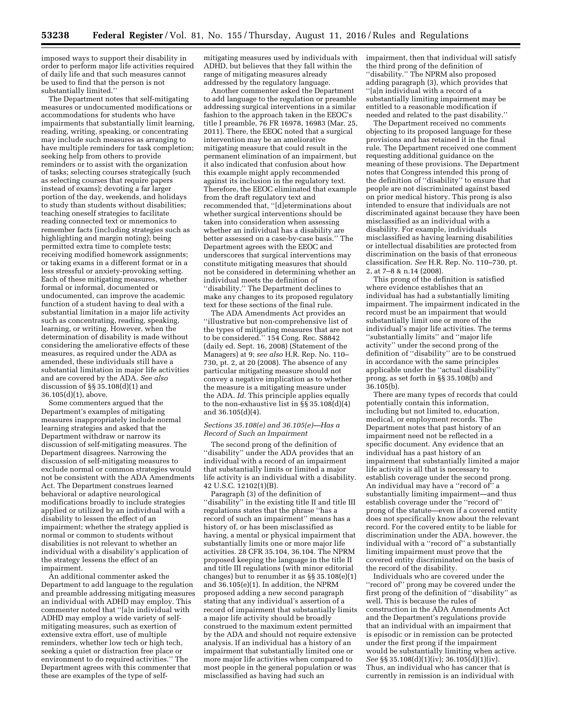imposed ways to support their disability in order to perform major life activities required of daily life and that such measures cannot be used to find that the person is not substantially limited.''

The Department notes that self-mitigating measures or undocumented modifications or accommodations for students who have impairments that substantially limit learning, reading, writing, speaking, or concentrating may include such measures as arranging to have multiple reminders for task completion; seeking help from others to provide reminders or to assist with the organization of tasks; selecting courses strategically (such as selecting courses that require papers instead of exams); devoting a far larger portion of the day, weekends, and holidays to study than students without disabilities; teaching oneself strategies to facilitate reading connected text or mnemonics to remember facts (including strategies such as highlighting and margin noting); being permitted extra time to complete tests; receiving modified homework assignments; or taking exams in a different format or in a less stressful or anxiety-provoking setting. Each of these mitigating measures, whether formal or informal, documented or undocumented, can improve the academic function of a student having to deal with a substantial limitation in a major life activity such as concentrating, reading, speaking, learning, or writing. However, when the determination of disability is made without considering the ameliorative effects of these measures, as required under the ADA as amended, these individuals still have a substantial limitation in major life activities and are covered by the ADA. *See also*  discussion of §§ 35.108(d)(1) and 36.105(d)(1), above.

Some commenters argued that the Department's examples of mitigating measures inappropriately include normal learning strategies and asked that the Department withdraw or narrow its discussion of self-mitigating measures. The Department disagrees. Narrowing the discussion of self-mitigating measures to exclude normal or common strategies would not be consistent with the ADA Amendments Act. The Department construes learned behavioral or adaptive neurological modifications broadly to include strategies applied or utilized by an individual with a disability to lessen the effect of an impairment; whether the strategy applied is normal or common to students without disabilities is not relevant to whether an individual with a disability's application of the strategy lessens the effect of an impairment.

An additional commenter asked the Department to add language to the regulation and preamble addressing mitigating measures an individual with ADHD may employ. This commenter noted that ''[a]n individual with ADHD may employ a wide variety of selfmitigating measures, such as exertion of extensive extra effort, use of multiple reminders, whether low tech or high tech, seeking a quiet or distraction free place or environment to do required activities.'' The Department agrees with this commenter that these are examples of the type of self-

mitigating measures used by individuals with ADHD, but believes that they fall within the range of mitigating measures already addressed by the regulatory language.

Another commenter asked the Department to add language to the regulation or preamble addressing surgical interventions in a similar fashion to the approach taken in the EEOC's title I preamble, 76 FR 16978, 16983 (Mar. 25, 2011). There, the EEOC noted that a surgical intervention may be an ameliorative mitigating measure that could result in the permanent elimination of an impairment, but it also indicated that confusion about how this example might apply recommended against its inclusion in the regulatory text. Therefore, the EEOC eliminated that example from the draft regulatory text and recommended that, ''[d]eterminations about whether surgical interventions should be taken into consideration when assessing whether an individual has a disability are better assessed on a case-by-case basis.'' The Department agrees with the EEOC and underscores that surgical interventions may constitute mitigating measures that should not be considered in determining whether an individual meets the definition of ''disability.'' The Department declines to make any changes to its proposed regulatory text for these sections of the final rule.

The ADA Amendments Act provides an ''illustrative but non-comprehensive list of the types of mitigating measures that are not to be considered.'' 154 Cong. Rec. S8842 (daily ed. Sept. 16, 2008) (Statement of the Managers) at 9; *see also* H.R. Rep. No. 110– 730, pt. 2, at 20 (2008). The absence of any particular mitigating measure should not convey a negative implication as to whether the measure is a mitigating measure under the ADA. *Id.* This principle applies equally to the non-exhaustive list in §§ 35.108(d)(4) and 36.105(d)(4).

#### *Sections 35.108(e) and 36.105(e)—Has a Record of Such an Impairment*

The second prong of the definition of ''disability'' under the ADA provides that an individual with a record of an impairment that substantially limits or limited a major life activity is an individual with a disability. 42 U.S.C. 12102(1)(B).

Paragraph (3) of the definition of ''disability'' in the existing title II and title III regulations states that the phrase ''has a record of such an impairment'' means has a history of, or has been misclassified as having, a mental or physical impairment that substantially limits one or more major life activities. 28 CFR 35.104, 36.104. The NPRM proposed keeping the language in the title II and title III regulations (with minor editorial changes) but to renumber it as §§ 35.108(e)(1) and 36.105(e)(1). In addition, the NPRM proposed adding a new second paragraph stating that any individual's assertion of a record of impairment that substantially limits a major life activity should be broadly construed to the maximum extent permitted by the ADA and should not require extensive analysis. If an individual has a history of an impairment that substantially limited one or more major life activities when compared to most people in the general population or was misclassified as having had such an

impairment, then that individual will satisfy the third prong of the definition of ''disability.'' The NPRM also proposed adding paragraph (3), which provides that ''[a]n individual with a record of a substantially limiting impairment may be entitled to a reasonable modification if needed and related to the past disability.''

The Department received no comments objecting to its proposed language for these provisions and has retained it in the final rule. The Department received one comment requesting additional guidance on the meaning of these provisions. The Department notes that Congress intended this prong of the definition of ''disability'' to ensure that people are not discriminated against based on prior medical history. This prong is also intended to ensure that individuals are not discriminated against because they have been misclassified as an individual with a disability. For example, individuals misclassified as having learning disabilities or intellectual disabilities are protected from discrimination on the basis of that erroneous classification. *See* H.R. Rep. No. 110–730, pt. 2, at 7–8 & n.14 (2008).

This prong of the definition is satisfied where evidence establishes that an individual has had a substantially limiting impairment. The impairment indicated in the record must be an impairment that would substantially limit one or more of the individual's major life activities. The terms ''substantially limits'' and ''major life activity'' under the second prong of the definition of ''disability'' are to be construed in accordance with the same principles applicable under the ''actual disability'' prong, as set forth in §§ 35.108(b) and 36.105(b).

There are many types of records that could potentially contain this information, including but not limited to, education, medical, or employment records. The Department notes that past history of an impairment need not be reflected in a specific document. Any evidence that an individual has a past history of an impairment that substantially limited a major life activity is all that is necessary to establish coverage under the second prong. An individual may have a ''record of'' a substantially limiting impairment—and thus establish coverage under the ''record of'' prong of the statute—even if a covered entity does not specifically know about the relevant record. For the covered entity to be liable for discrimination under the ADA, however, the individual with a ''record of'' a substantially limiting impairment must prove that the covered entity discriminated on the basis of the record of the disability.

Individuals who are covered under the ''record of'' prong may be covered under the first prong of the definition of ''disability'' as well. This is because the rules of construction in the ADA Amendments Act and the Department's regulations provide that an individual with an impairment that is episodic or in remission can be protected under the first prong if the impairment would be substantially limiting when active. *See* §§ 35.108(d)(1)(iv); 36.105(d)(1)(iv). Thus, an individual who has cancer that is currently in remission is an individual with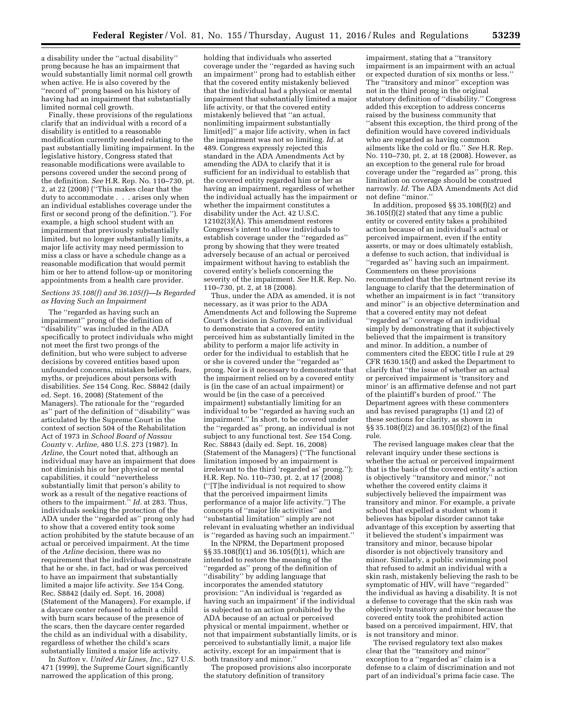a disability under the ''actual disability'' prong because he has an impairment that would substantially limit normal cell growth when active. He is also covered by the ''record of'' prong based on his history of having had an impairment that substantially limited normal cell growth.

Finally, these provisions of the regulations clarify that an individual with a record of a disability is entitled to a reasonable modification currently needed relating to the past substantially limiting impairment. In the legislative history, Congress stated that reasonable modifications were available to persons covered under the second prong of the definition. *See* H.R. Rep. No. 110–730, pt. 2, at 22 (2008) (''This makes clear that the duty to accommodate . . . arises only when an individual establishes coverage under the first or second prong of the definition.''). For example, a high school student with an impairment that previously substantially limited, but no longer substantially limits, a major life activity may need permission to miss a class or have a schedule change as a reasonable modification that would permit him or her to attend follow-up or monitoring appointments from a health care provider.

### *Sections 35.108(f) and 36.105(f)—Is Regarded as Having Such an Impairment*

The ''regarded as having such an impairment'' prong of the definition of ''disability'' was included in the ADA specifically to protect individuals who might not meet the first two prongs of the definition, but who were subject to adverse decisions by covered entities based upon unfounded concerns, mistaken beliefs, fears, myths, or prejudices about persons with disabilities. *See* 154 Cong. Rec. S8842 (daily ed. Sept. 16, 2008) (Statement of the Managers). The rationale for the ''regarded as'' part of the definition of ''disability'' was articulated by the Supreme Court in the context of section 504 of the Rehabilitation Act of 1973 in *School Board of Nassau County* v. *Arline,* 480 U.S. 273 (1987). In *Arline,* the Court noted that, although an individual may have an impairment that does not diminish his or her physical or mental capabilities, it could ''nevertheless substantially limit that person's ability to work as a result of the negative reactions of others to the impairment.'' *Id.* at 283. Thus, individuals seeking the protection of the ADA under the ''regarded as'' prong only had to show that a covered entity took some action prohibited by the statute because of an actual or perceived impairment. At the time of the *Arline* decision, there was no requirement that the individual demonstrate that he or she, in fact, had or was perceived to have an impairment that substantially limited a major life activity. *See* 154 Cong. Rec. S8842 (daily ed. Sept. 16, 2008) (Statement of the Managers). For example, if a daycare center refused to admit a child with burn scars because of the presence of the scars, then the daycare center regarded the child as an individual with a disability, regardless of whether the child's scars substantially limited a major life activity.

In *Sutton* v. *United Air Lines, Inc.,* 527 U.S. 471 (1999), the Supreme Court significantly narrowed the application of this prong,

holding that individuals who asserted coverage under the ''regarded as having such an impairment'' prong had to establish either that the covered entity mistakenly believed that the individual had a physical or mental impairment that substantially limited a major life activity, or that the covered entity mistakenly believed that ''an actual, nonlimiting impairment substantially limit[ed]'' a major life activity, when in fact the impairment was not so limiting. *Id.* at 489. Congress expressly rejected this standard in the ADA Amendments Act by amending the ADA to clarify that it is sufficient for an individual to establish that the covered entity regarded him or her as having an impairment, regardless of whether the individual actually has the impairment or whether the impairment constitutes a disability under the Act. 42 U.S.C.  $12102(3)(A)$ . This amendment restores Congress's intent to allow individuals to establish coverage under the ''regarded as'' prong by showing that they were treated adversely because of an actual or perceived impairment without having to establish the covered entity's beliefs concerning the severity of the impairment. *See* H.R. Rep. No. 110–730, pt. 2, at 18 (2008).

Thus, under the ADA as amended, it is not necessary, as it was prior to the ADA Amendments Act and following the Supreme Court's decision in *Sutton,* for an individual to demonstrate that a covered entity perceived him as substantially limited in the ability to perform a major life activity in order for the individual to establish that he or she is covered under the ''regarded as'' prong. Nor is it necessary to demonstrate that the impairment relied on by a covered entity is (in the case of an actual impairment) or would be (in the case of a perceived impairment) substantially limiting for an individual to be ''regarded as having such an impairment.'' In short, to be covered under the ''regarded as'' prong, an individual is not subject to any functional test. *See* 154 Cong. Rec. S8843 (daily ed. Sept. 16, 2008) (Statement of the Managers) (''The functional limitation imposed by an impairment is irrelevant to the third 'regarded as' prong.''); H.R. Rep. No. 110–730, pt. 2, at 17 (2008) (''[T]he individual is not required to show that the perceived impairment limits performance of a major life activity.'') The concepts of ''major life activities'' and ''substantial limitation'' simply are not relevant in evaluating whether an individual is ''regarded as having such an impairment.''

In the NPRM, the Department proposed §§ 35.108(f)(1) and 36.105(f)(1), which are intended to restore the meaning of the ''regarded as'' prong of the definition of ''disability'' by adding language that incorporates the amended statutory provision: ''An individual is 'regarded as having such an impairment' if the individual is subjected to an action prohibited by the ADA because of an actual or perceived physical or mental impairment, whether or not that impairment substantially limits, or is perceived to substantially limit, a major life activity, except for an impairment that is both transitory and minor.''

The proposed provisions also incorporate the statutory definition of transitory

impairment, stating that a ''transitory impairment is an impairment with an actual or expected duration of six months or less.'' The "transitory and minor" exception was not in the third prong in the original statutory definition of ''disability.'' Congress added this exception to address concerns raised by the business community that ''absent this exception, the third prong of the definition would have covered individuals who are regarded as having common ailments like the cold or flu.'' *See* H.R. Rep. No. 110–730, pt. 2, at 18 (2008). However, as an exception to the general rule for broad coverage under the ''regarded as'' prong, this limitation on coverage should be construed narrowly. *Id.* The ADA Amendments Act did not define ''minor.''

In addition, proposed §§ 35.108(f)(2) and 36.105(f)(2) stated that any time a public entity or covered entity takes a prohibited action because of an individual's actual or perceived impairment, even if the entity asserts, or may or does ultimately establish, a defense to such action, that individual is ''regarded as'' having such an impairment. Commenters on these provisions recommended that the Department revise its language to clarify that the determination of whether an impairment is in fact "transitory" and minor'' is an objective determination and that a covered entity may not defeat ''regarded as'' coverage of an individual simply by demonstrating that it subjectively believed that the impairment is transitory and minor. In addition, a number of commenters cited the EEOC title I rule at 29 CFR 1630.15(f) and asked the Department to clarify that ''the issue of whether an actual or perceived impairment is 'transitory and minor' is an affirmative defense and not part of the plaintiff's burden of proof.'' The Department agrees with these commenters and has revised paragraphs (1) and (2) of these sections for clarity, as shown in §§ 35.108(f)(2) and 36.105(f)(2) of the final rule.

The revised language makes clear that the relevant inquiry under these sections is whether the actual or perceived impairment that is the basis of the covered entity's action is objectively ''transitory and minor,'' not whether the covered entity claims it subjectively believed the impairment was transitory and minor. For example, a private school that expelled a student whom it believes has bipolar disorder cannot take advantage of this exception by asserting that it believed the student's impairment was transitory and minor, because bipolar disorder is not objectively transitory and minor. Similarly, a public swimming pool that refused to admit an individual with a skin rash, mistakenly believing the rash to be symptomatic of HIV, will have ''regarded'' the individual as having a disability. It is not a defense to coverage that the skin rash was objectively transitory and minor because the covered entity took the prohibited action based on a perceived impairment, HIV, that is not transitory and minor.

The revised regulatory text also makes clear that the ''transitory and minor'' exception to a ''regarded as'' claim is a defense to a claim of discrimination and not part of an individual's prima facie case. The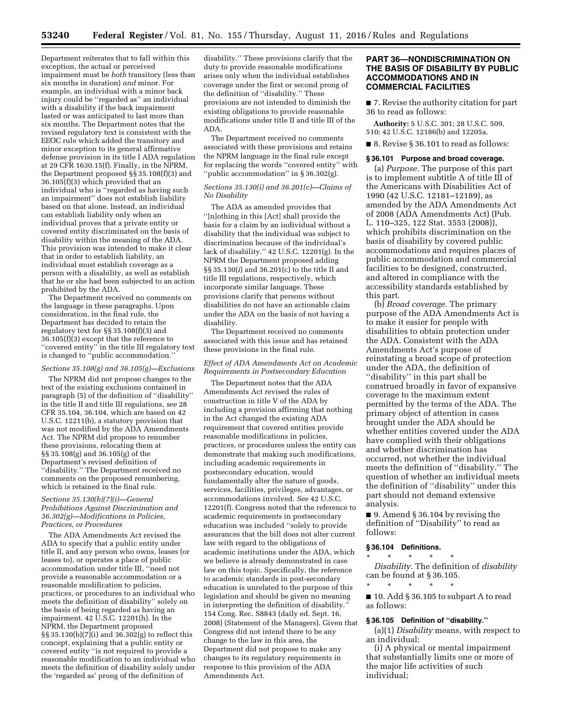Department reiterates that to fall within this exception, the actual or perceived impairment must be *both* transitory (less than six months in duration) *and* minor. For example, an individual with a minor back injury could be ''regarded as'' an individual with a disability if the back impairment lasted or was anticipated to last more than six months. The Department notes that the revised regulatory text is consistent with the EEOC rule which added the transitory and minor exception to its general affirmative defense provision in its title I ADA regulation at 29 CFR 1630.15(f). Finally, in the NPRM, the Department proposed §§ 35.108(f)(3) and 36.105(f)(3) which provided that an individual who is "regarded as having such an impairment'' does not establish liability based on that alone. Instead, an individual can establish liability only when an individual proves that a private entity or covered entity discriminated on the basis of disability within the meaning of the ADA. This provision was intended to make it clear that in order to establish liability, an individual must establish coverage as a person with a disability, as well as establish that he or she had been subjected to an action prohibited by the ADA.

The Department received no comments on the language in these paragraphs. Upon consideration, in the final rule, the Department has decided to retain the regulatory text for §§ 35.108(f)(3) and 36.105(f)(3) except that the reference to "covered entity" in the title III regulatory text is changed to ''public accommodation.''

#### *Sections 35.108(g) and 36.105(g)—Exclusions*

The NPRM did not propose changes to the text of the existing exclusions contained in paragraph (5) of the definition of ''disability'' in the title II and title III regulations, *see* 28 CFR 35.104, 36.104, which are based on 42 U.S.C. 12211(b), a statutory provision that was not modified by the ADA Amendments Act. The NPRM did propose to renumber these provisions, relocating them at §§ 35.108(g) and 36.105(g) of the Department's revised definition of ''disability.'' The Department received no comments on the proposed renumbering, which is retained in the final rule.

#### *Sections 35.130(b)(7)(i)—General Prohibitions Against Discrimination and 36.302(g)—Modifications in Policies, Practices, or Procedures*

The ADA Amendments Act revised the ADA to specify that a public entity under title II, and any person who owns, leases (or leases to), or operates a place of public accommodation under title III, ''need not provide a reasonable accommodation or a reasonable modification to policies, practices, or procedures to an individual who meets the definition of disability'' solely on the basis of being regarded as having an impairment. 42 U.S.C. 12201(h). In the NPRM, the Department proposed §§ 35.130(b)(7)(i) and  $36.302(g)$  to reflect this concept, explaining that a public entity or covered entity ''is not required to provide a reasonable modification to an individual who meets the definition of disability solely under the 'regarded as' prong of the definition of

disability.'' These provisions clarify that the duty to provide reasonable modifications arises only when the individual establishes coverage under the first or second prong of the definition of ''disability.'' These provisions are not intended to diminish the existing obligations to provide reasonable modifications under title II and title III of the ADA.

The Department received no comments associated with these provisions and retains the NPRM language in the final rule except for replacing the words ''covered entity'' with ''public accommodation'' in § 36.302(g).

#### *Sections 35.130(i) and 36.201(c)—Claims of No Disability*

The ADA as amended provides that ''[n]othing in this [Act] shall provide the basis for a claim by an individual without a disability that the individual was subject to discrimination because of the individual's lack of disability.'' 42 U.S.C. 12201(g). In the NPRM the Department proposed adding §§ 35.130(*i*) and 36.201(c) to the title II and title III regulations, respectively, which incorporate similar language. These provisions clarify that persons without disabilities do not have an actionable claim under the ADA on the basis of not having a disability.

The Department received no comments associated with this issue and has retained these provisions in the final rule.

### *Effect of ADA Amendments Act on Academic Requirements in Postsecondary Education*

The Department notes that the ADA Amendments Act revised the rules of construction in title V of the ADA by including a provision affirming that nothing in the Act changed the existing ADA requirement that covered entities provide reasonable modifications in policies, practices, or procedures unless the entity can demonstrate that making such modifications, including academic requirements in postsecondary education, would fundamentally alter the nature of goods, services, facilities, privileges, advantages, or accommodations involved. *See* 42 U.S.C. 12201(f). Congress noted that the reference to academic requirements in postsecondary education was included ''solely to provide assurances that the bill does not alter current law with regard to the obligations of academic institutions under the ADA, which we believe is already demonstrated in case law on this topic. Specifically, the reference to academic standards in post-secondary education is unrelated to the purpose of this legislation and should be given no meaning in interpreting the definition of disability.'' 154 Cong. Rec. S8843 (daily ed. Sept. 16, 2008) (Statement of the Managers). Given that Congress did not intend there to be any change to the law in this area, the Department did not propose to make any changes to its regulatory requirements in response to this provision of the ADA Amendments Act.

### **PART 36—NONDISCRIMINATION ON THE BASIS OF DISABILITY BY PUBLIC ACCOMMODATIONS AND IN COMMERCIAL FACILITIES**

■ 7. Revise the authority citation for part 36 to read as follows:

**Authority:** 5 U.S.C. 301; 28 U.S.C. 509, 510; 42 U.S.C. 12186(b) and 12205a.

■ 8. Revise § 36.101 to read as follows:

#### **§ 36.101 Purpose and broad coverage.**

(a) *Purpose.* The purpose of this part is to implement subtitle A of title III of the Americans with Disabilities Act of 1990 (42 U.S.C. 12181–12189), as amended by the ADA Amendments Act of 2008 (ADA Amendments Act) (Pub. L. 110–325, 122 Stat. 3553 (2008)), which prohibits discrimination on the basis of disability by covered public accommodations and requires places of public accommodation and commercial facilities to be designed, constructed, and altered in compliance with the accessibility standards established by this part.

(b) *Broad coverage.* The primary purpose of the ADA Amendments Act is to make it easier for people with disabilities to obtain protection under the ADA. Consistent with the ADA Amendments Act's purpose of reinstating a broad scope of protection under the ADA, the definition of ''disability'' in this part shall be construed broadly in favor of expansive coverage to the maximum extent permitted by the terms of the ADA. The primary object of attention in cases brought under the ADA should be whether entities covered under the ADA have complied with their obligations and whether discrimination has occurred, not whether the individual meets the definition of ''disability.'' The question of whether an individual meets the definition of ''disability'' under this part should not demand extensive analysis.

■ 9. Amend § 36.104 by revising the definition of ''Disability'' to read as follows:

#### **§ 36.104 Definitions.**

\* \* \* \* \*

\* \* \* \* \* *Disability.* The definition of *disability*  can be found at § 36.105.

■ 10. Add § 36.105 to subpart A to read as follows:

## **§ 36.105 Definition of ''disability.''**

(a)(1) *Disability* means, with respect to an individual:

(i) A physical or mental impairment that substantially limits one or more of the major life activities of such individual;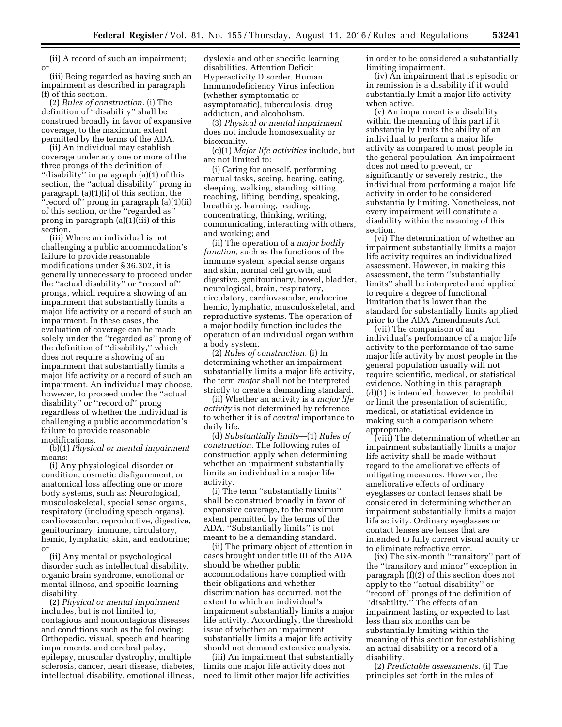(ii) A record of such an impairment; or

(iii) Being regarded as having such an impairment as described in paragraph (f) of this section.

(2) *Rules of construction.* (i) The definition of ''disability'' shall be construed broadly in favor of expansive coverage, to the maximum extent permitted by the terms of the ADA.

(ii) An individual may establish coverage under any one or more of the three prongs of the definition of "disability" in paragraph  $(a)(1)$  of this section, the ''actual disability'' prong in paragraph (a)(1)(i) of this section, the ''record of'' prong in paragraph (a)(1)(ii) of this section, or the ''regarded as'' prong in paragraph (a)(1)(iii) of this section.

(iii) Where an individual is not challenging a public accommodation's failure to provide reasonable modifications under § 36.302, it is generally unnecessary to proceed under the ''actual disability'' or ''record of'' prongs, which require a showing of an impairment that substantially limits a major life activity or a record of such an impairment. In these cases, the evaluation of coverage can be made solely under the ''regarded as'' prong of the definition of ''disability,'' which does not require a showing of an impairment that substantially limits a major life activity or a record of such an impairment. An individual may choose, however, to proceed under the ''actual disability'' or ''record of'' prong regardless of whether the individual is challenging a public accommodation's failure to provide reasonable modifications.

(b)(1) *Physical or mental impairment*  means:

(i) Any physiological disorder or condition, cosmetic disfigurement, or anatomical loss affecting one or more body systems, such as: Neurological, musculoskeletal, special sense organs, respiratory (including speech organs), cardiovascular, reproductive, digestive, genitourinary, immune, circulatory, hemic, lymphatic, skin, and endocrine; or

(ii) Any mental or psychological disorder such as intellectual disability, organic brain syndrome, emotional or mental illness, and specific learning disability.

(2) *Physical or mental impairment*  includes, but is not limited to, contagious and noncontagious diseases and conditions such as the following: Orthopedic, visual, speech and hearing impairments, and cerebral palsy, epilepsy, muscular dystrophy, multiple sclerosis, cancer, heart disease, diabetes, intellectual disability, emotional illness,

dyslexia and other specific learning disabilities, Attention Deficit Hyperactivity Disorder, Human Immunodeficiency Virus infection (whether symptomatic or asymptomatic), tuberculosis, drug addiction, and alcoholism.

(3) *Physical or mental impairment*  does not include homosexuality or bisexuality.

(c)(1) *Major life activities* include, but are not limited to:

(i) Caring for oneself, performing manual tasks, seeing, hearing, eating, sleeping, walking, standing, sitting, reaching, lifting, bending, speaking, breathing, learning, reading, concentrating, thinking, writing, communicating, interacting with others, and working; and

(ii) The operation of a *major bodily function,* such as the functions of the immune system, special sense organs and skin, normal cell growth, and digestive, genitourinary, bowel, bladder, neurological, brain, respiratory, circulatory, cardiovascular, endocrine, hemic, lymphatic, musculoskeletal, and reproductive systems. The operation of a major bodily function includes the operation of an individual organ within a body system.

(2) *Rules of construction.* (i) In determining whether an impairment substantially limits a major life activity, the term *major* shall not be interpreted strictly to create a demanding standard.

(ii) Whether an activity is a *major life activity* is not determined by reference to whether it is of *central* importance to daily life.

(d) *Substantially limits*—(1) *Rules of construction.* The following rules of construction apply when determining whether an impairment substantially limits an individual in a major life activity.

(i) The term ''substantially limits'' shall be construed broadly in favor of expansive coverage, to the maximum extent permitted by the terms of the ADA. ''Substantially limits'' is not meant to be a demanding standard.

(ii) The primary object of attention in cases brought under title III of the ADA should be whether public accommodations have complied with their obligations and whether discrimination has occurred, not the extent to which an individual's impairment substantially limits a major life activity. Accordingly, the threshold issue of whether an impairment substantially limits a major life activity should not demand extensive analysis.

(iii) An impairment that substantially limits one major life activity does not need to limit other major life activities

in order to be considered a substantially limiting impairment.

(iv) An impairment that is episodic or in remission is a disability if it would substantially limit a major life activity when active.

(v) An impairment is a disability within the meaning of this part if it substantially limits the ability of an individual to perform a major life activity as compared to most people in the general population. An impairment does not need to prevent, or significantly or severely restrict, the individual from performing a major life activity in order to be considered substantially limiting. Nonetheless, not every impairment will constitute a disability within the meaning of this section.

(vi) The determination of whether an impairment substantially limits a major life activity requires an individualized assessment. However, in making this assessment, the term ''substantially limits'' shall be interpreted and applied to require a degree of functional limitation that is lower than the standard for substantially limits applied prior to the ADA Amendments Act.

(vii) The comparison of an individual's performance of a major life activity to the performance of the same major life activity by most people in the general population usually will not require scientific, medical, or statistical evidence. Nothing in this paragraph (d)(1) is intended, however, to prohibit or limit the presentation of scientific, medical, or statistical evidence in making such a comparison where appropriate.

(viii) The determination of whether an impairment substantially limits a major life activity shall be made without regard to the ameliorative effects of mitigating measures. However, the ameliorative effects of ordinary eyeglasses or contact lenses shall be considered in determining whether an impairment substantially limits a major life activity. Ordinary eyeglasses or contact lenses are lenses that are intended to fully correct visual acuity or to eliminate refractive error.

(ix) The six-month ''transitory'' part of the ''transitory and minor'' exception in paragraph (f)(2) of this section does not apply to the ''actual disability'' or ''record of'' prongs of the definition of ''disability.'' The effects of an impairment lasting or expected to last less than six months can be substantially limiting within the meaning of this section for establishing an actual disability or a record of a disability.

(2) *Predictable assessments.* (i) The principles set forth in the rules of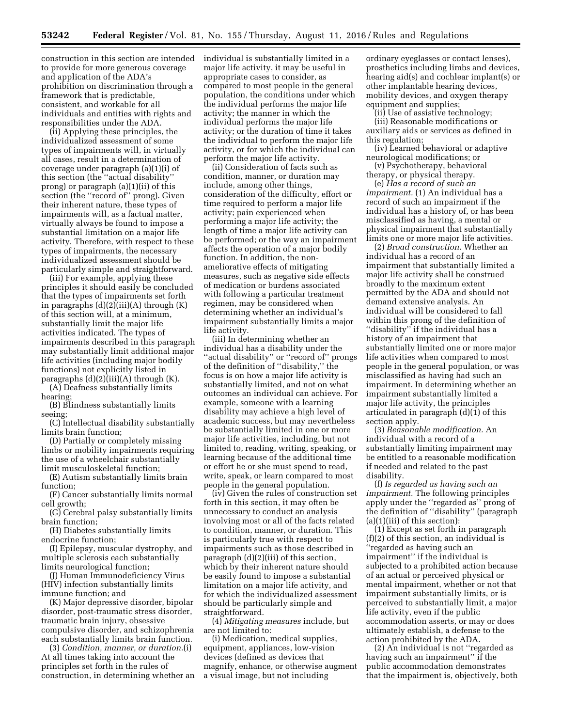construction in this section are intended to provide for more generous coverage and application of the ADA's prohibition on discrimination through a framework that is predictable, consistent, and workable for all individuals and entities with rights and responsibilities under the ADA.

(ii) Applying these principles, the individualized assessment of some types of impairments will, in virtually all cases, result in a determination of coverage under paragraph (a)(1)(i) of this section (the ''actual disability'' prong) or paragraph (a)(1)(ii) of this section (the "record of" prong). Given their inherent nature, these types of impairments will, as a factual matter, virtually always be found to impose a substantial limitation on a major life activity. Therefore, with respect to these types of impairments, the necessary individualized assessment should be particularly simple and straightforward.

(iii) For example, applying these principles it should easily be concluded that the types of impairments set forth in paragraphs  $(d)(2)(iii)(A)$  through  $(K)$ of this section will, at a minimum, substantially limit the major life activities indicated. The types of impairments described in this paragraph may substantially limit additional major life activities (including major bodily functions) not explicitly listed in paragraphs  $(d)(2)(iii)(A)$  through  $(K)$ .

(A) Deafness substantially limits hearing;

(B) Blindness substantially limits seeing;

(C) Intellectual disability substantially limits brain function;

(D) Partially or completely missing limbs or mobility impairments requiring the use of a wheelchair substantially limit musculoskeletal function;

(E) Autism substantially limits brain function;

(F) Cancer substantially limits normal cell growth;

(G) Cerebral palsy substantially limits brain function;

(H) Diabetes substantially limits endocrine function;

(I) Epilepsy, muscular dystrophy, and multiple sclerosis each substantially limits neurological function;

(J) Human Immunodeficiency Virus (HIV) infection substantially limits immune function; and

(K) Major depressive disorder, bipolar disorder, post-traumatic stress disorder, traumatic brain injury, obsessive compulsive disorder, and schizophrenia each substantially limits brain function.

(3) *Condition, manner, or duration.*(i) At all times taking into account the principles set forth in the rules of construction, in determining whether an individual is substantially limited in a major life activity, it may be useful in appropriate cases to consider, as compared to most people in the general population, the conditions under which the individual performs the major life activity; the manner in which the individual performs the major life activity; or the duration of time it takes the individual to perform the major life activity, or for which the individual can perform the major life activity.

(ii) Consideration of facts such as condition, manner, or duration may include, among other things, consideration of the difficulty, effort or time required to perform a major life activity; pain experienced when performing a major life activity; the length of time a major life activity can be performed; or the way an impairment affects the operation of a major bodily function. In addition, the nonameliorative effects of mitigating measures, such as negative side effects of medication or burdens associated with following a particular treatment regimen, may be considered when determining whether an individual's impairment substantially limits a major life activity.

(iii) In determining whether an individual has a disability under the "actual disability" or "record of" prongs of the definition of ''disability,'' the focus is on how a major life activity is substantially limited, and not on what outcomes an individual can achieve. For example, someone with a learning disability may achieve a high level of academic success, but may nevertheless be substantially limited in one or more major life activities, including, but not limited to, reading, writing, speaking, or learning because of the additional time or effort he or she must spend to read, write, speak, or learn compared to most people in the general population.

(iv) Given the rules of construction set forth in this section, it may often be unnecessary to conduct an analysis involving most or all of the facts related to condition, manner, or duration. This is particularly true with respect to impairments such as those described in paragraph (d)(2)(iii) of this section, which by their inherent nature should be easily found to impose a substantial limitation on a major life activity, and for which the individualized assessment should be particularly simple and straightforward.

(4) *Mitigating measures* include, but are not limited to:

(i) Medication, medical supplies, equipment, appliances, low-vision devices (defined as devices that magnify, enhance, or otherwise augment a visual image, but not including

ordinary eyeglasses or contact lenses), prosthetics including limbs and devices, hearing aid(s) and cochlear implant(s) or other implantable hearing devices, mobility devices, and oxygen therapy equipment and supplies;

(ii) Use of assistive technology; (iii) Reasonable modifications or auxiliary aids or services as defined in this regulation;

(iv) Learned behavioral or adaptive neurological modifications; or

(v) Psychotherapy, behavioral therapy, or physical therapy.

(e) *Has a record of such an impairment.* (1) An individual has a record of such an impairment if the individual has a history of, or has been misclassified as having, a mental or physical impairment that substantially limits one or more major life activities.

(2) *Broad construction.* Whether an individual has a record of an impairment that substantially limited a major life activity shall be construed broadly to the maximum extent permitted by the ADA and should not demand extensive analysis. An individual will be considered to fall within this prong of the definition of ''disability'' if the individual has a history of an impairment that substantially limited one or more major life activities when compared to most people in the general population, or was misclassified as having had such an impairment. In determining whether an impairment substantially limited a major life activity, the principles articulated in paragraph  $(d)(1)$  of this section apply.

(3) *Reasonable modification.* An individual with a record of a substantially limiting impairment may be entitled to a reasonable modification if needed and related to the past disability.

(f) *Is regarded as having such an impairment.* The following principles apply under the ''regarded as'' prong of the definition of ''disability'' (paragraph (a)(1)(iii) of this section):

(1) Except as set forth in paragraph (f)(2) of this section, an individual is ''regarded as having such an impairment'' if the individual is subjected to a prohibited action because of an actual or perceived physical or mental impairment, whether or not that impairment substantially limits, or is perceived to substantially limit, a major life activity, even if the public accommodation asserts, or may or does ultimately establish, a defense to the action prohibited by the ADA.

(2) An individual is not ''regarded as having such an impairment'' if the public accommodation demonstrates that the impairment is, objectively, both